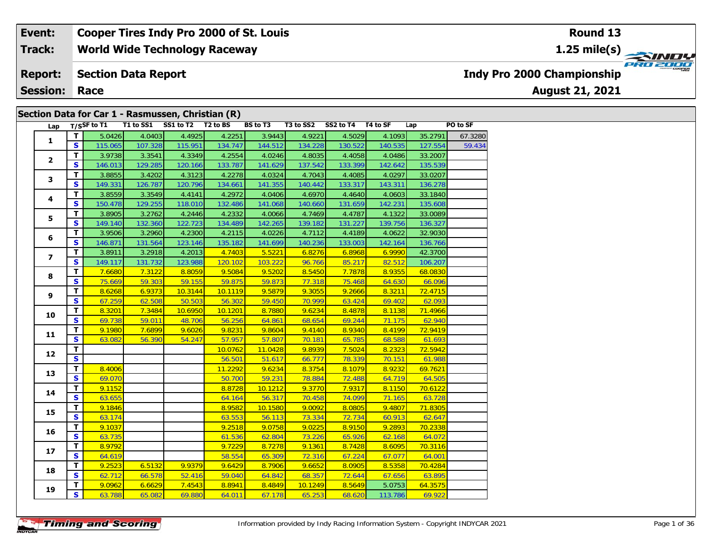#### **World Wide Technology Raceway Section Data Report August 21, 2021 Event: Cooper Tires Indy Pro 2000 of St. Louis Track: Report: Indy Pro 2000 Championship**

**Session: Race**

### **Section Data for Car 1 - Rasmussen, Christian (R)**

|                | Lap |                         |         |         | T/SSF to T1 T1 to SS1 SS1 to T2 T2 to BS |         | <b>BS to T3</b> | T3 to SS2 | SS2 to T4 T4 to SF |         | Lap     | PO to SF |
|----------------|-----|-------------------------|---------|---------|------------------------------------------|---------|-----------------|-----------|--------------------|---------|---------|----------|
|                |     | T.                      | 5.0426  | 4.0403  | 4.4925                                   | 4.2251  | 3.9443          | 4.9221    | 4.5029             | 4.1093  | 35.2791 | 67.3280  |
| $\mathbf{1}$   |     | S.                      | 115.065 | 107.328 | 115.951                                  | 134.747 | 144.512         | 134.228   | 130.522            | 140.535 | 127.554 | 59.434   |
|                |     | T                       | 3.9738  | 3.3541  | 4.3349                                   | 4.2554  | 4.0246          | 4.8035    | 4.4058             | 4.0486  | 33.2007 |          |
| $\mathbf{2}$   |     | S                       | 146.013 | 129.285 | 120.166                                  | 133.787 | 141.629         | 137.542   | 133.399            | 142.642 | 135.539 |          |
|                |     | T                       | 3.8855  | 3.4202  | 4.3123                                   | 4.2278  | 4.0324          | 4.7043    | 4.4085             | 4.0297  | 33.0207 |          |
| 3              |     | $\mathbf{s}$            | 149.331 | 126.787 | 120.796                                  | 134.661 | 141.355         | 140.442   | 133.317            | 143.311 | 136.278 |          |
|                |     | T                       | 3.8559  | 3.3549  | 4.4141                                   | 4.2972  | 4.0406          | 4.6970    | 4.4640             | 4.0603  | 33.1840 |          |
| 4              |     | $\mathbf{s}$            | 150.478 | 129.255 | 118.010                                  | 132.486 | 141.068         | 140.660   | 131.659            | 142.231 | 135.608 |          |
|                |     | T                       | 3.8905  | 3.2762  | 4.2446                                   | 4.2332  | 4.0066          | 4.7469    | 4.4787             | 4.1322  | 33.0089 |          |
| 5              |     | $\mathbf{s}$            | 149.140 | 132.360 | 122.723                                  | 134.489 | 142.265         | 139.182   | 131.227            | 139.756 | 136.327 |          |
|                |     | T.                      | 3.9506  | 3.2960  | 4.2300                                   | 4.2115  | 4.0226          | 4.7112    | 4.4189             | 4.0622  | 32.9030 |          |
| 6              |     | S                       | 146.871 | 131.564 | 123.146                                  | 135.182 | 141.699         | 140.236   | 133.003            | 142.164 | 136.766 |          |
| $\overline{ }$ |     | T                       | 3.8911  | 3.2918  | 4.2013                                   | 4.7403  | 5.5221          | 6.8276    | 6.8968             | 6.9990  | 42.3700 |          |
|                |     | S                       | 149.117 | 131.732 | 123.988                                  | 120.102 | 103.222         | 96.766    | 85.217             | 82.512  | 106.207 |          |
| 8              |     | T                       | 7.6680  | 7.3122  | 8.8059                                   | 9.5084  | 9.5202          | 8.5450    | 7.7878             | 8.9355  | 68.0830 |          |
|                |     | $\mathbf{s}$            | 75.669  | 59.303  | 59.155                                   | 59.875  | 59.873          | 77.318    | 75.468             | 64.630  | 66.096  |          |
| 9              |     | T                       | 8.6268  | 6.9373  | 10.3144                                  | 10.1119 | 9.5879          | 9.3055    | 9.2666             | 8.3211  | 72.4715 |          |
|                |     | $\mathbf{s}$            | 67.259  | 62.508  | 50.503                                   | 56.302  | 59.450          | 70.999    | 63.424             | 69.402  | 62.093  |          |
|                |     | T                       | 8.3201  | 7.3484  | 10.6950                                  | 10.1201 | 8.7880          | 9.6234    | 8.4878             | 8.1138  | 71.4966 |          |
| 10             |     | $\mathbf{s}$            | 69.738  | 59.011  | 48.706                                   | 56.256  | 64.861          | 68.654    | 69.244             | 71.175  | 62.940  |          |
| 11             |     | T.                      | 9.1980  | 7.6899  | 9.6026                                   | 9.8231  | 9.8604          | 9.4140    | 8.9340             | 8.4199  | 72.9419 |          |
|                |     | S                       | 63.082  | 56.390  | 54.247                                   | 57.957  | 57.807          | 70.181    | 65.785             | 68.588  | 61.693  |          |
| 12             |     | T                       |         |         |                                          | 10.0762 | 11.0428         | 9.8939    | 7.5024             | 8.2323  | 72.5942 |          |
|                |     | $\overline{\mathbf{s}}$ |         |         |                                          | 56.501  | 51.617          | 66.777    | 78.339             | 70.151  | 61.988  |          |
| 13             |     | T                       | 8.4006  |         |                                          | 11.2292 | 9.6234          | 8.3754    | 8.1079             | 8.9232  | 69.7621 |          |
|                |     | $\mathbf{s}$            | 69.070  |         |                                          | 50.700  | 59.231          | 78.884    | 72.488             | 64.719  | 64.505  |          |
| 14             |     | T                       | 9.1152  |         |                                          | 8.8728  | 10.1212         | 9.3770    | 7.9317             | 8.1150  | 70.6122 |          |
|                |     | S                       | 63.655  |         |                                          | 64.164  | 56.317          | 70.458    | 74.099             | 71.165  | 63.728  |          |
| 15             |     | T                       | 9.1846  |         |                                          | 8.9582  | 10.1580         | 9.0092    | 8.0805             | 9.4807  | 71.8305 |          |
|                |     | $\mathbf{s}$            | 63.174  |         |                                          | 63.553  | 56.113          | 73.334    | 72.734             | 60.913  | 62.647  |          |
| 16             |     | T                       | 9.1037  |         |                                          | 9.2518  | 9.0758          | 9.0225    | 8.9150             | 9.2893  | 70.2338 |          |
|                |     | $\mathbf{s}$            | 63.735  |         |                                          | 61.536  | 62.804          | 73.226    | 65.926             | 62.168  | 64.072  |          |
| 17             |     | T                       | 8.9792  |         |                                          | 9.7229  | 8.7278          | 9.1361    | 8.7428             | 8.6095  | 70.3116 |          |
|                |     | S                       | 64.619  |         |                                          | 58.554  | 65.309          | 72.316    | 67.224             | 67.077  | 64.001  |          |
| 18             |     | T                       | 9.2523  | 6.5132  | 9.9379                                   | 9.6429  | 8.7906          | 9.6652    | 8.0905             | 8.5358  | 70.4284 |          |
|                |     | $\mathbf{s}$            | 62.712  | 66.578  | 52.416                                   | 59.040  | 64.842          | 68.357    | 72.644             | 67.656  | 63.895  |          |
| 19             |     | T.                      | 9.0962  | 6.6629  | 7.4543                                   | 8.8941  | 8.4849          | 10.1249   | 8.5649             | 5.0753  | 64.3575 |          |
|                |     | S.                      | 63.788  | 65.082  | 69.880                                   | 64.011  | 67.178          | 65.253    | 68.620             | 113.786 | 69.922  |          |

**Round 13**

**1.25 mile(s)**

**PRO 2000**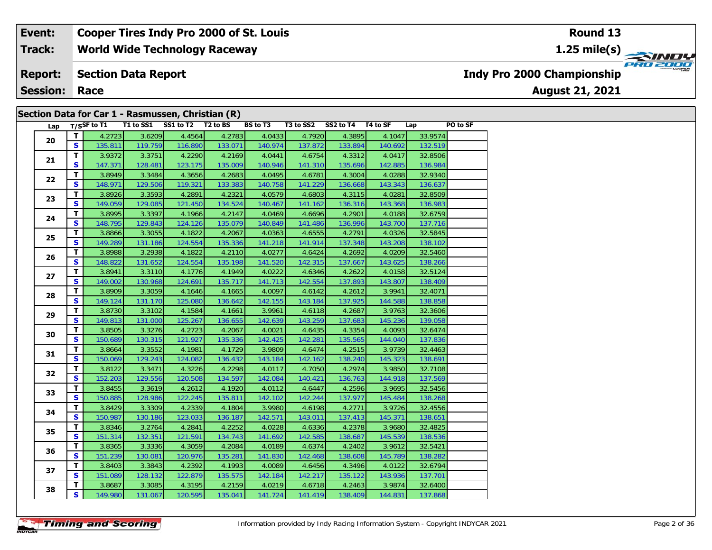#### **World Wide Technology Raceway Section Data Report August 21, 2021 Event: Cooper Tires Indy Pro 2000 of St. Louis Track: Report: Session: Race Indy Pro 2000 Championship**

### **Section Data for Car 1 - Rasmussen, Christian (R)**

| Lap      |              | $T/S$ SF to T1 | T1 to SS1 | SS1 to T2 T2 to BS |         | BS to T3 | T3 to SS2 | SS2 to T4 T4 to SF |         | Lap     | PO to SF |
|----------|--------------|----------------|-----------|--------------------|---------|----------|-----------|--------------------|---------|---------|----------|
|          | Τ.           | 4.2723         | 3.6209    | 4.4564             | 4.2783  | 4.0433   | 4.7920    | 4.3895             | 4.1047  | 33.9574 |          |
| 20       | S.           | 135.811        | 119.759   | 116.890            | 133.071 | 140.974  | 137.872   | 133.894            | 140.692 | 132.519 |          |
|          | T            | 3.9372         | 3.3751    | 4.2290             | 4.2169  | 4.0441   | 4.6754    | 4.3312             | 4.0417  | 32.8506 |          |
| 21       | S            | 147.371        | 128.481   | 123.175            | 135.009 | 140.946  | 141.310   | 135.696            | 142.885 | 136.984 |          |
|          | T            | 3.8949         | 3.3484    | 4.3656             | 4.2683  | 4.0495   | 4.6781    | 4.3004             | 4.0288  | 32.9340 |          |
| 22       | S            | 148.971        | 129.506   | 119.321            | 133.383 | 140.758  | 141.229   | 136.668            | 143.343 | 136.637 |          |
|          | T.           | 3.8926         | 3.3593    | 4.2891             | 4.2321  | 4.0579   | 4.6803    | 4.3115             | 4.0281  | 32.8509 |          |
| 23       | $\mathbf{s}$ | 149.059        | 129.085   | 121.450            | 134.524 | 140.467  | 141.162   | 136.316            | 143.368 | 136.983 |          |
|          | T.           | 3.8995         | 3.3397    | 4.1966             | 4.2147  | 4.0469   | 4.6696    | 4.2901             | 4.0188  | 32.6759 |          |
| 24       | $\mathbf{s}$ | 148.795        | 129.843   | 124.126            | 135.079 | 140.849  | 141.486   | 136.996            | 143.700 | 137.716 |          |
|          | T            | 3.8866         | 3.3055    | 4.1822             | 4.2067  | 4.0363   | 4.6555    | 4.2791             | 4.0326  | 32.5845 |          |
| 25       | S            | 149.289        | 131.186   | 124.554            | 135.336 | 141.218  | 141.914   | 137.348            | 143.208 | 138.102 |          |
|          | T.           | 3.8988         | 3.2938    | 4.1822             | 4.2110  | 4.0277   | 4.6424    | 4.2692             | 4.0209  | 32.5460 |          |
| 26       | S            | 148.822        | 131.652   | 124.554            | 135.198 | 141.520  | 142.315   | 137.667            | 143.625 | 138.266 |          |
|          | T            | 3.8941         | 3.3110    | 4.1776             | 4.1949  | 4.0222   | 4.6346    | 4.2622             | 4.0158  | 32.5124 |          |
| 27       | S            | 149.002        | 130.968   | 124.691            | 135.717 | 141.713  | 142.554   | 137.893            | 143.807 | 138.409 |          |
| 28<br>29 | T.           | 3.8909         | 3.3059    | 4.1646             | 4.1665  | 4.0097   | 4.6142    | 4.2612             | 3.9941  | 32.4071 |          |
|          | $\mathbf{s}$ | 149.124        | 131.170   | 125.080            | 136.642 | 142.155  | 143.184   | 137.925            | 144.588 | 138.858 |          |
|          | T.           | 3.8730         | 3.3102    | 4.1584             | 4.1661  | 3.9961   | 4.6118    | 4.2687             | 3.9763  | 32.3606 |          |
|          | S            | 149.813        | 131.000   | 125.267            | 136.655 | 142.639  | 143.259   | 137.683            | 145.236 | 139.058 |          |
|          | T            | 3.8505         | 3.3276    | 4.2723             | 4.2067  | 4.0021   | 4.6435    | 4.3354             | 4.0093  | 32.6474 |          |
| 30       | S            | 150.689        | 130.315   | 121.927            | 135.336 | 142.425  | 142.281   | 135.565            | 144.040 | 137.836 |          |
|          | т            | 3.8664         | 3.3552    | 4.1981             | 4.1729  | 3.9809   | 4.6474    | 4.2515             | 3.9739  | 32.4463 |          |
| 31       | S            | 150.069        | 129.243   | 124.082            | 136.432 | 143.184  | 142.162   | 138.240            | 145.323 | 138.691 |          |
|          | T            | 3.8122         | 3.3471    | 4.3226             | 4.2298  | 4.0117   | 4.7050    | 4.2974             | 3.9850  | 32.7108 |          |
| 32       | $\mathbf{s}$ | 152.203        | 129.556   | 120.508            | 134.597 | 142.084  | 140.421   | 136.763            | 144.918 | 137.569 |          |
|          | T            | 3.8455         | 3.3619    | 4.2612             | 4.1920  | 4.0112   | 4.6447    | 4.2596             | 3.9695  | 32.5456 |          |
| 33       | $\mathbf{s}$ | 150.885        | 128.986   | 122.245            | 135.811 | 142.102  | 142.244   | 137.977            | 145.484 | 138.268 |          |
|          | T            | 3.8429         | 3.3309    | 4.2339             | 4.1804  | 3.9980   | 4.6198    | 4.2771             | 3.9726  | 32.4556 |          |
| 34       | S.           | 150.987        | 130.186   | 123.033            | 136.187 | 142.571  | 143.011   | 137.413            | 145.371 | 138.651 |          |
|          | T.           | 3.8346         | 3.2764    | 4.2841             | 4.2252  | 4.0228   | 4.6336    | 4.2378             | 3.9680  | 32.4825 |          |
| 35       | $\mathbf{s}$ | 151.314        | 132.351   | 121.591            | 134.743 | 141.692  | 142.585   | 138.687            | 145.539 | 138.536 |          |
|          | T.           | 3.8365         | 3.3336    | 4.3059             | 4.2084  | 4.0189   | 4.6374    | 4.2402             | 3.9612  | 32.5421 |          |
| 36       | S            | 151.239        | 130.081   | 120.976            | 135.281 | 141.830  | 142.468   | 138.608            | 145.789 | 138.282 |          |
|          | T.           | 3.8403         | 3.3843    | 4.2392             | 4.1993  | 4.0089   | 4.6456    | 4.3496             | 4.0122  | 32.6794 |          |
| 37       | S            | 151.089        | 128.132   | 122.879            | 135.575 | 142.184  | 142.217   | 135.122            | 143.936 | 137.701 |          |
|          | T.           | 3.8687         | 3.3085    | 4.3195             | 4.2159  | 4.0219   | 4.6718    | 4.2463             | 3.9874  | 32.6400 |          |
| 38       | S            | 149.980        | 131.067   | 120.595            | 135.041 | 141.724  | 141.419   | 138.409            | 144.831 | 137.868 |          |

**Round 13**

**1.25 mile(s)**

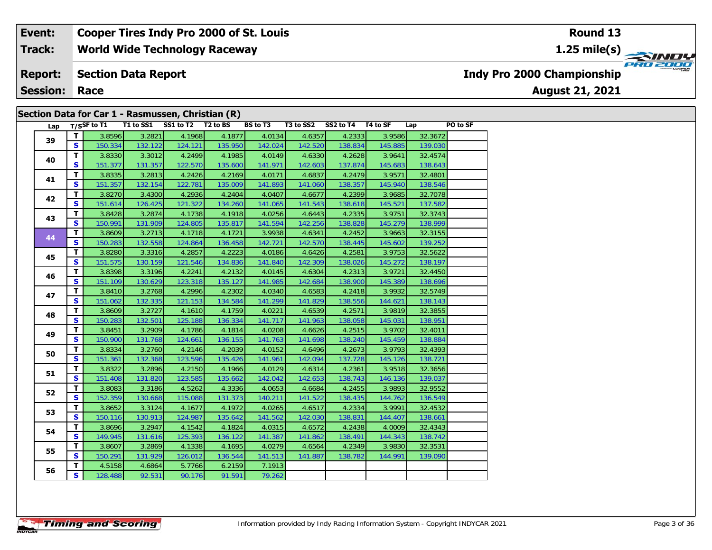### **World Wide Technology Raceway Section Data Report Event: Cooper Tires Indy Pro 2000 of St. Louis Track: Report:**

**Session: Race**

### **Section Data for Car 1 - Rasmussen, Christian (R)**

| Lap |              | T/SSF to T1 | T1 to SS1 | SS1 to T2 T2 to BS |         | <b>BS to T3</b> | T3 to SS2 | SS2 to T4 T4 to SF |         | Lap     | PO to SF |
|-----|--------------|-------------|-----------|--------------------|---------|-----------------|-----------|--------------------|---------|---------|----------|
| 39  | $\mathbf{T}$ | 3.8596      | 3.2821    | 4.1968             | 4.1877  | 4.0134          | 4.6357    | 4.2333             | 3.9586  | 32.3672 |          |
|     | S            | 150.334     | 132.122   | 124.121            | 135.950 | 142.024         | 142.520   | 138.834            | 145.885 | 139.030 |          |
| 40  | T            | 3.8330      | 3.3012    | 4.2499             | 4.1985  | 4.0149          | 4.6330    | 4.2628             | 3.9641  | 32.4574 |          |
|     | <b>S</b>     | 151.377     | 131.357   | 122.570            | 135.600 | 141.971         | 142.603   | 137.874            | 145.683 | 138.643 |          |
| 41  | $\mathbf{T}$ | 3.8335      | 3.2813    | 4.2426             | 4.2169  | 4.0171          | 4.6837    | 4.2479             | 3.9571  | 32.4801 |          |
|     | <b>S</b>     | 151.357     | 132.154   | 122.781            | 135.009 | 141.893         | 141.060   | 138.357            | 145.940 | 138.546 |          |
| 42  | T            | 3.8270      | 3.4300    | 4.2936             | 4.2404  | 4.0407          | 4.6677    | 4.2399             | 3.9685  | 32.7078 |          |
|     | <b>S</b>     | 151.614     | 126.425   | 121.322            | 134.260 | 141.065         | 141.543   | 138.618            | 145.521 | 137.582 |          |
| 43  | T            | 3.8428      | 3.2874    | 4.1738             | 4.1918  | 4.0256          | 4.6443    | 4.2335             | 3.9751  | 32.3743 |          |
|     | <b>S</b>     | 150.991     | 131.909   | 124.805            | 135.817 | 141.594         | 142.256   | 138.828            | 145.279 | 138.999 |          |
| 44  | $\mathbf{T}$ | 3.8609      | 3.2713    | 4.1718             | 4.1721  | 3.9938          | 4.6341    | 4.2452             | 3.9663  | 32.3155 |          |
|     | S.           | 150.283     | 132.558   | 124.864            | 136.458 | 142.721         | 142.570   | 138.445            | 145.602 | 139.252 |          |
| 45  | T.           | 3.8280      | 3.3316    | 4.2857             | 4.2223  | 4.0186          | 4.6426    | 4.2581             | 3.9753  | 32.5622 |          |
|     | S.           | 151.575     | 130.159   | 121.546            | 134.836 | 141.840         | 142.309   | 138.026            | 145.272 | 138.197 |          |
| 46  | T.           | 3.8398      | 3.3196    | 4.2241             | 4.2132  | 4.0145          | 4.6304    | 4.2313             | 3.9721  | 32.4450 |          |
|     | S.           | 151.109     | 130.629   | 123.318            | 135.127 | 141.985         | 142.684   | 138.900            | 145.389 | 138.696 |          |
| 47  | T.           | 3.8410      | 3.2768    | 4.2996             | 4.2302  | 4.0340          | 4.6583    | 4.2418             | 3.9932  | 32.5749 |          |
|     | S            | 151.062     | 132.335   | 121.153            | 134.584 | 141.299         | 141.829   | 138.556            | 144.621 | 138.143 |          |
| 48  | $\mathbf{T}$ | 3.8609      | 3.2727    | 4.1610             | 4.1759  | 4.0221          | 4.6539    | 4.2571             | 3.9819  | 32.3855 |          |
|     | S            | 150.283     | 132.501   | 125.188            | 136.334 | 141.717         | 141.963   | 138.058            | 145.031 | 138.951 |          |
| 49  | T.           | 3.8451      | 3.2909    | 4.1786             | 4.1814  | 4.0208          | 4.6626    | 4.2515             | 3.9702  | 32.4011 |          |
|     | S.           | 150.900     | 131.768   | 124.661            | 136.155 | 141.763         | 141.698   | 138.240            | 145.459 | 138.884 |          |
| 50  | T.           | 3.8334      | 3.2760    | 4.2146             | 4.2039  | 4.0152          | 4.6496    | 4.2673             | 3.9793  | 32.4393 |          |
|     | S            | 151.361     | 132.368   | 123.596            | 135.426 | 141.961         | 142.094   | 137.728            | 145.126 | 138.721 |          |
| 51  | T.           | 3.8322      | 3.2896    | 4.2150             | 4.1966  | 4.0129          | 4.6314    | 4.2361             | 3.9518  | 32.3656 |          |
|     | S            | 151.408     | 131.820   | 123.585            | 135.662 | 142.042         | 142.653   | 138.743            | 146.136 | 139.037 |          |
| 52  | T.           | 3.8083      | 3.3186    | 4.5262             | 4.3336  | 4.0653          | 4.6684    | 4.2455             | 3.9893  | 32.9552 |          |
|     | S            | 152.359     | 130.668   | 115.088            | 131.373 | 140.211         | 141.522   | 138.435            | 144.762 | 136.549 |          |
| 53  | T            | 3.8652      | 3.3124    | 4.1677             | 4.1972  | 4.0265          | 4.6517    | 4.2334             | 3.9991  | 32.4532 |          |
|     | S            | 150.116     | 130.913   | 124.987            | 135.642 | 141.562         | 142.030   | 138.831            | 144.407 | 138.661 |          |
| 54  | T            | 3.8696      | 3.2947    | 4.1542             | 4.1824  | 4.0315          | 4.6572    | 4.2438             | 4.0009  | 32.4343 |          |
|     | S            | 149.945     | 131.616   | 125.393            | 136.122 | 141.387         | 141.862   | 138.491            | 144.343 | 138.742 |          |
| 55  | T            | 3.8607      | 3.2869    | 4.1338             | 4.1695  | 4.0279          | 4.6564    | 4.2349             | 3.9830  | 32.3531 |          |
|     | <b>S</b>     | 150.291     | 131.929   | 126.012            | 136.544 | 141.513         | 141.887   | 138.782            | 144.991 | 139.090 |          |
| 56  | T.           | 4.5158      | 4.6864    | 5.7766             | 6.2159  | 7.1913          |           |                    |         |         |          |
|     | S            | 128.488     | 92.531    | 90.176             | 91.591  | 79.262          |           |                    |         |         |          |

**Indy Pro 2000 Championship**

**August 21, 2021**

### **Round 13**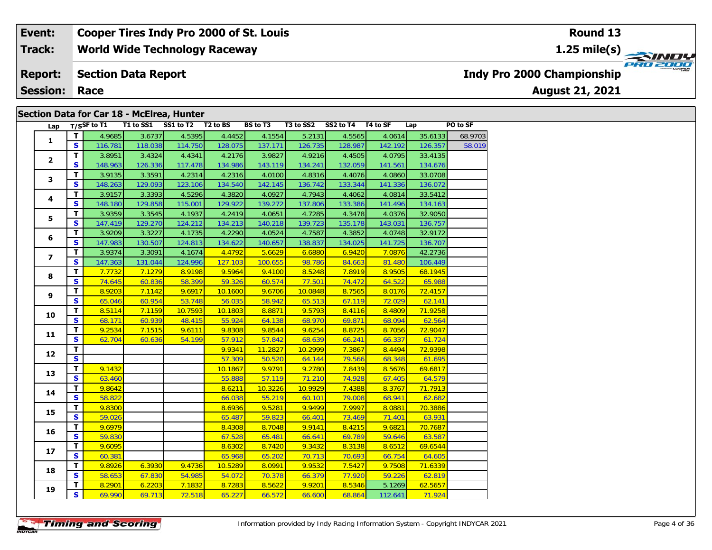#### **Event: Cooper Tires Indy Pro 2000 of St. Louis Round 131.25 mile(s) World Wide Technology Raceway Track: PRO 2000 Report: Section Data Report Indy Pro 2000 Championship August 21, 2021 Session: Race**

### **Section Data for Car 18 - McElrea, Hunter**

| Lap                     |                         | T/SSF to T1 | T1 to SS1 | SS1 to T2 | T <sub>2</sub> to BS | <b>BS</b> to T3 | T3 to SS2 | SS2 to T4 T4 to SF |         | Lap     | PO to SF |
|-------------------------|-------------------------|-------------|-----------|-----------|----------------------|-----------------|-----------|--------------------|---------|---------|----------|
| $\mathbf{1}$            | $\mathbf{T}$            | 4.9685      | 3.6737    | 4.5395    | 4.4452               | 4.1554          | 5.2131    | 4.5565             | 4.0614  | 35.6133 | 68.9703  |
|                         | S.                      | 116.781     | 118.038   | 114.750   | 128.075              | 137.171         | 126.735   | 128.987            | 142.192 | 126.357 | 58.019   |
| $\mathbf{2}$            | $\mathbf{T}$            | 3.8951      | 3.4324    | 4.4341    | 4.2176               | 3.9827          | 4.9216    | 4.4505             | 4.0795  | 33.4135 |          |
|                         | $\mathbf{s}$            | 148.963     | 126.336   | 117.478   | 134.986              | 143.119         | 134.241   | 132.059            | 141.561 | 134.676 |          |
| 3                       | T                       | 3.9135      | 3.3591    | 4.2314    | 4.2316               | 4.0100          | 4.8316    | 4.4076             | 4.0860  | 33.0708 |          |
|                         | S                       | 148.263     | 129.093   | 123.106   | 134.540              | 142.145         | 136.742   | 133.344            | 141.336 | 136.072 |          |
| 4                       | $\mathbf{T}$            | 3.9157      | 3.3393    | 4.5296    | 4.3820               | 4.0927          | 4.7943    | 4.4062             | 4.0814  | 33.5412 |          |
|                         | S                       | 148.180     | 129.858   | 115.001   | 129.922              | 139.272         | 137.806   | 133.386            | 141.496 | 134.163 |          |
|                         | T.                      | 3.9359      | 3.3545    | 4.1937    | 4.2419               | 4.0651          | 4.7285    | 4.3478             | 4.0376  | 32.9050 |          |
| 5                       | $\mathbf{s}$            | 147.419     | 129.270   | 124.212   | 134.213              | 140.218         | 139.723   | 135.178            | 143.031 | 136.757 |          |
|                         | T.                      | 3.9209      | 3.3227    | 4.1735    | 4.2290               | 4.0524          | 4.7587    | 4.3852             | 4.0748  | 32.9172 |          |
| 6                       | $\mathbf{s}$            | 147.983     | 130.507   | 124.813   | 134.622              | 140.657         | 138.837   | 134.025            | 141.725 | 136.707 |          |
|                         | T                       | 3.9374      | 3.3091    | 4.1674    | 4.4792               | 5.6629          | 6.6880    | 6.9420             | 7.0876  | 42.2736 |          |
| $\overline{\mathbf{z}}$ | $\mathbf{s}$            | 147.363     | 131.044   | 124.996   | 127.103              | 100.655         | 98.786    | 84.663             | 81.480  | 106.449 |          |
| 8                       | $\mathbf{T}$            | 7.7732      | 7.1279    | 8.9198    | 9.5964               | 9.4100          | 8.5248    | 7.8919             | 8.9505  | 68.1945 |          |
|                         | $\mathbf{s}$            | 74.645      | 60.836    | 58.399    | 59.326               | 60.574          | 77.501    | 74.472             | 64.522  | 65.988  |          |
|                         | T                       | 8.9203      | 7.1142    | 9.6917    | 10.1600              | 9.6706          | 10.0848   | 8.7565             | 8.0176  | 72.4157 |          |
| 9                       | S                       | 65.046      | 60.954    | 53.748    | 56.035               | 58.942          | 65.513    | 67.119             | 72.029  | 62.141  |          |
|                         | T.                      | 8.5114      | 7.1159    | 10.7593   | 10.1803              | 8.8871          | 9.5793    | 8.4116             | 8.4809  | 71.9258 |          |
| 10                      | $\overline{\mathbf{s}}$ | 68.171      | 60.939    | 48.415    | 55.924               | 64.138          | 68.970    | 69.871             | 68.094  | 62.564  |          |
| 11                      | T.                      | 9.2534      | 7.1515    | 9.6111    | 9.8308               | 9.8544          | 9.6254    | 8.8725             | 8.7056  | 72.9047 |          |
|                         | S                       | 62.704      | 60.636    | 54.199    | 57.912               | 57.842          | 68.639    | 66.241             | 66.337  | 61.724  |          |
| 12                      | $\mathbf{T}$            |             |           |           | 9.9341               | 11.2827         | 10.2999   | 7.3867             | 8.4494  | 72.9398 |          |
|                         | $\overline{\mathbf{s}}$ |             |           |           | 57.309               | 50.520          | 64.144    | 79.566             | 68.348  | 61.695  |          |
| 13                      | $\mathbf{T}$            | 9.1432      |           |           | 10.1867              | 9.9791          | 9.2780    | 7.8439             | 8.5676  | 69.6817 |          |
|                         | $\mathbf{s}$            | 63.460      |           |           | 55.888               | 57.119          | 71.210    | 74.928             | 67.405  | 64.579  |          |
| 14                      | $\overline{\mathbf{T}}$ | 9.8642      |           |           | 8.6211               | 10.3226         | 10.9929   | 7.4388             | 8.3767  | 71.7913 |          |
|                         | $\mathbf{s}$            | 58.822      |           |           | 66.038               | 55.219          | 60.101    | 79.008             | 68.941  | 62.682  |          |
| 15                      | T                       | 9.8300      |           |           | 8.6936               | 9.5281          | 9.9499    | 7.9997             | 8.0881  | 70.3886 |          |
|                         | $\mathbf{s}$            | 59.026      |           |           | 65.487               | 59.823          | 66.401    | 73.469             | 71.401  | 63.931  |          |
| 16                      | T                       | 9.6979      |           |           | 8.4308               | 8.7048          | 9.9141    | 8.4215             | 9.6821  | 70.7687 |          |
|                         | $\overline{\mathbf{s}}$ | 59.830      |           |           | 67.528               | 65.481          | 66.641    | 69.789             | 59.646  | 63.587  |          |
| 17                      | T                       | 9.6095      |           |           | 8.6302               | 8.7420          | 9.3432    | 8.3138             | 8.6512  | 69.6544 |          |
|                         | $\mathbf{s}$            | 60.381      |           |           | 65.968               | 65.202          | 70.713    | 70.693             | 66.754  | 64.605  |          |
| 18                      | $\mathbf{T}$            | 9.8926      | 6.3930    | 9.4736    | 10.5289              | 8.0991          | 9.9532    | 7.5427             | 9.7508  | 71.6339 |          |
|                         | $\mathbf{s}$            | 58.653      | 67.830    | 54.985    | 54.072               | 70.378          | 66.379    | 77.920             | 59.226  | 62.819  |          |
| 19                      | T                       | 8.2901      | 6.2203    | 7.1832    | 8.7283               | 8.5622          | 9.9201    | 8.5346             | 5.1269  | 62.5657 |          |
|                         | S.                      | 69.990      | 69.713    | 72.518    | 65.227               | 66.572          | 66.600    | 68.864             | 112.641 | 71.924  |          |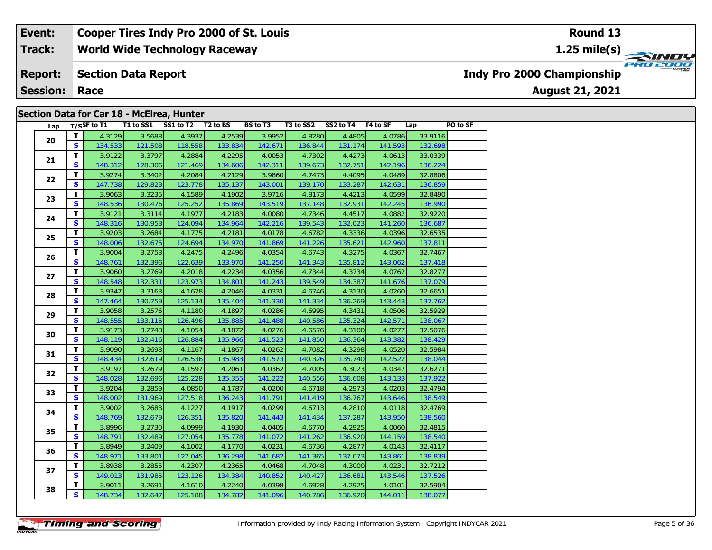#### **Event: Cooper Tires Indy Pro 2000 of St. Louis Round 131.25 mile(s) World Wide Technology Raceway Track:** PRO 2000 **Section Data Report Report: Indy Pro 2000 Championship August 21, 2021 Session: Race**

### **Section Data for Car 18 - McElrea, Hunter**

| Lap |                         | $T/S$ SF to T1 |         | T1 to SS1 SS1 to T2 T2 to BS |         | BS to T3 | T3 to SS2 | SS2 to T4 T4 to SF |         | Lap     | PO to SF |
|-----|-------------------------|----------------|---------|------------------------------|---------|----------|-----------|--------------------|---------|---------|----------|
| 20  | $\mathbf{T}$            | 4.3129         | 3.5688  | 4.3937                       | 4.2539  | 3.9952   | 4.8280    | 4.4805             | 4.0786  | 33.9116 |          |
|     | S.                      | 134.533        | 121.508 | 118.558                      | 133.834 | 142.671  | 136.844   | 131.174            | 141.593 | 132.698 |          |
| 21  | $\overline{\mathsf{r}}$ | 3.9122         | 3.3797  | 4.2884                       | 4.2295  | 4.0053   | 4.7302    | 4.4273             | 4.0613  | 33.0339 |          |
|     | S                       | 148.312        | 128.306 | 121.469                      | 134.606 | 142.311  | 139.673   | 132.751            | 142.196 | 136.224 |          |
| 22  | $\mathbf{T}$            | 3.9274         | 3.3402  | 4.2084                       | 4.2129  | 3.9860   | 4.7473    | 4.4095             | 4.0489  | 32.8806 |          |
|     | $\mathbf{s}$            | 147.738        | 129.823 | 123.778                      | 135.137 | 143.001  | 139.170   | 133.287            | 142.631 | 136.859 |          |
| 23  | $\overline{\mathbf{T}}$ | 3.9063         | 3.3235  | 4.1589                       | 4.1902  | 3.9716   | 4.8173    | 4.4213             | 4.0599  | 32.8490 |          |
|     | S                       | 148.536        | 130.476 | 125.252                      | 135.869 | 143.519  | 137.148   | 132.931            | 142.245 | 136.990 |          |
| 24  | T.                      | 3.9121         | 3.3114  | 4.1977                       | 4.2183  | 4.0080   | 4.7346    | 4.4517             | 4.0882  | 32.9220 |          |
|     | S                       | 148.316        | 130.953 | 124.094                      | 134.964 | 142.216  | 139.543   | 132.023            | 141.260 | 136.687 |          |
| 25  | $\mathbf{T}$            | 3.9203         | 3.2684  | 4.1775                       | 4.2181  | 4.0178   | 4.6782    | 4.3336             | 4.0396  | 32.6535 |          |
|     | S                       | 148.006        | 132.675 | 124.694                      | 134.970 | 141.869  | 141.226   | 135.621            | 142.960 | 137.811 |          |
| 26  | $\mathbf{T}$            | 3.9004         | 3.2753  | 4.2475                       | 4.2496  | 4.0354   | 4.6743    | 4.3275             | 4.0367  | 32.7467 |          |
|     | S                       | 148.761        | 132.396 | 122.639                      | 133.970 | 141.250  | 141.343   | 135.812            | 143.062 | 137.418 |          |
| 27  | T                       | 3.9060         | 3.2769  | 4.2018                       | 4.2234  | 4.0356   | 4.7344    | 4.3734             | 4.0762  | 32.8277 |          |
|     | S                       | 148.548        | 132.331 | 123.973                      | 134.801 | 141.243  | 139.549   | 134.387            | 141.676 | 137.079 |          |
| 28  | $\mathbf{T}$            | 3.9347         | 3.3163  | 4.1628                       | 4.2046  | 4.0331   | 4.6746    | 4.3130             | 4.0260  | 32.6651 |          |
|     | <b>S</b>                | 147.464        | 130.759 | 125.134                      | 135.404 | 141.330  | 141.334   | 136.269            | 143.443 | 137.762 |          |
| 29  | T                       | 3.9058         | 3.2576  | 4.1180                       | 4.1897  | 4.0286   | 4.6995    | 4.3431             | 4.0506  | 32.5929 |          |
|     | S                       | 148.555        | 133.115 | 126.496                      | 135.885 | 141.488  | 140.586   | 135.324            | 142.571 | 138.067 |          |
| 30  | T.                      | 3.9173         | 3.2748  | 4.1054                       | 4.1872  | 4.0276   | 4.6576    | 4.3100             | 4.0277  | 32.5076 |          |
|     | $\mathbf{s}$            | 148.119        | 132.416 | 126.884                      | 135.966 | 141.523  | 141.850   | 136.364            | 143.382 | 138.429 |          |
| 31  | $\mathbf{T}$            | 3.9090         | 3.2698  | 4.1167                       | 4.1867  | 4.0262   | 4.7082    | 4.3298             | 4.0520  | 32.5984 |          |
|     | S                       | 148.434        | 132.619 | 126.536                      | 135.983 | 141.573  | 140.326   | 135.740            | 142.522 | 138.044 |          |
| 32  | $\mathbf{T}$            | 3.9197         | 3.2679  | 4.1597                       | 4.2061  | 4.0362   | 4.7005    | 4.3023             | 4.0347  | 32.6271 |          |
|     | S                       | 148.028        | 132.696 | 125.228                      | 135.355 | 141.222  | 140.556   | 136.608            | 143.133 | 137.922 |          |
| 33  | T                       | 3.9204         | 3.2859  | 4.0850                       | 4.1787  | 4.0200   | 4.6718    | 4.2973             | 4.0203  | 32.4794 |          |
|     | $\mathbf{s}$            | 148.002        | 131.969 | 127.518                      | 136.243 | 141.791  | 141.419   | 136.767            | 143.646 | 138.549 |          |
| 34  | T                       | 3.9002         | 3.2683  | 4.1227                       | 4.1917  | 4.0299   | 4.6713    | 4.2810             | 4.0118  | 32.4769 |          |
|     | $\mathbf{s}$            | 148.769        | 132.679 | 126.351                      | 135.820 | 141.443  | 141.434   | 137.287            | 143.950 | 138.560 |          |
| 35  | T.                      | 3.8996         | 3.2730  | 4.0999                       | 4.1930  | 4.0405   | 4.6770    | 4.2925             | 4.0060  | 32.4815 |          |
|     | $\mathbf{s}$            | 148.791        | 132.489 | 127.054                      | 135.778 | 141.072  | 141.262   | 136.920            | 144.159 | 138.540 |          |
| 36  | T                       | 3.8949         | 3.2409  | 4.1002                       | 4.1770  | 4.0231   | 4.6736    | 4.2877             | 4.0143  | 32.4117 |          |
|     | S                       | 148.971        | 133.801 | 127.045                      | 136.298 | 141.682  | 141.365   | 137.073            | 143.861 | 138.839 |          |
| 37  | $\mathbf{T}$            | 3.8938         | 3.2855  | 4.2307                       | 4.2365  | 4.0468   | 4.7048    | 4.3000             | 4.0231  | 32.7212 |          |
|     | S                       | 149.013        | 131.985 | 123.126                      | 134.384 | 140.852  | 140.427   | 136.681            | 143.546 | 137.526 |          |
|     | T.                      | 3.9011         | 3.2691  | 4.1610                       | 4.2240  | 4.0398   | 4.6928    | 4.2925             | 4.0101  | 32.5904 |          |
| 38  | S.                      | 148.734        | 132.647 | 125.188                      | 134.782 | 141.096  | 140.786   | 136.920            | 144.011 | 138.077 |          |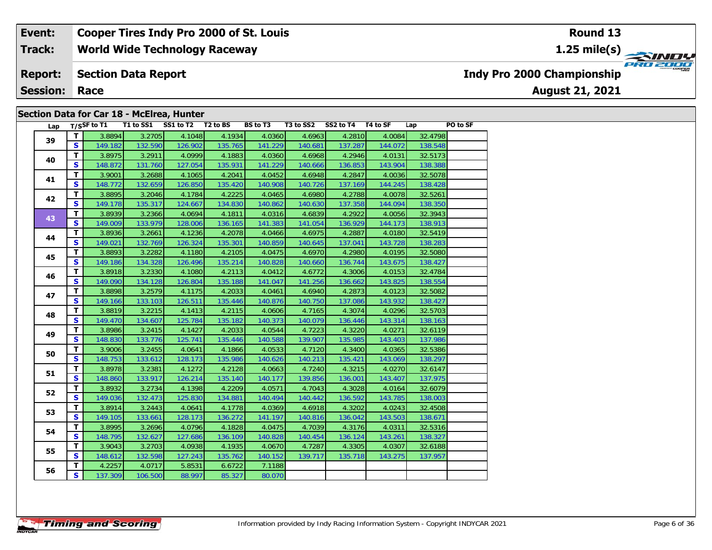#### **Event: Cooper Tires Indy Pro 2000 of St. Louis Round 131.25 mile(s) World Wide Technology Raceway Track: PRO 2000 Indy Pro 2000 Championship Report: Section Data Report August 21, 2021 Session: Race**

### **Section Data for Car 18 - McElrea, Hunter**

| Lap |              | T/SSF to T1 | T1 to SS1 SS1 to T2 T2 to BS |         |         | <b>BS to T3</b> | T3 to SS2 | SS2 to T4 T4 to SF |         | Lap     | PO to SF |
|-----|--------------|-------------|------------------------------|---------|---------|-----------------|-----------|--------------------|---------|---------|----------|
|     | T.           | 3.8894      | 3.2705                       | 4.1048  | 4.1934  | 4.0360          | 4.6963    | 4.2810             | 4.0084  | 32.4798 |          |
| 39  | S.           | 149.182     | 132.590                      | 126.902 | 135.765 | 141.229         | 140.681   | 137.287            | 144.072 | 138.548 |          |
|     | T.           | 3.8975      | 3.2911                       | 4.0999  | 4.1883  | 4.0360          | 4.6968    | 4.2946             | 4.0131  | 32.5173 |          |
| 40  | <b>S</b>     | 148.872     | 131.760                      | 127.054 | 135.931 | 141.229         | 140.666   | 136.853            | 143.904 | 138.388 |          |
|     | T.           | 3.9001      | 3.2688                       | 4.1065  | 4.2041  | 4.0452          | 4.6948    | 4.2847             | 4.0036  | 32.5078 |          |
| 41  | S            | 148.772     | 132.659                      | 126.850 | 135.420 | 140.908         | 140.726   | 137.169            | 144.245 | 138.428 |          |
|     | T.           | 3.8895      | 3.2046                       | 4.1784  | 4.2225  | 4.0465          | 4.6980    | 4.2788             | 4.0078  | 32.5261 |          |
| 42  | S.           | 149.178     | 135.317                      | 124.667 | 134.830 | 140.862         | 140.630   | 137.358            | 144.094 | 138.350 |          |
|     | T.           | 3.8939      | 3.2366                       | 4.0694  | 4.1811  | 4.0316          | 4.6839    | 4.2922             | 4.0056  | 32.3943 |          |
| 43  | S.           | 149.009     | 133.979                      | 128.006 | 136.165 | 141.383         | 141.054   | 136.929            | 144.173 | 138.913 |          |
|     | T.           | 3.8936      | 3.2661                       | 4.1236  | 4.2078  | 4.0466          | 4.6975    | 4.2887             | 4.0180  | 32.5419 |          |
| 44  | S.           | 149.021     | 132.769                      | 126.324 | 135.301 | 140.859         | 140.645   | 137.041            | 143.728 | 138.283 |          |
|     | T.           | 3.8893      | 3.2282                       | 4.1180  | 4.2105  | 4.0475          | 4.6970    | 4.2980             | 4.0195  | 32.5080 |          |
| 45  | S.           | 149.186     | 134.328                      | 126.496 | 135.214 | 140.828         | 140.660   | 136.744            | 143.675 | 138.427 |          |
|     | T            | 3.8918      | 3.2330                       | 4.1080  | 4.2113  | 4.0412          | 4.6772    | 4.3006             | 4.0153  | 32.4784 |          |
| 46  | S.           | 149.090     | 134.128                      | 126.804 | 135.188 | 141.047         | 141.256   | 136.662            | 143.825 | 138.554 |          |
|     | T            | 3.8898      | 3.2579                       | 4.1175  | 4.2033  | 4.0461          | 4.6940    | 4.2873             | 4.0123  | 32.5082 |          |
| 47  | S            | 149.166     | 133.103                      | 126.511 | 135.446 | 140.876         | 140.750   | 137.086            | 143.932 | 138.427 |          |
|     | T            | 3.8819      | 3.2215                       | 4.1413  | 4.2115  | 4.0606          | 4.7165    | 4.3074             | 4.0296  | 32.5703 |          |
| 48  | S            | 149.470     | 134.607                      | 125.784 | 135.182 | 140.373         | 140.079   | 136.446            | 143.314 | 138.163 |          |
|     | $\mathbf{T}$ | 3.8986      | 3.2415                       | 4.1427  | 4.2033  | 4.0544          | 4.7223    | 4.3220             | 4.0271  | 32.6119 |          |
| 49  | <b>S</b>     | 148.830     | 133.776                      | 125.741 | 135.446 | 140.588         | 139.907   | 135.985            | 143.403 | 137.986 |          |
|     | T            | 3.9006      | 3.2455                       | 4.0641  | 4.1866  | 4.0533          | 4.7120    | 4.3400             | 4.0365  | 32.5386 |          |
| 50  | <b>S</b>     | 148.753     | 133.612                      | 128.173 | 135.986 | 140.626         | 140.213   | 135.421            | 143.069 | 138.297 |          |
|     | $\mathbf{T}$ | 3.8978      | 3.2381                       | 4.1272  | 4.2128  | 4.0663          | 4.7240    | 4.3215             | 4.0270  | 32.6147 |          |
| 51  | S            | 148.860     | 133.917                      | 126.214 | 135.140 | 140.177         | 139.856   | 136.001            | 143.407 | 137.975 |          |
|     | $\mathbf{T}$ | 3.8932      | 3.2734                       | 4.1398  | 4.2209  | 4.0571          | 4.7043    | 4.3028             | 4.0164  | 32.6079 |          |
| 52  | S.           | 149.036     | 132.473                      | 125.830 | 134.881 | 140.494         | 140.442   | 136.592            | 143.785 | 138.003 |          |
| 53  | T.           | 3.8914      | 3.2443                       | 4.0641  | 4.1778  | 4.0369          | 4.6918    | 4.3202             | 4.0243  | 32.4508 |          |
|     | S.           | 149.105     | 133.661                      | 128.173 | 136.272 | 141.197         | 140.816   | 136.042            | 143.503 | 138.671 |          |
| 54  | T.           | 3.8995      | 3.2696                       | 4.0796  | 4.1828  | 4.0475          | 4.7039    | 4.3176             | 4.0311  | 32.5316 |          |
|     | S            | 148.795     | 132.627                      | 127.686 | 136.109 | 140.828         | 140.454   | 136.124            | 143.261 | 138.327 |          |
|     | $\mathbf{T}$ | 3.9043      | 3.2703                       | 4.0938  | 4.1935  | 4.0670          | 4.7287    | 4.3305             | 4.0307  | 32.6188 |          |
| 55  | S.           | 148.612     | 132.598                      | 127.243 | 135.762 | 140.152         | 139.717   | 135.718            | 143.275 | 137.957 |          |
|     | T.           | 4.2257      | 4.0717                       | 5.8531  | 6.6722  | 7.1188          |           |                    |         |         |          |
| 56  | S.           | 137.309     | 106.500                      | 88.997  | 85.327  | 80.070          |           |                    |         |         |          |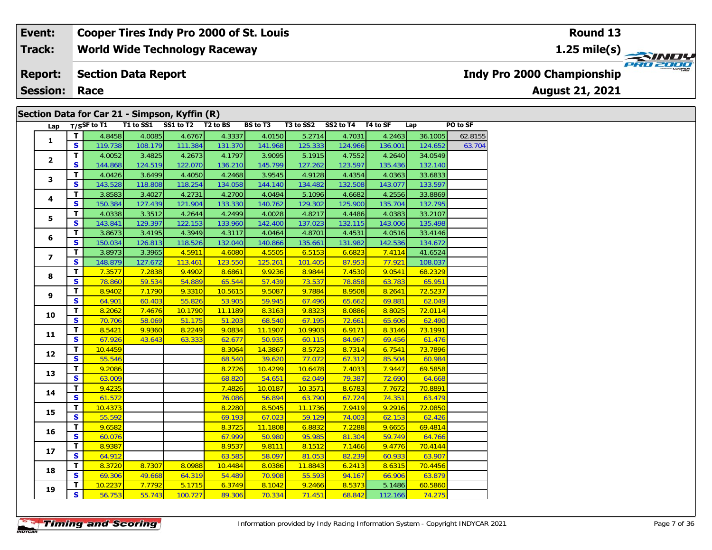**World Wide Technology Raceway Track:**

#### **Section Data Report Report:**

**Session: Race**

### **Section Data for Car 21 - Simpson, Kyffin (R)**

| Lap                     |                         | T/SSF to T1 T1 to SS1 |         | SS1 to T2 | T <sub>2</sub> to BS | <b>BS</b> to T3 | T3 to SS2 | SS2 to T4 T4 to SF |         | Lap     | PO to SF |
|-------------------------|-------------------------|-----------------------|---------|-----------|----------------------|-----------------|-----------|--------------------|---------|---------|----------|
|                         | T                       | 4.8458                | 4.0085  | 4.6767    | 4.3337               | 4.0150          | 5.2714    | 4.7031             | 4.2463  | 36.1005 | 62.8155  |
| $\mathbf{1}$            | S.                      | 119.738               | 108.179 | 111.384   | 131.370              | 141.968         | 125.333   | 124.966            | 136.001 | 124.652 | 63.704   |
|                         | $\overline{\mathsf{r}}$ | 4.0052                | 3.4825  | 4.2673    | 4.1797               | 3.9095          | 5.1915    | 4.7552             | 4.2640  | 34.0549 |          |
| $\overline{2}$          | $\mathbf{s}$            | 144.868               | 124.519 | 122.070   | 136.210              | 145.799         | 127.262   | 123.597            | 135.436 | 132.140 |          |
|                         | T                       | 4.0426                | 3.6499  | 4.4050    | 4.2468               | 3.9545          | 4.9128    | 4.4354             | 4.0363  | 33.6833 |          |
| 3                       | $\mathbf{s}$            | 143.528               | 118.808 | 118.254   | 134.058              | 144.140         | 134.482   | 132.508            | 143.077 | 133.597 |          |
|                         | $\overline{\mathsf{T}}$ | 3.8583                | 3.4027  | 4.2731    | 4.2700               | 4.0494          | 5.1096    | 4.6682             | 4.2556  | 33.8869 |          |
| 4                       | S                       | 150.384               | 127.439 | 121.904   | 133.330              | 140.762         | 129.302   | 125.900            | 135.704 | 132.795 |          |
|                         | т                       | 4.0338                | 3.3512  | 4.2644    | 4.2499               | 4.0028          | 4.8217    | 4.4486             | 4.0383  | 33.2107 |          |
| 5                       | S                       | 143.841               | 129.397 | 122.153   | 133.960              | 142.400         | 137.023   | 132.115            | 143.006 | 135.498 |          |
|                         | T                       | 3.8673                | 3.4195  | 4.3949    | 4.3117               | 4.0464          | 4.8701    | 4.4531             | 4.0516  | 33.4146 |          |
| 6                       | S                       | 150.034               | 126.813 | 118.526   | 132.040              | 140.866         | 135.661   | 131.982            | 142.536 | 134.672 |          |
|                         | T                       | 3.8973                | 3.3965  | 4.5911    | 4.6080               | 4.5505          | 6.5153    | 6.6823             | 7.4114  | 41.6524 |          |
| $\overline{\mathbf{z}}$ | $\mathbf{s}$            | 148.879               | 127.672 | 113.461   | 123.550              | 125.261         | 101.405   | 87.953             | 77.921  | 108.037 |          |
|                         | T                       | 7.3577                | 7.2838  | 9.4902    | 8.6861               | 9.9236          | 8.9844    | 7.4530             | 9.0541  | 68.2329 |          |
| 8                       | $\mathbf{s}$            | 78.860                | 59.534  | 54.889    | 65.544               | 57.439          | 73.537    | 78.858             | 63.783  | 65.951  |          |
|                         | $\mathbf{T}$            | 8.9402                | 7.1790  | 9.3310    | 10.5615              | 9.5087          | 9.7884    | 8.9508             | 8.2641  | 72.5237 |          |
| 9                       | $\overline{\mathbf{s}}$ | 64.901                | 60.403  | 55.826    | 53.905               | 59.945          | 67.496    | 65.662             | 69.881  | 62.049  |          |
|                         | $\overline{\mathsf{r}}$ | 8.2062                | 7.4676  | 10.1790   | 11.1189              | 8.3163          | 9.8323    | 8.0886             | 8.8025  | 72.0114 |          |
| 10                      | <b>S</b>                | 70.706                | 58.069  | 51.175    | 51.203               | 68.540          | 67.195    | 72.661             | 65.606  | 62.490  |          |
|                         | T                       | 8.5421                | 9.9360  | 8.2249    | 9.0834               | 11.1907         | 10.9903   | 6.9171             | 8.3146  | 73.1991 |          |
| 11                      | S                       | 67.926                | 43.643  | 63.333    | 62.677               | 50.935          | 60.115    | 84.967             | 69.456  | 61.476  |          |
|                         | $\mathbf{T}$            | 10.4459               |         |           | 8.3064               | 14.3867         | 8.5723    | 8.7314             | 6.7541  | 73.7896 |          |
| 12                      | $\overline{\mathbf{s}}$ | 55.546                |         |           | 68.540               | 39.620          | 77.072    | 67.312             | 85.504  | 60.984  |          |
| 13                      | $\mathbf{T}$            | 9.2086                |         |           | 8.2726               | 10.4299         | 10.6478   | 7.4033             | 7.9447  | 69.5858 |          |
|                         | $\overline{\mathbf{s}}$ | 63.009                |         |           | 68.820               | 54.651          | 62.049    | 79.387             | 72.690  | 64.668  |          |
| 14                      | T                       | 9.4235                |         |           | 7.4826               | 10.0187         | 10.3571   | 8.6783             | 7.7672  | 70.8891 |          |
|                         | $\mathbf{s}$            | 61.572                |         |           | 76.086               | 56.894          | 63.790    | 67.724             | 74.351  | 63.479  |          |
| 15                      | $\mathbf{T}$            | 10.4373               |         |           | 8.2280               | 8.5045          | 11.1736   | 7.9419             | 9.2916  | 72.0850 |          |
|                         | $\overline{\mathbf{s}}$ | 55.592                |         |           | 69.193               | 67.023          | 59.129    | 74.003             | 62.153  | 62.426  |          |
| 16                      | $\mathbf T$             | 9.6582                |         |           | 8.3725               | 11.1808         | 6.8832    | 7.2288             | 9.6655  | 69.4814 |          |
|                         | $\overline{\mathbf{s}}$ | 60.076                |         |           | 67.999               | 50.980          | 95.985    | 81.304             | 59.749  | 64.766  |          |
| 17                      | $\overline{\mathsf{r}}$ | 8.9387                |         |           | 8.9537               | 9.8111          | 8.1512    | 7.1466             | 9.4776  | 70.4144 |          |
|                         | $\mathbf{s}$            | 64.912                |         |           | 63.585               | 58.097          | 81.053    | 82.239             | 60.933  | 63.907  |          |
| 18                      | T                       | 8.3720                | 8.7307  | 8.0988    | 10.4484              | 8.0386          | 11.8843   | 6.2413             | 8.6315  | 70.4456 |          |
|                         | $\mathbf{s}$            | 69.306                | 49.668  | 64.319    | 54.489               | 70.908          | 55.593    | 94.167             | 66.906  | 63.879  |          |
| 19                      | T                       | 10.2237               | 7.7792  | 5.1715    | 6.3749               | 8.1042          | 9.2466    | 8.5373             | 5.1486  | 60.5860 |          |
|                         | $\overline{\mathbf{s}}$ | 56.753                | 55.743  | 100.727   | 89.306               | 70.334          | 71.451    | 68.842             | 112.166 | 74.275  |          |

**Indy Pro 2000 Championship**

**August 21, 2021**

**Timing and Scoring** 

**Round 13**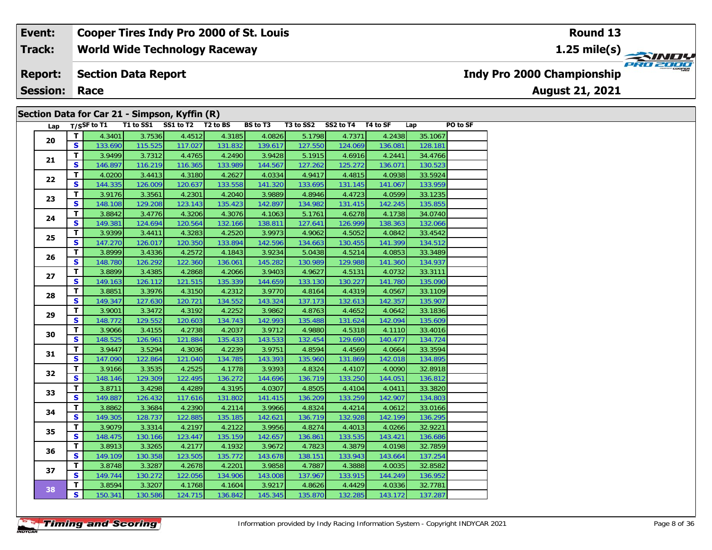**World Wide Technology Raceway Track:**

#### **Section Data Report Report:**

**Session: Race**

### **Section Data for Car 21 - Simpson, Kyffin (R)**

| Lap |                                                                                                                                                                                                                                                                                                                                                |         | T/SSF to T1 T1 to SS1 SS1 to T2 T2 to BS |         |         | BS to T3 |         | T3 to SS2 SS2 to T4 T4 to SF |         | Lap     | PO to SF |
|-----|------------------------------------------------------------------------------------------------------------------------------------------------------------------------------------------------------------------------------------------------------------------------------------------------------------------------------------------------|---------|------------------------------------------|---------|---------|----------|---------|------------------------------|---------|---------|----------|
|     | T.                                                                                                                                                                                                                                                                                                                                             | 4.3401  | 3.7536                                   | 4.4512  | 4.3185  | 4.0826   | 5.1798  | 4.7371                       | 4.2438  | 35.1067 |          |
|     | S.                                                                                                                                                                                                                                                                                                                                             | 133.690 | 115.525                                  | 117.027 | 131.832 | 139.617  | 127.550 | 124.069                      | 136.081 | 128.181 |          |
|     | T.                                                                                                                                                                                                                                                                                                                                             | 3.9499  | 3.7312                                   | 4.4765  | 4.2490  | 3.9428   | 5.1915  | 4.6916                       | 4.2441  | 34.4766 |          |
|     | 20<br>21<br>S<br>T<br>22<br>$\mathbf{s}$<br>T<br>23<br>S<br>T<br>24<br>S<br>T<br>25<br>$\mathbf{s}$<br>T<br>26<br>S<br>$\mathbf T$<br>27<br>S<br>T<br>28<br>$\mathbf{s}$<br>$\mathbf{T}$<br>29<br>S<br>T<br>30<br>$\mathbf{s}$<br>T.<br>31<br>S<br>$\mathbf T$<br>32<br>S<br>T<br>33<br>$\mathbf{s}$<br>T<br>34<br>S<br>$\mathbf T$<br>35<br>S | 146.897 | 116.219                                  | 116.365 | 133.989 | 144.567  | 127.262 | 125.272                      | 136.071 | 130.523 |          |
|     |                                                                                                                                                                                                                                                                                                                                                | 4.0200  | 3.4413                                   | 4.3180  | 4.2627  | 4.0334   | 4.9417  | 4.4815                       | 4.0938  | 33.5924 |          |
|     |                                                                                                                                                                                                                                                                                                                                                | 144.335 | 126.009                                  | 120.637 | 133.558 | 141.320  | 133.695 | 131.145                      | 141.067 | 133.959 |          |
|     |                                                                                                                                                                                                                                                                                                                                                | 3.9176  | 3.3561                                   | 4.2301  | 4.2040  | 3.9889   | 4.8946  | 4.4723                       | 4.0599  | 33.1235 |          |
|     |                                                                                                                                                                                                                                                                                                                                                | 148.108 | 129.208                                  | 123.143 | 135.423 | 142.897  | 134.982 | 131.415                      | 142.245 | 135.855 |          |
|     |                                                                                                                                                                                                                                                                                                                                                | 3.8842  | 3.4776                                   | 4.3206  | 4.3076  | 4.1063   | 5.1761  | 4.6278                       | 4.1738  | 34.0740 |          |
|     |                                                                                                                                                                                                                                                                                                                                                | 149.381 | 124.694                                  | 120.564 | 132.166 | 138.811  | 127.641 | 126.999                      | 138.363 | 132.066 |          |
|     |                                                                                                                                                                                                                                                                                                                                                | 3.9399  | 3.4411                                   | 4.3283  | 4.2520  | 3.9973   | 4.9062  | 4.5052                       | 4.0842  | 33.4542 |          |
|     |                                                                                                                                                                                                                                                                                                                                                | 147.270 | 126.017                                  | 120.350 | 133.894 | 142.596  | 134.663 | 130.455                      | 141.399 | 134.512 |          |
|     |                                                                                                                                                                                                                                                                                                                                                | 3.8999  | 3.4336                                   | 4.2572  | 4.1843  | 3.9234   | 5.0438  | 4.5214                       | 4.0853  | 33.3489 |          |
|     |                                                                                                                                                                                                                                                                                                                                                | 148.780 | 126.292                                  | 122.360 | 136.061 | 145.282  | 130.989 | 129.988                      | 141.360 | 134.937 |          |
|     |                                                                                                                                                                                                                                                                                                                                                | 3.8899  | 3.4385                                   | 4.2868  | 4.2066  | 3.9403   | 4.9627  | 4.5131                       | 4.0732  | 33.3111 |          |
|     |                                                                                                                                                                                                                                                                                                                                                | 149.163 | 126.112                                  | 121.515 | 135.339 | 144.659  | 133.130 | 130.227                      | 141.780 | 135.090 |          |
|     |                                                                                                                                                                                                                                                                                                                                                | 3.8851  | 3.3976                                   | 4.3150  | 4.2312  | 3.9770   | 4.8164  | 4.4319                       | 4.0567  | 33.1109 |          |
|     |                                                                                                                                                                                                                                                                                                                                                | 149.347 | 127.630                                  | 120.721 | 134.552 | 143.324  | 137.173 | 132.613                      | 142.357 | 135.907 |          |
|     |                                                                                                                                                                                                                                                                                                                                                | 3.9001  | 3.3472                                   | 4.3192  | 4.2252  | 3.9862   | 4.8763  | 4.4652                       | 4.0642  | 33.1836 |          |
|     |                                                                                                                                                                                                                                                                                                                                                | 148.772 | 129.552                                  | 120.603 | 134.743 | 142.993  | 135.488 | 131.624                      | 142.094 | 135.609 |          |
|     |                                                                                                                                                                                                                                                                                                                                                | 3.9066  | 3.4155                                   | 4.2738  | 4.2037  | 3.9712   | 4.9880  | 4.5318                       | 4.1110  | 33.4016 |          |
|     |                                                                                                                                                                                                                                                                                                                                                | 148.525 | 126.961                                  | 121.884 | 135.433 | 143.533  | 132.454 | 129.690                      | 140.477 | 134.724 |          |
|     |                                                                                                                                                                                                                                                                                                                                                | 3.9447  | 3.5294                                   | 4.3036  | 4.2239  | 3.9751   | 4.8594  | 4.4569                       | 4.0664  | 33.3594 |          |
|     |                                                                                                                                                                                                                                                                                                                                                | 147.090 | 122.864                                  | 121.040 | 134.785 | 143.393  | 135.960 | 131.869                      | 142.018 | 134.895 |          |
|     |                                                                                                                                                                                                                                                                                                                                                | 3.9166  | 3.3535                                   | 4.2525  | 4.1778  | 3.9393   | 4.8324  | 4.4107                       | 4.0090  | 32.8918 |          |
|     |                                                                                                                                                                                                                                                                                                                                                | 148.146 | 129.309                                  | 122.495 | 136.272 | 144.696  | 136.719 | 133.250                      | 144.051 | 136.812 |          |
|     |                                                                                                                                                                                                                                                                                                                                                | 3.8711  | 3.4298                                   | 4.4289  | 4.3195  | 4.0307   | 4.8505  | 4.4104                       | 4.0411  | 33.3820 |          |
|     |                                                                                                                                                                                                                                                                                                                                                | 149.887 | 126.432                                  | 117.616 | 131.802 | 141.415  | 136.209 | 133.259                      | 142.907 | 134.803 |          |
|     |                                                                                                                                                                                                                                                                                                                                                | 3.8862  | 3.3684                                   | 4.2390  | 4.2114  | 3.9966   | 4.8324  | 4.4214                       | 4.0612  | 33.0166 |          |
|     |                                                                                                                                                                                                                                                                                                                                                | 149.305 | 128.737                                  | 122.885 | 135.185 | 142.621  | 136.719 | 132.928                      | 142.199 | 136.295 |          |
|     |                                                                                                                                                                                                                                                                                                                                                | 3.9079  | 3.3314                                   | 4.2197  | 4.2122  | 3.9956   | 4.8274  | 4.4013                       | 4.0266  | 32.9221 |          |
|     |                                                                                                                                                                                                                                                                                                                                                | 148.475 | 130.166                                  | 123.447 | 135.159 | 142.657  | 136.861 | 133.535                      | 143.421 | 136.686 |          |
|     | T.                                                                                                                                                                                                                                                                                                                                             | 3.8913  | 3.3265                                   | 4.2177  | 4.1932  | 3.9672   | 4.7823  | 4.3879                       | 4.0198  | 32.7859 |          |
| 36  | S                                                                                                                                                                                                                                                                                                                                              | 149.109 | 130.358                                  | 123.505 | 135.772 | 143.678  | 138.151 | 133.943                      | 143.664 | 137.254 |          |
| 37  | T.                                                                                                                                                                                                                                                                                                                                             | 3.8748  | 3.3287                                   | 4.2678  | 4.2201  | 3.9858   | 4.7887  | 4.3888                       | 4.0035  | 32.8582 |          |
|     | $\mathbf{s}$                                                                                                                                                                                                                                                                                                                                   | 149.744 | 130.272                                  | 122.056 | 134.906 | 143.008  | 137.967 | 133.915                      | 144.249 | 136.952 |          |
|     | T                                                                                                                                                                                                                                                                                                                                              | 3.8594  | 3.3207                                   | 4.1768  | 4.1604  | 3.9217   | 4.8626  | 4.4429                       | 4.0336  | 32.7781 |          |
| 38  | $\overline{\mathbf{s}}$                                                                                                                                                                                                                                                                                                                        | 150.341 | 130.586                                  | 124.715 | 136.842 | 145.345  | 135.870 | 132.285                      | 143.172 | 137.287 |          |

**Round 13**

**1.25 mile(s)**

**August 21, 2021**

**Indy Pro 2000 Championship**



**Timing and Scoring**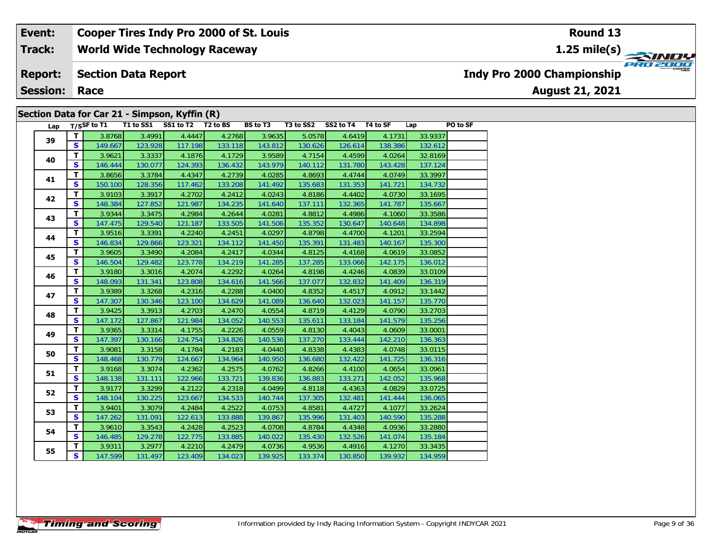#### **World Wide Technology Raceway Event: Cooper Tires Indy Pro 2000 of St. Louis Track:**

#### **Section Data Report Report:**

**Session: Race**

### **Section Data for Car 21 - Simpson, Kyffin (R)**

| Lap |              | $T/S$ SF to T1 | T1 to SS1 | SS1 to T2 | T <sub>2</sub> to BS | BS to T3 |         | T3 to SS2 SS2 to T4 T4 to SF |         | Lap     | PO to SF |
|-----|--------------|----------------|-----------|-----------|----------------------|----------|---------|------------------------------|---------|---------|----------|
| 39  | T.           | 3.8768         | 3.4991    | 4.4447    | 4.2768               | 3.9635   | 5.0578  | 4.6419                       | 4.1731  | 33.9337 |          |
|     | S            | 149.667        | 123.928   | 117.198   | 133.118              | 143.812  | 130.626 | 126.614                      | 138.386 | 132.612 |          |
| 40  | T.           | 3.9621         | 3.3337    | 4.1876    | 4.1729               | 3.9589   | 4.7154  | 4.4599                       | 4.0264  | 32.8169 |          |
|     | S            | 146.444        | 130.077   | 124.393   | 136.432              | 143.979  | 140.112 | 131.780                      | 143.428 | 137.124 |          |
| 41  | T.           | 3.8656         | 3.3784    | 4.4347    | 4.2739               | 4.0285   | 4.8693  | 4.4744                       | 4.0749  | 33.3997 |          |
|     | $\mathbf{s}$ | 150.100        | 128.356   | 117.462   | 133.208              | 141.492  | 135.683 | 131.353                      | 141.721 | 134.732 |          |
| 42  | T.           | 3.9103         | 3.3917    | 4.2702    | 4.2412               | 4.0243   | 4.8186  | 4.4402                       | 4.0730  | 33.1695 |          |
|     | S            | 148.384        | 127.852   | 121.987   | 134.235              | 141.640  | 137.111 | 132.365                      | 141.787 | 135.667 |          |
| 43  | T.           | 3.9344         | 3.3475    | 4.2984    | 4.2644               | 4.0281   | 4.8812  | 4.4986                       | 4.1060  | 33.3586 |          |
|     | <b>S</b>     | 147.475        | 129.540   | 121.187   | 133.505              | 141.506  | 135.352 | 130.647                      | 140.648 | 134.898 |          |
| 44  | T            | 3.9516         | 3.3391    | 4.2240    | 4.2451               | 4.0297   | 4.8798  | 4.4700                       | 4.1201  | 33.2594 |          |
|     | $\mathbf{s}$ | 146.834        | 129.866   | 123.321   | 134.112              | 141.450  | 135.391 | 131.483                      | 140.167 | 135.300 |          |
| 45  | T            | 3.9605         | 3.3490    | 4.2084    | 4.2417               | 4.0344   | 4.8125  | 4.4168                       | 4.0619  | 33.0852 |          |
|     | <b>S</b>     | 146.504        | 129.482   | 123.778   | 134.219              | 141.285  | 137.285 | 133.066                      | 142.175 | 136.012 |          |
| 46  | T            | 3.9180         | 3.3016    | 4.2074    | 4.2292               | 4.0264   | 4.8198  | 4.4246                       | 4.0839  | 33.0109 |          |
|     | S            | 148.093        | 131.341   | 123.808   | 134.616              | 141.566  | 137.077 | 132.832                      | 141.409 | 136.319 |          |
| 47  | T.           | 3.9389         | 3.3268    | 4.2316    | 4.2288               | 4.0400   | 4.8352  | 4.4517                       | 4.0912  | 33.1442 |          |
|     | S            | 147.307        | 130.346   | 123.100   | 134.629              | 141.089  | 136.640 | 132.023                      | 141.157 | 135.770 |          |
| 48  | T.           | 3.9425         | 3.3913    | 4.2703    | 4.2470               | 4.0554   | 4.8719  | 4.4129                       | 4.0790  | 33.2703 |          |
|     | S            | 147.172        | 127.867   | 121.984   | 134.052              | 140.553  | 135.611 | 133.184                      | 141.579 | 135.256 |          |
| 49  | T.           | 3.9365         | 3.3314    | 4.1755    | 4.2226               | 4.0559   | 4.8130  | 4.4043                       | 4.0609  | 33.0001 |          |
|     | $\mathbf{s}$ | 147.397        | 130.166   | 124.754   | 134.826              | 140.536  | 137.270 | 133.444                      | 142.210 | 136.363 |          |
| 50  | T.           | 3.9081         | 3.3158    | 4.1784    | 4.2183               | 4.0440   | 4.8338  | 4.4383                       | 4.0748  | 33.0115 |          |
|     | S            | 148.468        | 130.779   | 124.667   | 134.964              | 140.950  | 136.680 | 132.422                      | 141.725 | 136.316 |          |
| 51  | T.           | 3.9168         | 3.3074    | 4.2362    | 4.2575               | 4.0762   | 4.8266  | 4.4100                       | 4.0654  | 33.0961 |          |
|     | S            | 148.138        | 131.111   | 122.966   | 133.721              | 139.836  | 136.883 | 133.271                      | 142.052 | 135.968 |          |
| 52  | T            | 3.9177         | 3.3299    | 4.2122    | 4.2318               | 4.0499   | 4.8118  | 4.4363                       | 4.0829  | 33.0725 |          |
|     | $\mathbf{s}$ | 148.104        | 130.225   | 123.667   | 134.533              | 140.744  | 137.305 | 132.481                      | 141.444 | 136.065 |          |
| 53  | T            | 3.9401         | 3.3079    | 4.2484    | 4.2522               | 4.0753   | 4.8581  | 4.4727                       | 4.1077  | 33.2624 |          |
|     | <b>S</b>     | 147.262        | 131.091   | 122.613   | 133.888              | 139.867  | 135.996 | 131.403                      | 140.590 | 135.288 |          |
| 54  | T.           | 3.9610         | 3.3543    | 4.2428    | 4.2523               | 4.0708   | 4.8784  | 4.4348                       | 4.0936  | 33.2880 |          |
|     | S.           | 146.485        | 129.278   | 122.775   | 133.885              | 140.022  | 135.430 | 132.526                      | 141.074 | 135.184 |          |
| 55  | T.           | 3.9311         | 3.2977    | 4.2210    | 4.2479               | 4.0736   | 4.9536  | 4.4916                       | 4.1270  | 33.3435 |          |
|     | S            | 147.599        | 131.497   | 123.409   | 134.023              | 139.925  | 133.374 | 130.850                      | 139.932 | 134.959 |          |

## **Indy Pro 2000 Championship**

**August 21, 2021**

### **Round 13**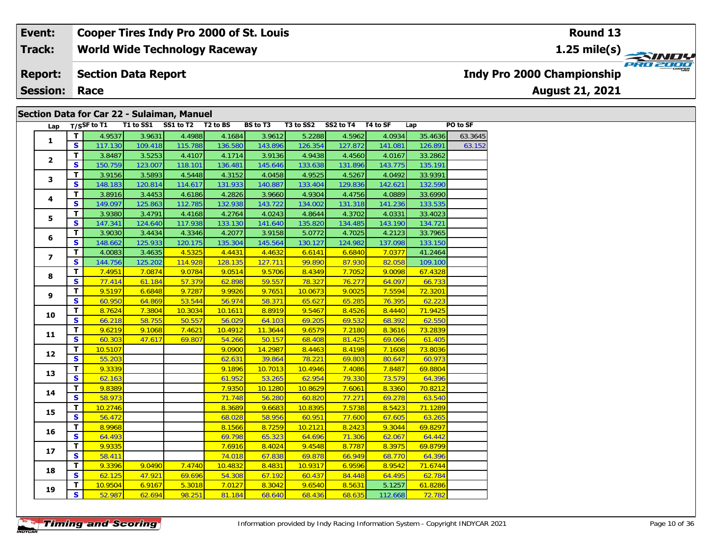#### **World Wide Technology Raceway Section Data Report August 21, 2021 Event: Cooper Tires Indy Pro 2000 of St. Louis Track: Report: Session: Race Indy Pro 2000 Championship 1.25 mile(s) Round 13**

### **Section Data for Car 22 - Sulaiman, Manuel**

| Lap            |                         |         | $T/SSF$ to T1 T1 to SS1 | SS1 to T2 T2 to BS |         | <b>BS to T3</b> | T3 to SS2 | SS2 to T4 T4 to SF |         | Lap     | PO to SF |
|----------------|-------------------------|---------|-------------------------|--------------------|---------|-----------------|-----------|--------------------|---------|---------|----------|
|                | T                       | 4.9537  | 3.9631                  | 4.4988             | 4.1684  | 3.9612          | 5.2288    | 4.5962             | 4.0934  | 35.4636 | 63.3645  |
| $\mathbf{1}$   | S                       | 117.130 | 109.418                 | 115.788            | 136.580 | 143.896         | 126.354   | 127.872            | 141.081 | 126.891 | 63.152   |
|                | $\mathbf{T}$            | 3.8487  | 3.5253                  | 4.4107             | 4.1714  | 3.9136          | 4.9438    | 4.4560             | 4.0167  | 33.2862 |          |
| $\mathbf{2}$   | S                       | 150.759 | 123.007                 | 118.101            | 136.481 | 145.646         | 133.638   | 131.896            | 143.775 | 135.191 |          |
|                | T.                      | 3.9156  | 3.5893                  | 4.5448             | 4.3152  | 4.0458          | 4.9525    | 4.5267             | 4.0492  | 33.9391 |          |
| 3              | $\mathbf{s}$            | 148.183 | 120.814                 | 114.617            | 131.933 | 140.887         | 133.404   | 129.836            | 142.621 | 132.590 |          |
|                | T                       | 3.8916  | 3.4453                  | 4.6186             | 4.2826  | 3.9660          | 4.9304    | 4.4756             | 4.0889  | 33.6990 |          |
| 4              | S                       | 149.097 | 125.863                 | 112.785            | 132.938 | 143.722         | 134.002   | 131.318            | 141.236 | 133.535 |          |
| 5              | T                       | 3.9380  | 3.4791                  | 4.4168             | 4.2764  | 4.0243          | 4.8644    | 4.3702             | 4.0331  | 33.4023 |          |
|                | S                       | 147.341 | 124.640                 | 117.938            | 133.130 | 141.640         | 135.820   | 134.485            | 143.190 | 134.721 |          |
|                | T.                      | 3.9030  | 3.4434                  | 4.3346             | 4.2077  | 3.9158          | 5.0772    | 4.7025             | 4.2123  | 33.7965 |          |
| 6              | S                       | 148.662 | 125.933                 | 120.175            | 135.304 | 145.564         | 130.127   | 124.982            | 137.098 | 133.150 |          |
|                | $\overline{\mathsf{r}}$ | 4.0083  | 3.4635                  | 4.5325             | 4.4431  | 4.4632          | 6.6141    | 6.6840             | 7.0377  | 41.2464 |          |
| $\overline{ }$ | S                       | 144.756 | 125.202                 | 114.928            | 128.135 | 127.711         | 99.890    | 87.930             | 82.058  | 109.100 |          |
| 8              | T                       | 7.4951  | 7.0874                  | 9.0784             | 9.0514  | 9.5706          | 8.4349    | 7.7052             | 9.0098  | 67.4328 |          |
|                | $\mathbf{s}$            | 77.414  | 61.184                  | 57.379             | 62.898  | 59.557          | 78.327    | 76.277             | 64.097  | 66.733  |          |
| 9              | T.                      | 9.5197  | 6.6848                  | 9.7287             | 9.9926  | 9.7651          | 10.0673   | 9.0025             | 7.5594  | 72.3201 |          |
|                | $\mathbf{s}$            | 60.950  | 64.869                  | 53.544             | 56.974  | 58.371          | 65.627    | 65.285             | 76.395  | 62.223  |          |
| 10             | $\overline{\mathbf{T}}$ | 8.7624  | 7.3804                  | 10.3034            | 10.1611 | 8.8919          | 9.5467    | 8.4526             | 8.4440  | 71.9425 |          |
|                | S                       | 66.218  | 58.755                  | 50.557             | 56.029  | 64.103          | 69.205    | 69.532             | 68.392  | 62.550  |          |
| 11             | T                       | 9.6219  | 9.1068                  | 7.4621             | 10.4912 | 11.3644         | 9.6579    | 7.2180             | 8.3616  | 73.2839 |          |
|                | $\mathbf{s}$            | 60.303  | 47.617                  | 69.807             | 54.266  | 50.157          | 68.408    | 81.425             | 69.066  | 61.405  |          |
| 12             | $\mathbf{T}$            | 10.5107 |                         |                    | 9.0900  | 14.2987         | 8.4463    | 8.4198             | 7.1608  | 73.8036 |          |
|                | $\mathbf{s}$            | 55.203  |                         |                    | 62.631  | 39.864          | 78.221    | 69.803             | 80.647  | 60.973  |          |
| 13             | T.                      | 9.3339  |                         |                    | 9.1896  | 10.7013         | 10.4946   | 7.4086             | 7.8487  | 69.8804 |          |
|                | $\overline{\mathbf{s}}$ | 62.163  |                         |                    | 61.952  | 53.265          | 62.954    | 79.330             | 73.579  | 64.396  |          |
| 14             | T.                      | 9.8389  |                         |                    | 7.9350  | 10.1280         | 10.8629   | 7.6061             | 8.3360  | 70.8212 |          |
|                | $\overline{\mathbf{s}}$ | 58.973  |                         |                    | 71.748  | 56.280          | 60.820    | 77.271             | 69.278  | 63.540  |          |
| 15             | T                       | 10.2746 |                         |                    | 8.3689  | 9.6683          | 10.8395   | 7.5738             | 8.5423  | 71.1289 |          |
|                | $\overline{\mathbf{s}}$ | 56.472  |                         |                    | 68.028  | 58.956          | 60.951    | 77.600             | 67.605  | 63.265  |          |
| 16             | T                       | 8.9968  |                         |                    | 8.1566  | 8.7259          | 10.2121   | 8.2423             | 9.3044  | 69.8297 |          |
|                | $\mathbf{s}$            | 64.493  |                         |                    | 69.798  | 65.323          | 64.696    | 71.306             | 62.067  | 64.442  |          |
| 17             | T                       | 9.9335  |                         |                    | 7.6916  | 8.4024          | 9.4548    | 8.7787             | 8.3975  | 69.8799 |          |
|                | $\mathbf{s}$            | 58.411  |                         |                    | 74.018  | 67.838          | 69.878    | 66.949             | 68.770  | 64.396  |          |
| 18             | $\overline{\mathbf{T}}$ | 9.3396  | 9.0490                  | 7.4740             | 10.4832 | 8.4831          | 10.9317   | 6.9596             | 8.9542  | 71.6744 |          |
|                | $\mathbf{s}$            | 62.125  | 47.921                  | 69.696             | 54.308  | 67.192          | 60.437    | 84.448             | 64.495  | 62.784  |          |
| 19             | T.                      | 10.9504 | 6.9167                  | 5.3018             | 7.0127  | 8.3042          | 9.6540    | 8.5631             | 5.1257  | 61.8286 |          |
|                | $\overline{\mathbf{s}}$ | 52.987  | 62.694                  | 98.251             | 81.184  | 68.640          | 68.436    | 68.635             | 112.668 | 72.782  |          |

**PRO 2000**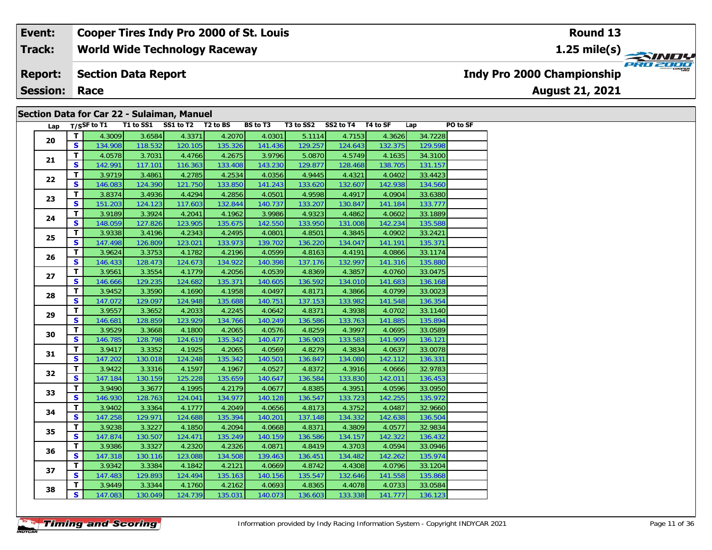#### **Event: Cooper Tires Indy Pro 2000 of St. Louis Round 131.25 mile(s) World Wide Technology Raceway Track:** PRO 2000 **Report: Section Data Report Indy Pro 2000 Championship August 21, 2021 Session: Race**

### **Section Data for Car 22 - Sulaiman, Manuel**

| Lap |                         | T/SSF to $T1$ | T1 to SS1 SS1 to T2 T2 to BS |         |         | BS to T3 | T3 to SS2 SS2 to T4 T4 to SF |         |         | Lap     | PO to SF |
|-----|-------------------------|---------------|------------------------------|---------|---------|----------|------------------------------|---------|---------|---------|----------|
| 20  | $\mathbf{T}$            | 4.3009        | 3.6584                       | 4.3371  | 4.2070  | 4.0301   | 5.1114                       | 4.7153  | 4.3626  | 34.7228 |          |
|     | <b>S</b>                | 134.908       | 118.532                      | 120.105 | 135.326 | 141.436  | 129.257                      | 124.643 | 132.375 | 129.598 |          |
|     | $\mathbf{T}$            | 4.0578        | 3.7031                       | 4.4766  | 4.2675  | 3.9796   | 5.0870                       | 4.5749  | 4.1635  | 34.3100 |          |
| 21  | S                       | 142.991       | 117.101                      | 116.363 | 133.408 | 143.230  | 129.877                      | 128.468 | 138.705 | 131.157 |          |
| 22  | T                       | 3.9719        | 3.4861                       | 4.2785  | 4.2534  | 4.0356   | 4.9445                       | 4.4321  | 4.0402  | 33.4423 |          |
|     | $\mathbf{s}$            | 146.083       | 124.390                      | 121.750 | 133.850 | 141.243  | 133.620                      | 132.607 | 142.938 | 134.560 |          |
| 23  | T                       | 3.8374        | 3.4936                       | 4.4294  | 4.2856  | 4.0501   | 4.9598                       | 4.4917  | 4.0904  | 33.6380 |          |
|     | $\mathbf{s}$            | 151.203       | 124.123                      | 117.603 | 132.844 | 140.737  | 133.207                      | 130.847 | 141.184 | 133.777 |          |
| 24  | T                       | 3.9189        | 3.3924                       | 4.2041  | 4.1962  | 3.9986   | 4.9323                       | 4.4862  | 4.0602  | 33.1889 |          |
|     | S                       | 148.059       | 127.826                      | 123.905 | 135.675 | 142.550  | 133.950                      | 131.008 | 142.234 | 135.588 |          |
| 25  | T                       | 3.9338        | 3.4196                       | 4.2343  | 4.2495  | 4.0801   | 4.8501                       | 4.3845  | 4.0902  | 33.2421 |          |
|     | $\mathbf{s}$            | 147.498       | 126.809                      | 123.021 | 133.973 | 139.702  | 136.220                      | 134.047 | 141.191 | 135.371 |          |
|     | $\mathbf{T}$            | 3.9624        | 3.3753                       | 4.1782  | 4.2196  | 4.0599   | 4.8163                       | 4.4191  | 4.0866  | 33.1174 |          |
| 26  | S                       | 146.433       | 128.473                      | 124.673 | 134.922 | 140.398  | 137.176                      | 132.997 | 141.316 | 135.880 |          |
| 27  | T                       | 3.9561        | 3.3554                       | 4.1779  | 4.2056  | 4.0539   | 4.8369                       | 4.3857  | 4.0760  | 33.0475 |          |
|     | $\mathbf{s}$            | 146.666       | 129.235                      | 124.682 | 135.371 | 140.605  | 136.592                      | 134.010 | 141.683 | 136.168 |          |
|     | $\mathbf{T}$            | 3.9452        | 3.3590                       | 4.1690  | 4.1958  | 4.0497   | 4.8171                       | 4.3866  | 4.0799  | 33.0023 |          |
| 28  | S                       | 147.072       | 129.097                      | 124.948 | 135.688 | 140.751  | 137.153                      | 133.982 | 141.548 | 136.354 |          |
| 29  | T                       | 3.9557        | 3.3652                       | 4.2033  | 4.2245  | 4.0642   | 4.8371                       | 4.3938  | 4.0702  | 33.1140 |          |
|     | $\mathbf{s}$            | 146.681       | 128.859                      | 123.929 | 134.766 | 140.249  | 136.586                      | 133.763 | 141.885 | 135.894 |          |
| 30  | T                       | 3.9529        | 3.3668                       | 4.1800  | 4.2065  | 4.0576   | 4.8259                       | 4.3997  | 4.0695  | 33.0589 |          |
|     | $\mathbf{s}$            | 146.785       | 128.798                      | 124.619 | 135.342 | 140.477  | 136.903                      | 133.583 | 141.909 | 136.121 |          |
|     | T                       | 3.9417        | 3.3352                       | 4.1925  | 4.2065  | 4.0569   | 4.8279                       | 4.3834  | 4.0637  | 33.0078 |          |
| 31  | $\mathbf{s}$            | 147.202       | 130.018                      | 124.248 | 135.342 | 140.501  | 136.847                      | 134.080 | 142.112 | 136.331 |          |
| 32  | $\mathbf{T}$            | 3.9422        | 3.3316                       | 4.1597  | 4.1967  | 4.0527   | 4.8372                       | 4.3916  | 4.0666  | 32.9783 |          |
|     | S                       | 147.184       | 130.159                      | 125.228 | 135.659 | 140.647  | 136.584                      | 133.830 | 142.011 | 136.453 |          |
| 33  | T                       | 3.9490        | 3.3677                       | 4.1995  | 4.2179  | 4.0677   | 4.8385                       | 4.3951  | 4.0596  | 33.0950 |          |
|     | $\mathbf{s}$            | 146.930       | 128.763                      | 124.041 | 134.977 | 140.128  | 136.547                      | 133.723 | 142.255 | 135.972 |          |
| 34  | $\mathbf T$             | 3.9402        | 3.3364                       | 4.1777  | 4.2049  | 4.0656   | 4.8173                       | 4.3752  | 4.0487  | 32.9660 |          |
|     | S                       | 147.258       | 129.971                      | 124.688 | 135.394 | 140.201  | 137.148                      | 134.332 | 142.638 | 136.504 |          |
| 35  | T                       | 3.9238        | 3.3227                       | 4.1850  | 4.2094  | 4.0668   | 4.8371                       | 4.3809  | 4.0577  | 32.9834 |          |
|     | $\overline{\mathbf{s}}$ | 147.874       | 130.507                      | 124.471 | 135.249 | 140.159  | 136.586                      | 134.157 | 142.322 | 136.432 |          |
| 36  | T.                      | 3.9386        | 3.3327                       | 4.2320  | 4.2326  | 4.0871   | 4.8419                       | 4.3703  | 4.0594  | 33.0946 |          |
|     | $\mathbf{s}$            | 147.318       | 130.116                      | 123.088 | 134.508 | 139.463  | 136.451                      | 134.482 | 142.262 | 135.974 |          |
| 37  | $\mathbf T$             | 3.9342        | 3.3384                       | 4.1842  | 4.2121  | 4.0669   | 4.8742                       | 4.4308  | 4.0796  | 33.1204 |          |
|     | S                       | 147.483       | 129.893                      | 124.494 | 135.163 | 140.156  | 135.547                      | 132.646 | 141.558 | 135.868 |          |
|     | T.                      | 3.9449        | 3.3344                       | 4.1760  | 4.2162  | 4.0693   | 4.8365                       | 4.4078  | 4.0733  | 33.0584 |          |
| 38  | S                       | 147.083       | 130.049                      | 124.739 | 135.031 | 140.073  | 136.603                      | 133.338 | 141.777 | 136.123 |          |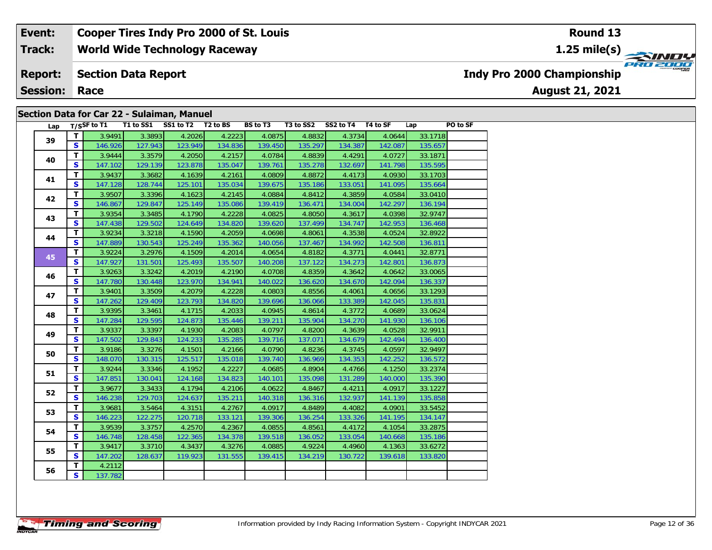#### **Event: Cooper Tires Indy Pro 2000 of St. Louis Round 131.25 mile(s) World Wide Technology Raceway Track: PRO 2000 Report: Section Data Report Indy Pro 2000 Championship Session: Race**

### **Section Data for Car 22 - Sulaiman, Manuel**

| Lap |              | T/SSF to $T1$ |         | T1 to SS1 SS1 to T2 T2 to BS |         | <b>BS to T3</b> |         | T3 to SS2 SS2 to T4 T4 to SF |         | Lap     | PO to SF |
|-----|--------------|---------------|---------|------------------------------|---------|-----------------|---------|------------------------------|---------|---------|----------|
|     | T            | 3.9491        | 3.3893  | 4.2026                       | 4.2223  | 4.0875          | 4.8832  | 4.3734                       | 4.0644  | 33.1718 |          |
| 39  | S            | 146.926       | 127.943 | 123.949                      | 134.836 | 139.450         | 135.297 | 134.387                      | 142.087 | 135.657 |          |
|     | T            | 3.9444        | 3.3579  | 4.2050                       | 4.2157  | 4.0784          | 4.8839  | 4.4291                       | 4.0727  | 33.1871 |          |
| 40  | <b>S</b>     | 147.102       | 129.139 | 123.878                      | 135.047 | 139.761         | 135.278 | 132.697                      | 141.798 | 135.595 |          |
|     | T.           | 3.9437        | 3.3682  | 4.1639                       | 4.2161  | 4.0809          | 4.8872  | 4.4173                       | 4.0930  | 33.1703 |          |
| 41  | <b>S</b>     | 147.128       | 128.744 | 125.101                      | 135.034 | 139.675         | 135.186 | 133.051                      | 141.095 | 135.664 |          |
|     | T.           | 3.9507        | 3.3396  | 4.1623                       | 4.2145  | 4.0884          | 4.8412  | 4.3859                       | 4.0584  | 33.0410 |          |
| 42  | S.           | 146.867       | 129.847 | 125.149                      | 135.086 | 139.419         | 136.471 | 134.004                      | 142.297 | 136.194 |          |
| 43  | T.           | 3.9354        | 3.3485  | 4.1790                       | 4.2228  | 4.0825          | 4.8050  | 4.3617                       | 4.0398  | 32.9747 |          |
|     | S.           | 147.438       | 129.502 | 124.649                      | 134.820 | 139.620         | 137.499 | 134.747                      | 142.953 | 136.468 |          |
| 44  | T.           | 3.9234        | 3.3218  | 4.1590                       | 4.2059  | 4.0698          | 4.8061  | 4.3538                       | 4.0524  | 32.8922 |          |
|     | <b>S</b>     | 147.889       | 130.543 | 125.249                      | 135.362 | 140.056         | 137.467 | 134.992                      | 142.508 | 136.811 |          |
|     | T.           | 3.9224        | 3.2976  | 4.1509                       | 4.2014  | 4.0654          | 4.8182  | 4.3771                       | 4.0441  | 32.8771 |          |
| 45  | S.           | 147.927       | 131.501 | 125.493                      | 135.507 | 140.208         | 137.122 | 134.273                      | 142.801 | 136.873 |          |
| 46  | T            | 3.9263        | 3.3242  | 4.2019                       | 4.2190  | 4.0708          | 4.8359  | 4.3642                       | 4.0642  | 33.0065 |          |
|     | S            | 147.780       | 130.448 | 123.970                      | 134.941 | 140.022         | 136.620 | 134.670                      | 142.094 | 136.337 |          |
| 47  | T.           | 3.9401        | 3.3509  | 4.2079                       | 4.2228  | 4.0803          | 4.8556  | 4.4061                       | 4.0656  | 33.1293 |          |
|     | $\mathbf{s}$ | 147.262       | 129.409 | 123.793                      | 134.820 | 139.696         | 136.066 | 133.389                      | 142.045 | 135.831 |          |
| 48  | $\mathbf{T}$ | 3.9395        | 3.3461  | 4.1715                       | 4.2033  | 4.0945          | 4.8614  | 4.3772                       | 4.0689  | 33.0624 |          |
|     | S.           | 147.284       | 129.595 | 124.873                      | 135.446 | 139.211         | 135.904 | 134.270                      | 141.930 | 136.106 |          |
| 49  | $\mathbf{T}$ | 3.9337        | 3.3397  | 4.1930                       | 4.2083  | 4.0797          | 4.8200  | 4.3639                       | 4.0528  | 32.9911 |          |
|     | S            | 147.502       | 129.843 | 124.233                      | 135.285 | 139.716         | 137.071 | 134.679                      | 142.494 | 136.400 |          |
| 50  | T.           | 3.9186        | 3.3276  | 4.1501                       | 4.2166  | 4.0790          | 4.8236  | 4.3745                       | 4.0597  | 32.9497 |          |
|     | $\mathbf{s}$ | 148.070       | 130.315 | 125.517                      | 135.018 | 139.740         | 136.969 | 134.353                      | 142.252 | 136.572 |          |
| 51  | T.           | 3.9244        | 3.3346  | 4.1952                       | 4.2227  | 4.0685          | 4.8904  | 4.4766                       | 4.1250  | 33.2374 |          |
|     | <b>S</b>     | 147.851       | 130.041 | 124.168                      | 134.823 | 140.101         | 135.098 | 131.289                      | 140.000 | 135.390 |          |
| 52  | T.           | 3.9677        | 3.3433  | 4.1794                       | 4.2106  | 4.0622          | 4.8467  | 4.4211                       | 4.0917  | 33.1227 |          |
|     | $\mathbf{s}$ | 146.238       | 129.703 | 124.637                      | 135.211 | 140.318         | 136.316 | 132.937                      | 141.139 | 135.858 |          |
| 53  | T.           | 3.9681        | 3.5464  | 4.3151                       | 4.2767  | 4.0917          | 4.8489  | 4.4082                       | 4.0901  | 33.5452 |          |
|     | S            | 146.223       | 122.275 | 120.718                      | 133.121 | 139.306         | 136.254 | 133.326                      | 141.195 | 134.147 |          |
| 54  | T.           | 3.9539        | 3.3757  | 4.2570                       | 4.2367  | 4.0855          | 4.8561  | 4.4172                       | 4.1054  | 33.2875 |          |
|     | S            | 146.748       | 128.458 | 122.365                      | 134.378 | 139.518         | 136.052 | 133.054                      | 140.668 | 135.186 |          |
| 55  | T.           | 3.9417        | 3.3710  | 4.3437                       | 4.3276  | 4.0885          | 4.9224  | 4.4960                       | 4.1363  | 33.6272 |          |
|     | <b>S</b>     | 147.202       | 128.637 | 119.923                      | 131.555 | 139.415         | 134.219 | 130.722                      | 139.618 | 133.820 |          |
| 56  | T.           | 4.2112        |         |                              |         |                 |         |                              |         |         |          |
|     | S.           | 137.782       |         |                              |         |                 |         |                              |         |         |          |

# **August 21, 2021**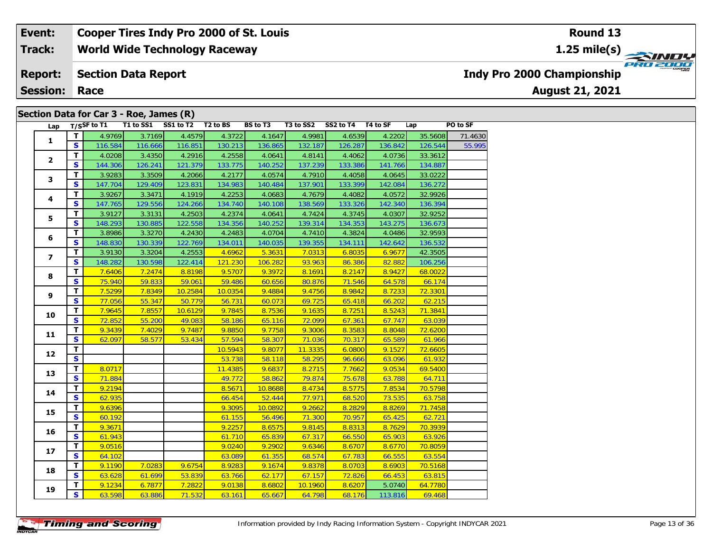**World Wide Technology Raceway Track:**

#### **Section Data Report Report:**

**Session: Race**

### **Section Data for Car 3 - Roe, James (R)**

|  | Lap            |                         | $T/S$ SF to T1 | T1 to SS1 | SS1 to T2 | T <sub>2</sub> to BS | <b>BS</b> to T3 | T3 to SS2 | SS2 to T4 | T4 to SF | Lap     | PO to SF |
|--|----------------|-------------------------|----------------|-----------|-----------|----------------------|-----------------|-----------|-----------|----------|---------|----------|
|  |                | $\mathbf{T}$            | 4.9769         | 3.7169    | 4.4579    | 4.3722               | 4.1647          | 4.9981    | 4.6539    | 4.2202   | 35.5608 | 71.4630  |
|  | $\mathbf{1}$   | $\overline{\mathbf{s}}$ | 116.584        | 116.666   | 116.851   | 130.213              | 136.865         | 132.187   | 126.287   | 136.842  | 126.544 | 55.995   |
|  |                | T.                      | 4.0208         | 3.4350    | 4.2916    | 4.2558               | 4.0641          | 4.8141    | 4.4062    | 4.0736   | 33.3612 |          |
|  | $\mathbf{2}$   | $\overline{\mathbf{s}}$ | 144.306        | 126.241   | 121.379   | 133.775              | 140.252         | 137.239   | 133.386   | 141.766  | 134.887 |          |
|  |                | T                       | 3.9283         | 3.3509    | 4.2066    | 4.2177               | 4.0574          | 4.7910    | 4.4058    | 4.0645   | 33.0222 |          |
|  | 3              | $\mathbf{s}$            | 147.704        | 129.409   | 123.831   | 134.983              | 140.484         | 137.901   | 133.399   | 142.084  | 136.272 |          |
|  |                | T                       | 3.9267         | 3.3471    | 4.1919    | 4.2253               | 4.0683          | 4.7679    | 4.4082    | 4.0572   | 32.9926 |          |
|  | 4              | $\mathbf{s}$            | 147.765        | 129.556   | 124.266   | 134.740              | 140.108         | 138.569   | 133.326   | 142.340  | 136.394 |          |
|  | 5              | T.                      | 3.9127         | 3.3131    | 4.2503    | 4.2374               | 4.0641          | 4.7424    | 4.3745    | 4.0307   | 32.9252 |          |
|  |                | $\overline{\mathbf{s}}$ | 148.293        | 130.885   | 122.558   | 134.356              | 140.252         | 139.314   | 134.353   | 143.275  | 136.673 |          |
|  | 6              | T                       | 3.8986         | 3.3270    | 4.2430    | 4.2483               | 4.0704          | 4.7410    | 4.3824    | 4.0486   | 32.9593 |          |
|  |                | $\overline{\mathbf{s}}$ | 148.830        | 130.339   | 122.769   | 134.011              | 140.035         | 139.355   | 134.111   | 142.642  | 136.532 |          |
|  | $\overline{ }$ | T                       | 3.9130         | 3.3204    | 4.2553    | 4.6962               | 5.3631          | 7.0313    | 6.8035    | 6.9677   | 42.3505 |          |
|  |                | $\mathbf{s}$            | 148.282        | 130.598   | 122.414   | 121.230              | 106.282         | 93.963    | 86.386    | 82.882   | 106.256 |          |
|  | 8              | T.                      | 7.6406         | 7.2474    | 8.8198    | 9.5707               | 9.3972          | 8.1691    | 8.2147    | 8.9427   | 68.0022 |          |
|  |                | $\mathbf{s}$            | 75.940         | 59.833    | 59.061    | 59.486               | 60.656          | 80.876    | 71.546    | 64.578   | 66.174  |          |
|  | 9              | T                       | 7.5299         | 7.8349    | 10.2584   | 10.0354              | 9.4884          | 9.4756    | 8.9842    | 8.7233   | 72.3301 |          |
|  |                | S                       | 77.056         | 55.347    | 50.779    | 56.731               | 60.073          | 69.725    | 65.418    | 66.202   | 62.215  |          |
|  | 10             | $\mathbf{T}$            | 7.9645         | 7.8557    | 10.6129   | 9.7845               | 8.7536          | 9.1635    | 8.7251    | 8.5243   | 71.3841 |          |
|  |                | $\mathbf{s}$            | 72.852         | 55.200    | 49.083    | 58.186               | 65.116          | 72.099    | 67.361    | 67.747   | 63.039  |          |
|  | 11             | $\mathbf{T}$            | 9.3439         | 7.4029    | 9.7487    | 9.8850               | 9.7758          | 9.3006    | 8.3583    | 8.8048   | 72.6200 |          |
|  |                | $\overline{\mathbf{s}}$ | 62.097         | 58.577    | 53.434    | 57.594               | 58.307          | 71.036    | 70.317    | 65.589   | 61.966  |          |
|  | 12             | $\mathbf{T}$            |                |           |           | 10.5943              | 9.8077          | 11.3335   | 6.0800    | 9.1527   | 72.6605 |          |
|  |                | $\overline{\mathbf{s}}$ |                |           |           | 53.738               | 58.118          | 58.295    | 96.666    | 63.096   | 61.932  |          |
|  | 13             | T.                      | 8.0717         |           |           | 11.4385              | 9.6837          | 8.2715    | 7.7662    | 9.0534   | 69.5400 |          |
|  |                | $\mathbf{s}$            | 71.884         |           |           | 49.772               | 58.862          | 79.874    | 75.678    | 63.788   | 64.711  |          |
|  | 14             | T.                      | 9.2194         |           |           | 8.5671               | 10.8688         | 8.4734    | 8.5775    | 7.8534   | 70.5798 |          |
|  |                | $\overline{\mathbf{s}}$ | 62.935         |           |           | 66.454               | 52.444          | 77.971    | 68.520    | 73.535   | 63.758  |          |
|  | 15             | $\mathbf{T}$            | 9.6396         |           |           | 9.3095               | 10.0892         | 9.2662    | 8.2829    | 8.8269   | 71.7458 |          |
|  |                | $\overline{\mathbf{s}}$ | 60.192         |           |           | 61.155               | 56.496          | 71.300    | 70.957    | 65.425   | 62.721  |          |
|  | 16             | $\overline{\mathbf{T}}$ | 9.3671         |           |           | 9.2257               | 8.6575          | 9.8145    | 8.8313    | 8.7629   | 70.3939 |          |
|  |                | $\mathbf{s}$            | 61.943         |           |           | 61.710               | 65.839          | 67.317    | 66.550    | 65.903   | 63.926  |          |
|  | 17             | T                       | 9.0516         |           |           | 9.0240               | 9.2902          | 9.6346    | 8.6707    | 8.6770   | 70.8059 |          |
|  |                | $\mathbf{s}$            | 64.102         |           |           | 63.089               | 61.355          | 68.574    | 67.783    | 66.555   | 63.554  |          |
|  | 18             | T.                      | 9.1190         | 7.0283    | 9.6754    | 8.9283               | 9.1674          | 9.8378    | 8.0703    | 8.6903   | 70.5168 |          |
|  |                | $\mathbf{s}$            | 63.628         | 61.699    | 53.839    | 63.766               | 62.177          | 67.157    | 72.826    | 66.453   | 63.815  |          |
|  | 19             | $\overline{\mathsf{r}}$ | 9.1234         | 6.7877    | 7.2822    | 9.0138               | 8.6802          | 10.1960   | 8.6207    | 5.0740   | 64.7780 |          |
|  |                | $\overline{\mathbf{s}}$ | 63.598         | 63.886    | 71.532    | 63.161               | 65.667          | 64.798    | 68.176    | 113.816  | 69.468  |          |

**Round 13**

**1.25 mile(s)**



**Indy Pro 2000 Championship**

**August 21, 2021**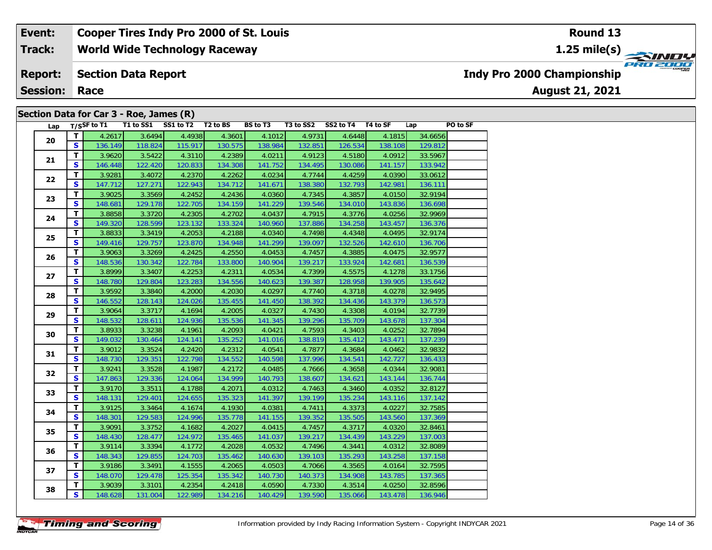**World Wide Technology Raceway Track:**

#### **Section Data Report Report:**

**Session: Race**

### **Section Data for Car 3 - Roe, James (R)**

| Lap |              |         |         | T/SSF to T1 T1 to SS1 SS1 to T2 T2 to BS |         | BS to T3 T3 to SS2 SS2 to T4 T4 to SF |         |         |         | Lap     | PO to SF |
|-----|--------------|---------|---------|------------------------------------------|---------|---------------------------------------|---------|---------|---------|---------|----------|
| 20  | T            | 4.2617  | 3.6494  | 4.4938                                   | 4.3601  | 4.1012                                | 4.9731  | 4.6448  | 4.1815  | 34.6656 |          |
|     | <b>S</b>     | 136.149 | 118.824 | 115.917                                  | 130.575 | 138.984                               | 132.851 | 126.534 | 138.108 | 129.812 |          |
| 21  | T.           | 3.9620  | 3.5422  | 4.3110                                   | 4.2389  | 4.0211                                | 4.9123  | 4.5180  | 4.0912  | 33.5967 |          |
|     | S            | 146.448 | 122.420 | 120.833                                  | 134.308 | 141.752                               | 134.495 | 130.086 | 141.157 | 133.942 |          |
| 22  | T            | 3.9281  | 3.4072  | 4.2370                                   | 4.2262  | 4.0234                                | 4.7744  | 4.4259  | 4.0390  | 33.0612 |          |
|     | $\mathbf{s}$ | 147.712 | 127.271 | 122.943                                  | 134.712 | 141.671                               | 138.380 | 132.793 | 142.981 | 136.111 |          |
|     | T.           | 3.9025  | 3.3569  | 4.2452                                   | 4.2436  | 4.0360                                | 4.7345  | 4.3857  | 4.0150  | 32.9194 |          |
| 23  | $\mathbf{s}$ | 148.681 | 129.178 | 122.705                                  | 134.159 | 141.229                               | 139.546 | 134.010 | 143.836 | 136.698 |          |
| 24  | T            | 3.8858  | 3.3720  | 4.2305                                   | 4.2702  | 4.0437                                | 4.7915  | 4.3776  | 4.0256  | 32.9969 |          |
|     | $\mathbf{s}$ | 149.320 | 128.599 | 123.132                                  | 133.324 | 140.960                               | 137.886 | 134.258 | 143.457 | 136.376 |          |
|     | T.           | 3.8833  | 3.3419  | 4.2053                                   | 4.2188  | 4.0340                                | 4.7498  | 4.4348  | 4.0495  | 32.9174 |          |
| 25  | S            | 149.416 | 129.757 | 123.870                                  | 134.948 | 141.299                               | 139.097 | 132.526 | 142.610 | 136.706 |          |
| 26  | T.           | 3.9063  | 3.3269  | 4.2425                                   | 4.2550  | 4.0453                                | 4.7457  | 4.3885  | 4.0475  | 32.9577 |          |
|     | $\mathbf{s}$ | 148.536 | 130.342 | 122.784                                  | 133.800 | 140.904                               | 139.217 | 133.924 | 142.681 | 136.539 |          |
| 27  | $\mathbf T$  | 3.8999  | 3.3407  | 4.2253                                   | 4.2311  | 4.0534                                | 4.7399  | 4.5575  | 4.1278  | 33.1756 |          |
|     | S            | 148.780 | 129.804 | 123.283                                  | 134.556 | 140.623                               | 139.387 | 128.958 | 139.905 | 135.642 |          |
|     | T            | 3.9592  | 3.3840  | 4.2000                                   | 4.2030  | 4.0297                                | 4.7740  | 4.3718  | 4.0278  | 32.9495 |          |
| 28  | $\mathbf{s}$ | 146.552 | 128.143 | 124.026                                  | 135.455 | 141.450                               | 138.392 | 134.436 | 143.379 | 136.573 |          |
|     | $\mathbf{T}$ | 3.9064  | 3.3717  | 4.1694                                   | 4.2005  | 4.0327                                | 4.7430  | 4.3308  | 4.0194  | 32.7739 |          |
| 29  | S            | 148.532 | 128.611 | 124.936                                  | 135.536 | 141.345                               | 139.296 | 135.709 | 143.678 | 137.304 |          |
|     | T.           | 3.8933  | 3.3238  | 4.1961                                   | 4.2093  | 4.0421                                | 4.7593  | 4.3403  | 4.0252  | 32.7894 |          |
| 30  | S            | 149.032 | 130.464 | 124.141                                  | 135.252 | 141.016                               | 138.819 | 135.412 | 143.471 | 137.239 |          |
|     | T            | 3.9012  | 3.3524  | 4.2420                                   | 4.2312  | 4.0541                                | 4.7877  | 4.3684  | 4.0462  | 32.9832 |          |
| 31  | $\mathbf{s}$ | 148.730 | 129.351 | 122.798                                  | 134.552 | 140.598                               | 137.996 | 134.541 | 142.727 | 136.433 |          |
| 32  | T            | 3.9241  | 3.3528  | 4.1987                                   | 4.2172  | 4.0485                                | 4.7666  | 4.3658  | 4.0344  | 32.9081 |          |
|     | S            | 147.863 | 129.336 | 124.064                                  | 134.999 | 140.793                               | 138.607 | 134.621 | 143.144 | 136.744 |          |
|     | T            | 3.9170  | 3.3511  | 4.1788                                   | 4.2071  | 4.0312                                | 4.7463  | 4.3460  | 4.0352  | 32.8127 |          |
| 33  | S            | 148.131 | 129.401 | 124.655                                  | 135.323 | 141.397                               | 139.199 | 135.234 | 143.116 | 137.142 |          |
| 34  | $\mathbf{T}$ | 3.9125  | 3.3464  | 4.1674                                   | 4.1930  | 4.0381                                | 4.7411  | 4.3373  | 4.0227  | 32.7585 |          |
|     | $\mathbf{s}$ | 148.301 | 129.583 | 124.996                                  | 135.778 | 141.155                               | 139.352 | 135.505 | 143.560 | 137.369 |          |
| 35  | T            | 3.9091  | 3.3752  | 4.1682                                   | 4.2027  | 4.0415                                | 4.7457  | 4.3717  | 4.0320  | 32.8461 |          |
|     | S            | 148.430 | 128.477 | 124.972                                  | 135.465 | 141.037                               | 139.217 | 134.439 | 143.229 | 137.003 |          |
|     | T.           | 3.9114  | 3.3394  | 4.1772                                   | 4.2028  | 4.0532                                | 4.7496  | 4.3441  | 4.0312  | 32.8089 |          |
| 36  | $\mathbf{s}$ | 148.343 | 129.855 | 124.703                                  | 135.462 | 140.630                               | 139.103 | 135.293 | 143.258 | 137.158 |          |
|     | T.           | 3.9186  | 3.3491  | 4.1555                                   | 4.2065  | 4.0503                                | 4.7066  | 4.3565  | 4.0164  | 32.7595 |          |
| 37  | $\mathbf{s}$ | 148.070 | 129.478 | 125.354                                  | 135.342 | 140.730                               | 140.373 | 134.908 | 143.785 | 137.365 |          |
| 38  | T.           | 3.9039  | 3.3101  | 4.2354                                   | 4.2418  | 4.0590                                | 4.7330  | 4.3514  | 4.0250  | 32.8596 |          |
|     | $\mathbf{s}$ | 148.628 | 131.004 | 122.989                                  | 134.216 | 140.429                               | 139.590 | 135.066 | 143.478 | 136.946 |          |

# **1.25 mile(s)**



**Indy Pro 2000 Championship**

**August 21, 2021**

**Round 13**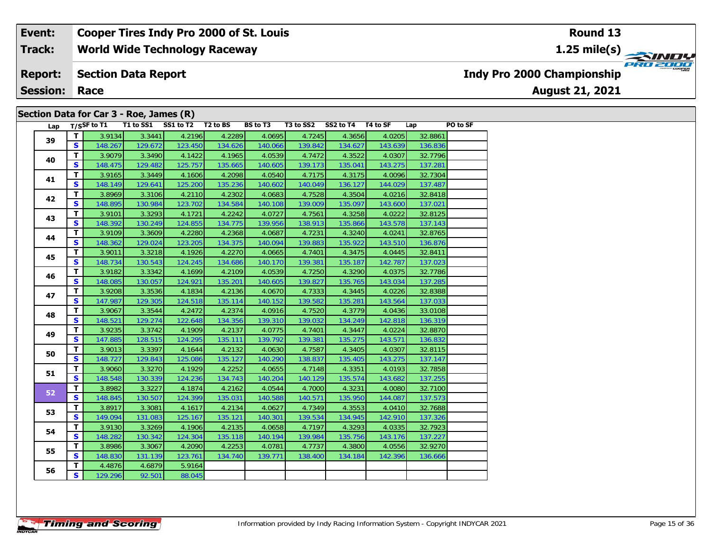**World Wide Technology Raceway Track:**

#### **Section Data Report Report:**

**Session: Race**

### **Section Data for Car 3 - Roe, James (R)**

| Lap |              | $T/S$ SF to T1 |         | T1 to SS1 SS1 to T2 T2 to BS |         | <b>BS to T3</b> | T3 to SS2 | SS2 to T4 T4 to SF |         | Lap     | PO to SF |
|-----|--------------|----------------|---------|------------------------------|---------|-----------------|-----------|--------------------|---------|---------|----------|
| 39  | $\mathbf{T}$ | 3.9134         | 3.3441  | 4.2196                       | 4.2289  | 4.0695          | 4.7245    | 4.3656             | 4.0205  | 32.8861 |          |
|     | S.           | 148.267        | 129.672 | 123.450                      | 134.626 | 140.066         | 139.842   | 134.627            | 143.639 | 136.836 |          |
| 40  | T.           | 3.9079         | 3.3490  | 4.1422                       | 4.1965  | 4.0539          | 4.7472    | 4.3522             | 4.0307  | 32.7796 |          |
|     | S            | 148.475        | 129.482 | 125.757                      | 135.665 | 140.605         | 139.173   | 135.041            | 143.275 | 137.281 |          |
| 41  | T.           | 3.9165         | 3.3449  | 4.1606                       | 4.2098  | 4.0540          | 4.7175    | 4.3175             | 4.0096  | 32.7304 |          |
|     | S            | 148.149        | 129.641 | 125.200                      | 135.236 | 140.602         | 140.049   | 136.127            | 144.029 | 137.487 |          |
| 42  | T.           | 3.8969         | 3.3106  | 4.2110                       | 4.2302  | 4.0683          | 4.7528    | 4.3504             | 4.0216  | 32.8418 |          |
|     | S            | 148.895        | 130.984 | 123.702                      | 134.584 | 140.108         | 139.009   | 135.097            | 143.600 | 137.021 |          |
| 43  | T.           | 3.9101         | 3.3293  | 4.1721                       | 4.2242  | 4.0727          | 4.7561    | 4.3258             | 4.0222  | 32.8125 |          |
|     | S.           | 148.392        | 130.249 | 124.855                      | 134.775 | 139.956         | 138.913   | 135.866            | 143.578 | 137.143 |          |
| 44  | T.           | 3.9109         | 3.3609  | 4.2280                       | 4.2368  | 4.0687          | 4.7231    | 4.3240             | 4.0241  | 32.8765 |          |
|     | S            | 148.362        | 129.024 | 123.205                      | 134.375 | 140.094         | 139.883   | 135.922            | 143.510 | 136.876 |          |
| 45  | T.           | 3.9011         | 3.3218  | 4.1926                       | 4.2270  | 4.0665          | 4.7401    | 4.3475             | 4.0445  | 32.8411 |          |
|     | S            | 148.734        | 130.543 | 124.245                      | 134.686 | 140.170         | 139.381   | 135.187            | 142.787 | 137.023 |          |
| 46  | T.           | 3.9182         | 3.3342  | 4.1699                       | 4.2109  | 4.0539          | 4.7250    | 4.3290             | 4.0375  | 32.7786 |          |
|     | S.           | 148.085        | 130.057 | 124.921                      | 135.201 | 140.605         | 139.827   | 135.765            | 143.034 | 137.285 |          |
| 47  | T.           | 3.9208         | 3.3536  | 4.1834                       | 4.2136  | 4.0670          | 4.7333    | 4.3445             | 4.0226  | 32.8388 |          |
|     | S.           | 147.987        | 129.305 | 124.518                      | 135.114 | 140.152         | 139.582   | 135.281            | 143.564 | 137.033 |          |
| 48  | T.           | 3.9067         | 3.3544  | 4.2472                       | 4.2374  | 4.0916          | 4.7520    | 4.3779             | 4.0436  | 33.0108 |          |
|     | S.           | 148.521        | 129.274 | 122.648                      | 134.356 | 139.310         | 139.032   | 134.249            | 142.818 | 136.319 |          |
| 49  | T            | 3.9235         | 3.3742  | 4.1909                       | 4.2137  | 4.0775          | 4.7401    | 4.3447             | 4.0224  | 32.8870 |          |
|     | S            | 147.885        | 128.515 | 124.295                      | 135.111 | 139.792         | 139.381   | 135.275            | 143.571 | 136.832 |          |
| 50  | T.           | 3.9013         | 3.3397  | 4.1644                       | 4.2132  | 4.0630          | 4.7587    | 4.3405             | 4.0307  | 32.8115 |          |
|     | S.           | 148.727        | 129.843 | 125.086                      | 135.127 | 140.290         | 138.837   | 135.405            | 143.275 | 137.147 |          |
| 51  | T.           | 3.9060         | 3.3270  | 4.1929                       | 4.2252  | 4.0655          | 4.7148    | 4.3351             | 4.0193  | 32.7858 |          |
|     | S            | 148.548        | 130.339 | 124.236                      | 134.743 | 140.204         | 140.129   | 135.574            | 143.682 | 137.255 |          |
| 52  | T.           | 3.8982         | 3.3227  | 4.1874                       | 4.2162  | 4.0544          | 4.7000    | 4.3231             | 4.0080  | 32.7100 |          |
|     | $\mathbf{s}$ | 148.845        | 130.507 | 124.399                      | 135.031 | 140.588         | 140.571   | 135.950            | 144.087 | 137.573 |          |
| 53  | T.           | 3.8917         | 3.3081  | 4.1617                       | 4.2134  | 4.0627          | 4.7349    | 4.3553             | 4.0410  | 32.7688 |          |
|     | S            | 149.094        | 131.083 | 125.167                      | 135.121 | 140.301         | 139.534   | 134.945            | 142.910 | 137.326 |          |
| 54  | T.           | 3.9130         | 3.3269  | 4.1906                       | 4.2135  | 4.0658          | 4.7197    | 4.3293             | 4.0335  | 32.7923 |          |
|     | S            | 148.282        | 130.342 | 124.304                      | 135.118 | 140.194         | 139.984   | 135.756            | 143.176 | 137.227 |          |
|     | T.           | 3.8986         | 3.3067  | 4.2090                       | 4.2253  | 4.0781          | 4.7737    | 4.3800             | 4.0556  | 32.9270 |          |
| 55  | S            | 148.830        | 131.139 | 123.761                      | 134.740 | 139.771         | 138.400   | 134.184            | 142.396 | 136.666 |          |
| 56  | T.           | 4.4876         | 4.6879  | 5.9164                       |         |                 |           |                    |         |         |          |
|     | S.           | 129.296        | 92.501  | 88.045                       |         |                 |           |                    |         |         |          |

# **Indy Pro 2000 Championship**

**August 21, 2021**

### **Round 13**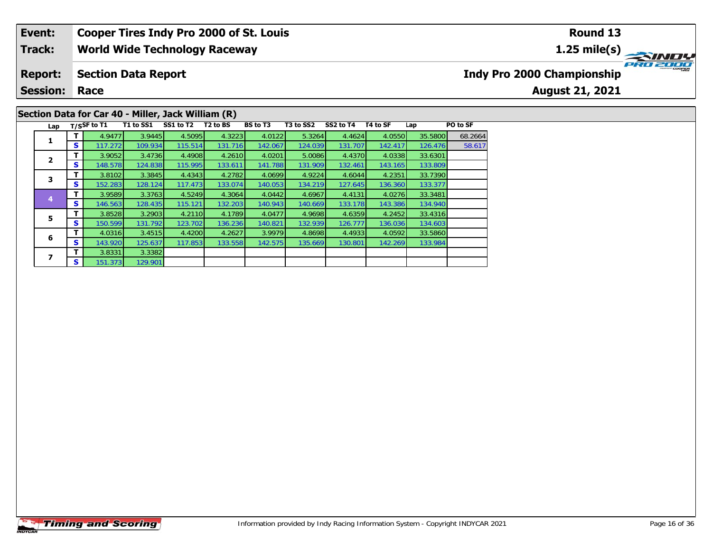#### **Event: Cooper Tires Indy Pro 2000 of St. Louis Round 131.25 mile(s) World Wide Technology Raceway Track: PRO 2000 Report: Section Data Report Indy Pro 2000 Championship August 21, 2021 Session: Race**

### **Section Data for Car 40 - Miller, Jack William (R)**

| Lap |   | T/SSF to T1 | T1 to SS1 | SS1 to T2 | T <sub>2</sub> to BS | BS to T3 | T3 to SS2 | SS2 to T4 | T4 to SF | Lap     | PO to SF |
|-----|---|-------------|-----------|-----------|----------------------|----------|-----------|-----------|----------|---------|----------|
|     | т | 4.9477      | 3.9445    | 4.5095    | 4.3223               | 4.0122   | 5.3264    | 4.4624    | 4.0550   | 35.5800 | 68.2664  |
| 1   | s | 117.272     | 109.934   | 115.514   | 131.716              | 142.067  | 124.039   | 131.707   | 142.417  | 126.476 | 58.617   |
| 2   | т | 3.9052      | 3.4736    | 4.4908    | 4.2610               | 4.0201   | 5.0086    | 4.4370    | 4.0338   | 33.6301 |          |
|     | s | 148.578     | 124.838   | 115.995   | 133.611              | 141.788  | 131.909   | 132.461   | 143.165  | 133.809 |          |
| 3   | т | 3.8102      | 3.3845    | 4.4343    | 4.2782               | 4.0699   | 4.9224    | 4.6044    | 4.2351   | 33.7390 |          |
|     | s | 152.283     | 128.124   | 117.473   | 133.074              | 140.053  | 134.219   | 127.645   | 136.360  | 133.377 |          |
| 4   | т | 3.9589      | 3.3763    | 4.5249    | 4.3064               | 4.0442   | 4.6967    | 4.4131    | 4.0276   | 33.3481 |          |
|     | S | 146.563     | 128.435   | 115.121   | 132.203              | 140.943  | 140.669   | 133.178   | 143.386  | 134.940 |          |
| 5   | т | 3.8528      | 3.2903    | 4.2110    | 4.1789               | 4.0477   | 4.9698    | 4.6359    | 4.2452   | 33.4316 |          |
|     | S | 150.599     | 131.792   | 123.702   | 136.236              | 140.821  | 132.939   | 126.777   | 136.036  | 134.603 |          |
| 6   | т | 4.0316      | 3.4515    | 4.4200    | 4.2627               | 3.9979   | 4.8698    | 4.4933    | 4.0592   | 33.5860 |          |
|     | S | 143.920     | 125.637   | 117.853   | 133.558              | 142.575  | 135.669   | 130.801   | 142.269  | 133.984 |          |
|     | т | 3.8331      | 3.3382    |           |                      |          |           |           |          |         |          |
|     | S | 151.373     | 129.901   |           |                      |          |           |           |          |         |          |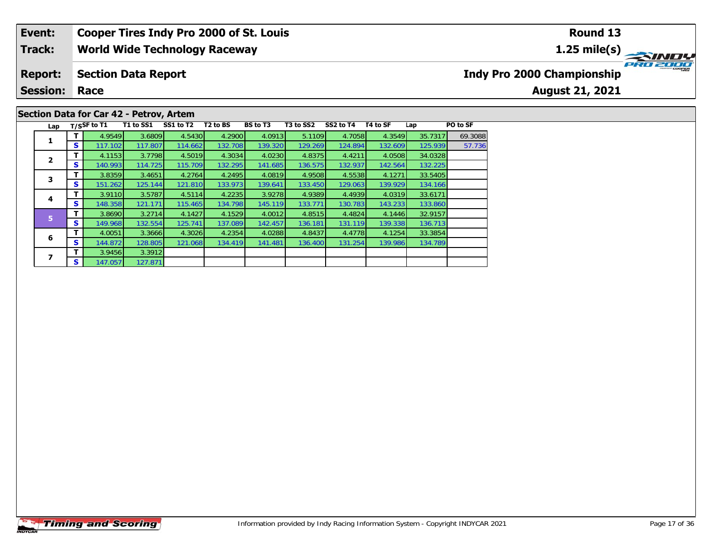#### **Event: Cooper Tires Indy Pro 2000 of St. Louis Round 131.25 mile(s) World Wide Technology Raceway Track: PRO 2000 Report: Section Data Report Indy Pro 2000 Championship August 21, 2021 Session: Race**

### **Section Data for Car 42 - Petrov, Artem**

| Lap            |    | T/SSF to T1 | T1 to SS1 | SS1 to T2 | T <sub>2</sub> to BS | <b>BS</b> to T3 | T3 to SS2 | SS2 to T4 | T4 to SF | Lap     | PO to SF |
|----------------|----|-------------|-----------|-----------|----------------------|-----------------|-----------|-----------|----------|---------|----------|
| 1              | т  | 4.9549      | 3.6809    | 4.5430    | 4.2900               | 4.0913          | 5.1109    | 4.7058    | 4.3549   | 35.7317 | 69.3088  |
|                | S  | 117.102     | 117.807   | 114.662   | 132.708              | 139.320         | 129.269   | 124.894   | 132.609  | 125.939 | 57.736   |
| $\overline{2}$ | т  | 4.1153      | 3.7798    | 4.5019    | 4.3034               | 4.0230          | 4.8375    | 4.4211    | 4.0508   | 34.0328 |          |
|                | S  | 140.993     | 114.725   | 115.709   | 132.295              | 141.685         | 136.575   | 132.937   | 142.564  | 132.225 |          |
| 3              | т  | 3.8359      | 3.4651    | 4.2764    | 4.2495               | 4.0819          | 4.9508    | 4.5538    | 4.1271   | 33.5405 |          |
|                | S  | 151.262     | 125.144   | 121.810   | 133.973              | 139.641         | 133.450   | 129.063   | 139.929  | 134.166 |          |
| 4              | т  | 3.9110      | 3.5787    | 4.5114    | 4.2235               | 3.9278          | 4.9389    | 4.4939    | 4.0319   | 33.6171 |          |
|                | S  | 148.358     | 121.171   | 115.465   | 134.798              | 145.119         | 133.771   | 130.783   | 143.233  | 133.860 |          |
| 5              | т  | 3.8690      | 3.2714    | 4.1427    | 4.1529               | 4.0012          | 4.8515    | 4.4824    | 4.1446   | 32.9157 |          |
|                | S  | 149.968     | 132.554   | 125.741   | 137.089              | 142.457         | 136.181   | 131.119   | 139.338  | 136.713 |          |
| 6              | т  | 4.0051      | 3.3666    | 4.3026    | 4.2354               | 4.0288          | 4.8437    | 4.4778    | 4.1254   | 33.3854 |          |
|                | S  | 144.872     | 128.805   | 121.068   | 134.419              | 141.481         | 136.400   | 131.254   | 139.986  | 134.789 |          |
|                | т  | 3.9456      | 3.3912    |           |                      |                 |           |           |          |         |          |
|                | S. | 147.057     | 127.871   |           |                      |                 |           |           |          |         |          |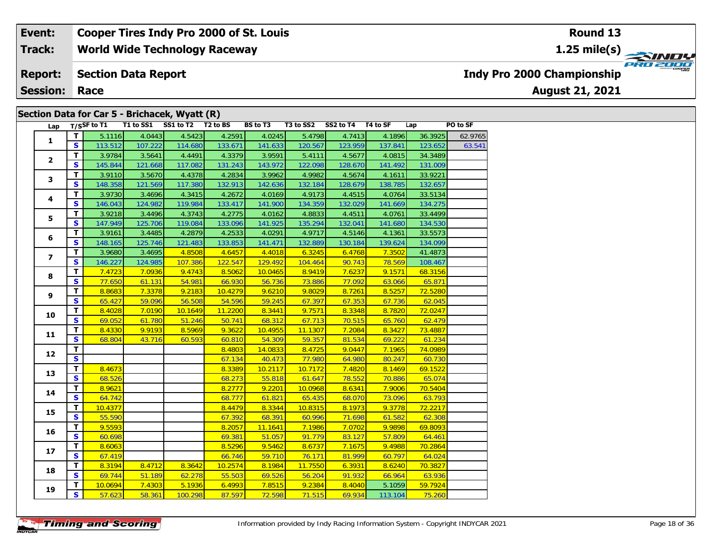**World Wide Technology Raceway Track:**

#### **Section Data Report Report:**

**Session: Race**

### **Section Data for Car 5 - Brichacek, Wyatt (R)**

|  | Lap             |                         | $T/S$ SF to $T1$ | T1 to SS1 | SS1 to T2 | T <sub>2</sub> to BS | <b>BS</b> to T3 | T3 to SS2 | SS2 to T4 | T4 to SF | Lap     | PO to SF |
|--|-----------------|-------------------------|------------------|-----------|-----------|----------------------|-----------------|-----------|-----------|----------|---------|----------|
|  | $\mathbf{1}$    | T                       | 5.1116           | 4.0443    | 4.5423    | 4.2591               | 4.0245          | 5.4798    | 4.7413    | 4.1896   | 36.3925 | 62.9765  |
|  |                 | S                       | 113.512          | 107.222   | 114.680   | 133.671              | 141.633         | 120.567   | 123.959   | 137.841  | 123.652 | 63.541   |
|  |                 | $\mathbf{T}$            | 3.9784           | 3.5641    | 4.4491    | 4.3379               | 3.9591          | 5.4111    | 4.5677    | 4.0815   | 34.3489 |          |
|  | $\overline{2}$  | $\overline{\mathbf{s}}$ | 145.844          | 121.668   | 117.082   | 131.243              | 143.972         | 122.098   | 128.670   | 141.492  | 131.009 |          |
|  |                 | $\overline{\mathbf{T}}$ | 3.9110           | 3.5670    | 4.4378    | 4.2834               | 3.9962          | 4.9982    | 4.5674    | 4.1611   | 33.9221 |          |
|  | 3               | $\mathbf{s}$            | 148.358          | 121.569   | 117.380   | 132.913              | 142.636         | 132.184   | 128.679   | 138.785  | 132.657 |          |
|  |                 | T                       | 3.9730           | 3.4696    | 4.3415    | 4.2672               | 4.0169          | 4.9173    | 4.4515    | 4.0764   | 33.5134 |          |
|  | 4               | $\mathbf{s}$            | 146.043          | 124.982   | 119.984   | 133.417              | 141.900         | 134.359   | 132.029   | 141.669  | 134.275 |          |
|  |                 | T                       | 3.9218           | 3.4496    | 4.3743    | 4.2775               | 4.0162          | 4.8833    | 4.4511    | 4.0761   | 33.4499 |          |
|  | 5               | $\mathbf{s}$            | 147.949          | 125.706   | 119.084   | 133.096              | 141.925         | 135.294   | 132.041   | 141.680  | 134.530 |          |
|  |                 | T                       | 3.9161           | 3.4485    | 4.2879    | 4.2533               | 4.0291          | 4.9717    | 4.5146    | 4.1361   | 33.5573 |          |
|  | 6               | $\mathbf{s}$            | 148.165          | 125.746   | 121.483   | 133.853              | 141.471         | 132.889   | 130.184   | 139.624  | 134.099 |          |
|  |                 | T.                      | 3.9680           | 3.4695    | 4.8508    | 4.6457               | 4.4018          | 6.3245    | 6.4768    | 7.3502   | 41.4873 |          |
|  | $\overline{ }$  | $\mathbf{s}$            | 146.227          | 124.985   | 107.386   | 122.547              | 129.492         | 104.464   | 90.743    | 78.569   | 108.467 |          |
|  |                 | T                       | 7.4723           | 7.0936    | 9.4743    | 8.5062               | 10.0465         | 8.9419    | 7.6237    | 9.1571   | 68.3156 |          |
|  | 8               | $\overline{\mathbf{s}}$ | 77.650           | 61.131    | 54.981    | 66.930               | 56.736          | 73.886    | 77.092    | 63.066   | 65.871  |          |
|  |                 | T                       | 8.8683           | 7.3378    | 9.2183    | 10.4279              | 9.6210          | 9.8029    | 8.7261    | 8.5257   | 72.5280 |          |
|  | 9               | $\mathbf{s}$            | 65.427           | 59.096    | 56.508    | 54.596               | 59.245          | 67.397    | 67.353    | 67.736   | 62.045  |          |
|  |                 | $\overline{\mathsf{r}}$ | 8.4028           | 7.0190    | 10.1649   | 11.2200              | 8.3441          | 9.7571    | 8.3348    | 8.7820   | 72.0247 |          |
|  | 10              | S                       | 69.052           | 61.780    | 51.246    | 50.741               | 68.312          | 67.713    | 70.515    | 65.760   | 62.479  |          |
|  |                 | $\mathbf T$             | 8.4330           | 9.9193    | 8.5969    | 9.3622               | 10.4955         | 11.1307   | 7.2084    | 8.3427   | 73.4887 |          |
|  | 11              | $\overline{\mathbf{s}}$ | 68.804           | 43.716    | 60.593    | 60.810               | 54.309          | 59.357    | 81.534    | 69.222   | 61.234  |          |
|  |                 | $\mathbf{T}$            |                  |           |           | 8.4803               | 14.0833         | 8.4725    | 9.0447    | 7.1965   | 74.0989 |          |
|  | 12              | $\mathbf{s}$            |                  |           |           | 67.134               | 40.473          | 77.980    | 64.980    | 80.247   | 60.730  |          |
|  | 13              | $\overline{\mathsf{r}}$ | 8.4673           |           |           | 8.3389               | 10.2117         | 10.7172   | 7.4820    | 8.1469   | 69.1522 |          |
|  |                 | $\mathbf{s}$            | 68.526           |           |           | 68.273               | 55.818          | 61.647    | 78.552    | 70.886   | 65.074  |          |
|  |                 | T                       | 8.9621           |           |           | 8.2777               | 9.2201          | 10.0968   | 8.6341    | 7.9006   | 70.5404 |          |
|  | 14              | $\mathbf{s}$            | 64.742           |           |           | 68.777               | 61.821          | 65.435    | 68.070    | 73.096   | 63.793  |          |
|  | 15              | T.                      | 10.4377          |           |           | 8.4479               | 8.3344          | 10.8315   | 8.1973    | 9.3778   | 72.2217 |          |
|  |                 | $\mathbf{s}$            | 55.590           |           |           | 67.392               | 68.391          | 60.996    | 71.698    | 61.582   | 62.308  |          |
|  |                 | T                       | 9.5593           |           |           | 8.2057               | 11.1641         | 7.1986    | 7.0702    | 9.9898   | 69.8093 |          |
|  | 16              | S.                      | 60.698           |           |           | 69.381               | 51.057          | 91.779    | 83.127    | 57.809   | 64.461  |          |
|  | 17 <sub>2</sub> | T                       | 8.6063           |           |           | 8.5296               | 9.5462          | 8.6737    | 7.1675    | 9.4988   | 70.2864 |          |
|  |                 | $\mathbf{s}$            | 67.419           |           |           | 66.746               | 59.710          | 76.171    | 81.999    | 60.797   | 64.024  |          |
|  | 18              | T.                      | 8.3194           | 8.4712    | 8.3642    | 10.2574              | 8.1984          | 11.7550   | 6.3931    | 8.6240   | 70.3827 |          |
|  |                 | $\overline{\mathbf{s}}$ | 69.744           | 51.189    | 62.278    | 55.503               | 69.526          | 56.204    | 91.932    | 66.964   | 63.936  |          |
|  |                 | T.                      | 10.0694          | 7.4303    | 5.1936    | 6.4993               | 7.8515          | 9.2384    | 8.4040    | 5.1059   | 59.7924 |          |
|  | 19              | $\overline{\mathbf{s}}$ | 57.623           | 58.361    | 100.298   | 87.597               | 72.598          | 71.515    | 69.934    | 113.104  | 75.260  |          |

**1.25 mile(s)**



**Indy Pro 2000 Championship**

**August 21, 2021**

**Round 13**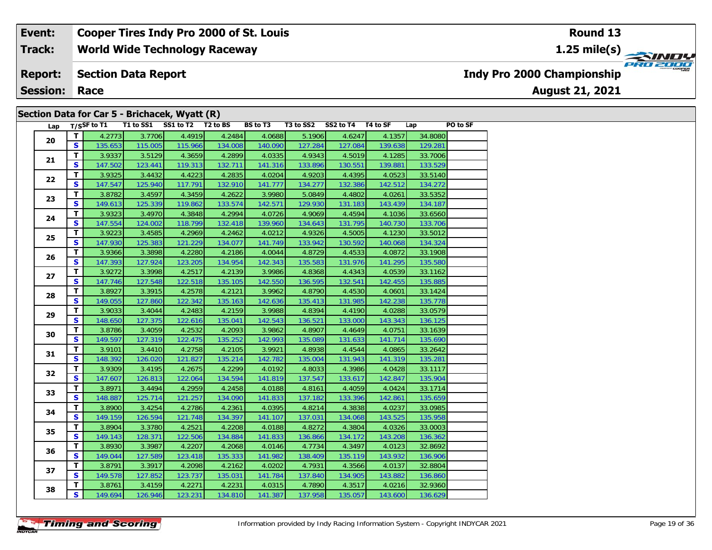**World Wide Technology Raceway Track:**

#### **Section Data Report Report:**

**Session: Race**

### **Section Data for Car 5 - Brichacek, Wyatt (R)**

| Lap |                         | $T/S$ SF to $T1$ | $\overline{11}$ to SS1 | SS1 to T2 T2 to BS |         | <b>BS</b> to T3 | T3 to SS2 | SS2 to T4 T4 to SF |         | Lap     | PO to SF |
|-----|-------------------------|------------------|------------------------|--------------------|---------|-----------------|-----------|--------------------|---------|---------|----------|
|     | T.                      | 4.2773           | 3.7706                 | 4.4919             | 4.2484  | 4.0688          | 5.1906    | 4.6247             | 4.1357  | 34.8080 |          |
| 20  | S                       | 135.653          | 115.005                | 115.966            | 134.008 | 140.090         | 127.284   | 127.084            | 139.638 | 129.281 |          |
|     | $\mathbf{T}$            | 3.9337           | 3.5129                 | 4.3659             | 4.2899  | 4.0335          | 4.9343    | 4.5019             | 4.1285  | 33.7006 |          |
| 21  | $\mathbf{s}$            | 147.502          | 123.441                | 119.313            | 132.711 | 141.316         | 133.896   | 130.551            | 139.881 | 133.529 |          |
|     | T.                      | 3.9325           | 3.4432                 | 4.4223             | 4.2835  | 4.0204          | 4.9203    | 4.4395             | 4.0523  | 33.5140 |          |
| 22  | $\mathbf{s}$            | 147.547          | 125.940                | 117.791            | 132.910 | 141.777         | 134.277   | 132.386            | 142.512 | 134.272 |          |
|     | T                       | 3.8782           | 3.4597                 | 4.3459             | 4.2622  | 3.9980          | 5.0849    | 4.4802             | 4.0261  | 33.5352 |          |
| 23  | S                       | 149.613          | 125.339                | 119.862            | 133.574 | 142.571         | 129.930   | 131.183            | 143.439 | 134.187 |          |
| 24  | $\overline{\mathsf{r}}$ | 3.9323           | 3.4970                 | 4.3848             | 4.2994  | 4.0726          | 4.9069    | 4.4594             | 4.1036  | 33.6560 |          |
|     | $\mathbf{s}$            | 147.554          | 124.002                | 118.799            | 132.418 | 139.960         | 134.643   | 131.795            | 140.730 | 133.706 |          |
|     | T.                      | 3.9223           | 3.4585                 | 4.2969             | 4.2462  | 4.0212          | 4.9326    | 4.5005             | 4.1230  | 33.5012 |          |
| 25  | $\overline{\mathbf{s}}$ | 147.930          | 125.383                | 121.229            | 134.077 | 141.749         | 133.942   | 130.592            | 140.068 | 134.324 |          |
|     | $\overline{\mathsf{r}}$ | 3.9366           | 3.3898                 | 4.2280             | 4.2186  | 4.0044          | 4.8729    | 4.4533             | 4.0872  | 33.1908 |          |
| 26  | $\overline{\mathbf{s}}$ | 147.393          | 127.924                | 123.205            | 134.954 | 142.343         | 135.583   | 131.976            | 141.295 | 135.580 |          |
| 27  | $\mathbf T$             | 3.9272           | 3.3998                 | 4.2517             | 4.2139  | 3.9986          | 4.8368    | 4.4343             | 4.0539  | 33.1162 |          |
|     | $\mathbf{s}$            | 147.746          | 127.548                | 122.518            | 135.105 | 142.550         | 136.595   | 132.541            | 142.455 | 135.885 |          |
| 28  | T.                      | 3.8927           | 3.3915                 | 4.2578             | 4.2121  | 3.9962          | 4.8790    | 4.4530             | 4.0601  | 33.1424 |          |
|     | S                       | 149.055          | 127.860                | 122.342            | 135.163 | 142.636         | 135.413   | 131.985            | 142.238 | 135.778 |          |
| 29  | T                       | 3.9033           | 3.4044                 | 4.2483             | 4.2159  | 3.9988          | 4.8394    | 4.4190             | 4.0288  | 33.0579 |          |
|     | S                       | 148.650          | 127.375                | 122.616            | 135.041 | 142.543         | 136.521   | 133.000            | 143.343 | 136.125 |          |
| 30  | $\mathbf T$             | 3.8786           | 3.4059                 | 4.2532             | 4.2093  | 3.9862          | 4.8907    | 4.4649             | 4.0751  | 33.1639 |          |
|     | S                       | 149.597          | 127.319                | 122.475            | 135.252 | 142.993         | 135.089   | 131.633            | 141.714 | 135.690 |          |
| 31  | T.                      | 3.9101           | 3.4410                 | 4.2758             | 4.2105  | 3.9921          | 4.8938    | 4.4544             | 4.0865  | 33.2642 |          |
|     | S                       | 148.392          | 126.020                | 121.827            | 135.214 | 142.782         | 135.004   | 131.943            | 141.319 | 135.281 |          |
| 32  | T                       | 3.9309           | 3.4195                 | 4.2675             | 4.2299  | 4.0192          | 4.8033    | 4.3986             | 4.0428  | 33.1117 |          |
|     | $\mathbf{s}$            | 147.607          | 126.813                | 122.064            | 134.594 | 141.819         | 137.547   | 133.617            | 142.847 | 135.904 |          |
| 33  | $\mathbf T$             | 3.8971           | 3.4494                 | 4.2959             | 4.2458  | 4.0188          | 4.8161    | 4.4059             | 4.0424  | 33.1714 |          |
|     | $\mathbf{s}$            | 148.887          | 125.714                | 121.257            | 134.090 | 141.833         | 137.182   | 133.396            | 142.861 | 135.659 |          |
| 34  | T.                      | 3.8900           | 3.4254                 | 4.2786             | 4.2361  | 4.0395          | 4.8214    | 4.3838             | 4.0237  | 33.0985 |          |
|     | S                       | 149.159          | 126.594                | 121.748            | 134.397 | 141.107         | 137.031   | 134.068            | 143.525 | 135.958 |          |
| 35  | T                       | 3.8904           | 3.3780                 | 4.2521             | 4.2208  | 4.0188          | 4.8272    | 4.3804             | 4.0326  | 33.0003 |          |
|     | S                       | 149.143          | 128.371                | 122.506            | 134.884 | 141.833         | 136.866   | 134.172            | 143.208 | 136.362 |          |
| 36  | T                       | 3.8930           | 3.3987                 | 4.2207             | 4.2068  | 4.0146          | 4.7734    | 4.3497             | 4.0123  | 32.8692 |          |
|     | $\mathbf{s}$            | 149.044          | 127.589                | 123.418            | 135.333 | 141.982         | 138.409   | 135.119            | 143.932 | 136.906 |          |
|     | T.                      | 3.8791           | 3.3917                 | 4.2098             | 4.2162  | 4.0202          | 4.7931    | 4.3566             | 4.0137  | 32.8804 |          |
| 37  | $\mathbf{s}$            | 149.578          | 127.852                | 123.737            | 135.031 | 141.784         | 137.840   | 134.905            | 143.882 | 136.860 |          |
|     | T.                      | 3.8761           | 3.4159                 | 4.2271             | 4.2231  | 4.0315          | 4.7890    | 4.3517             | 4.0216  | 32.9360 |          |
| 38  | S                       | 149.694          | 126.946                | 123.231            | 134.810 | 141.387         | 137.958   | 135.057            | 143.600 | 136.629 |          |





**Indy Pro 2000 Championship**

**August 21, 2021**

**Round 13**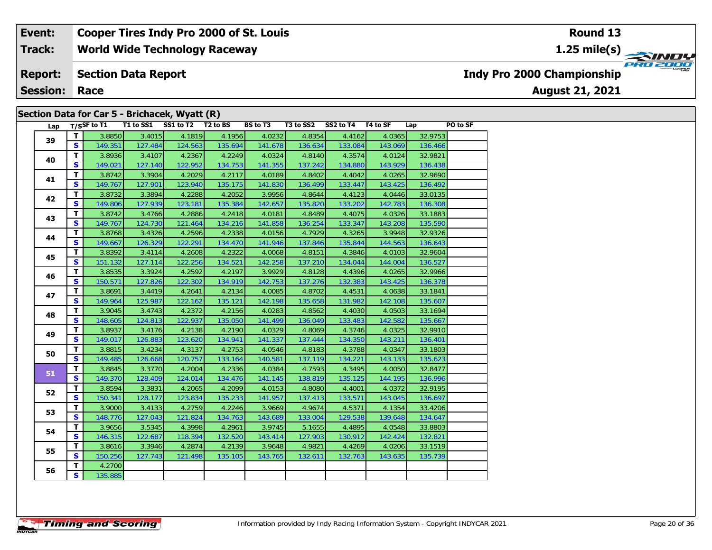**World Wide Technology Raceway Track:**

#### **Section Data Report Report:**

**Session: Race**

### **Section Data for Car 5 - Brichacek, Wyatt (R)**

| Lap |                         |         | T/SSF to T1 T1 to SS1 SS1 to T2 T2 to BS |         |         | BS to T3 | T3 to SS2 | SS2 to T4 T4 to SF |         | PO to SF<br>Lap |  |
|-----|-------------------------|---------|------------------------------------------|---------|---------|----------|-----------|--------------------|---------|-----------------|--|
| 39  | T                       | 3.8850  | 3.4015                                   | 4.1819  | 4.1956  | 4.0232   | 4.8354    | 4.4162             | 4.0365  | 32.9753         |  |
|     | S.                      | 149.351 | 127.484                                  | 124.563 | 135.694 | 141.678  | 136.634   | 133.084            | 143.069 | 136.466         |  |
| 40  | T.                      | 3.8936  | 3.4107                                   | 4.2367  | 4.2249  | 4.0324   | 4.8140    | 4.3574             | 4.0124  | 32.9821         |  |
|     | S.                      | 149.021 | 127.140                                  | 122.952 | 134.753 | 141.355  | 137.242   | 134.880            | 143.929 | 136.438         |  |
| 41  | T                       | 3.8742  | 3.3904                                   | 4.2029  | 4.2117  | 4.0189   | 4.8402    | 4.4042             | 4.0265  | 32.9690         |  |
|     | S.                      | 149.767 | 127.901                                  | 123.940 | 135.175 | 141.830  | 136.499   | 133.447            | 143.425 | 136.492         |  |
| 42  | T.                      | 3.8732  | 3.3894                                   | 4.2288  | 4.2052  | 3.9956   | 4.8644    | 4.4123             | 4.0446  | 33.0135         |  |
|     | S.                      | 149.806 | 127.939                                  | 123.181 | 135.384 | 142.657  | 135.820   | 133.202            | 142.783 | 136.308         |  |
| 43  | T.                      | 3.8742  | 3.4766                                   | 4.2886  | 4.2418  | 4.0181   | 4.8489    | 4.4075             | 4.0326  | 33.1883         |  |
|     | S.                      | 149.767 | 124.730                                  | 121.464 | 134.216 | 141.858  | 136.254   | 133.347            | 143.208 | 135.590         |  |
| 44  | T.                      | 3.8768  | 3.4326                                   | 4.2596  | 4.2338  | 4.0156   | 4.7929    | 4.3265             | 3.9948  | 32.9326         |  |
|     | S.                      | 149.667 | 126.329                                  | 122.291 | 134.470 | 141.946  | 137.846   | 135.844            | 144.563 | 136.643         |  |
| 45  | T.                      | 3.8392  | 3.4114                                   | 4.2608  | 4.2322  | 4.0068   | 4.8151    | 4.3846             | 4.0103  | 32.9604         |  |
|     | S                       | 151.132 | 127.114                                  | 122.256 | 134.521 | 142.258  | 137.210   | 134.044            | 144.004 | 136.527         |  |
| 46  | T.                      | 3.8535  | 3.3924                                   | 4.2592  | 4.2197  | 3.9929   | 4.8128    | 4.4396             | 4.0265  | 32.9966         |  |
|     | S.                      | 150.571 | 127.826                                  | 122.302 | 134.919 | 142.753  | 137.276   | 132.383            | 143.425 | 136.378         |  |
| 47  | T                       | 3.8691  | 3.4419                                   | 4.2641  | 4.2134  | 4.0085   | 4.8702    | 4.4531             | 4.0638  | 33.1841         |  |
|     | S                       | 149.964 | 125.987                                  | 122.162 | 135.121 | 142.198  | 135.658   | 131.982            | 142.108 | 135.607         |  |
| 48  | T.                      | 3.9045  | 3.4743                                   | 4.2372  | 4.2156  | 4.0283   | 4.8562    | 4.4030             | 4.0503  | 33.1694         |  |
|     | S                       | 148.605 | 124.813                                  | 122.937 | 135.050 | 141.499  | 136.049   | 133.483            | 142.582 | 135.667         |  |
| 49  | T.                      | 3.8937  | 3.4176                                   | 4.2138  | 4.2190  | 4.0329   | 4.8069    | 4.3746             | 4.0325  | 32.9910         |  |
|     | S.                      | 149.017 | 126.883                                  | 123.620 | 134.941 | 141.337  | 137.444   | 134.350            | 143.211 | 136.401         |  |
| 50  | T.                      | 3.8815  | 3.4234                                   | 4.3137  | 4.2753  | 4.0546   | 4.8183    | 4.3788             | 4.0347  | 33.1803         |  |
|     | S.                      | 149.485 | 126.668                                  | 120.757 | 133.164 | 140.581  | 137.119   | 134.221            | 143.133 | 135.623         |  |
| 51  | $\mathbf{T}$            | 3.8845  | 3.3770                                   | 4.2004  | 4.2336  | 4.0384   | 4.7593    | 4.3495             | 4.0050  | 32.8477         |  |
|     | $\overline{\mathbf{s}}$ | 149.370 | 128.409                                  | 124.014 | 134.476 | 141.145  | 138.819   | 135.125            | 144.195 | 136.996         |  |
| 52  | $\mathbf{T}$            | 3.8594  | 3.3831                                   | 4.2065  | 4.2099  | 4.0153   | 4.8080    | 4.4001             | 4.0372  | 32.9195         |  |
|     | S.                      | 150.341 | 128.177                                  | 123.834 | 135.233 | 141.957  | 137.413   | 133.571            | 143.045 | 136.697         |  |
| 53  | T.                      | 3.9000  | 3.4133                                   | 4.2759  | 4.2246  | 3.9669   | 4.9674    | 4.5371             | 4.1354  | 33.4206         |  |
|     | S.                      | 148.776 | 127.043                                  | 121.824 | 134.763 | 143.689  | 133.004   | 129.538            | 139.648 | 134.647         |  |
| 54  | T.                      | 3.9656  | 3.5345                                   | 4.3998  | 4.2961  | 3.9745   | 5.1655    | 4.4895             | 4.0548  | 33.8803         |  |
|     | S                       | 146.315 | 122.687                                  | 118.394 | 132.520 | 143.414  | 127.903   | 130.912            | 142.424 | 132.821         |  |
|     | T                       | 3.8616  | 3.3946                                   | 4.2874  | 4.2139  | 3.9648   | 4.9821    | 4.4269             | 4.0206  | 33.1519         |  |
| 55  | S                       | 150.256 | 127.743                                  | 121.498 | 135.105 | 143.765  | 132.611   | 132.763            | 143.635 | 135.739         |  |
|     | T                       | 4.2700  |                                          |         |         |          |           |                    |         |                 |  |
| 56  | $\mathbf{s}$            | 135.885 |                                          |         |         |          |           |                    |         |                 |  |

**Indy Pro 2000 Championship**

**August 21, 2021**

### **Round 13**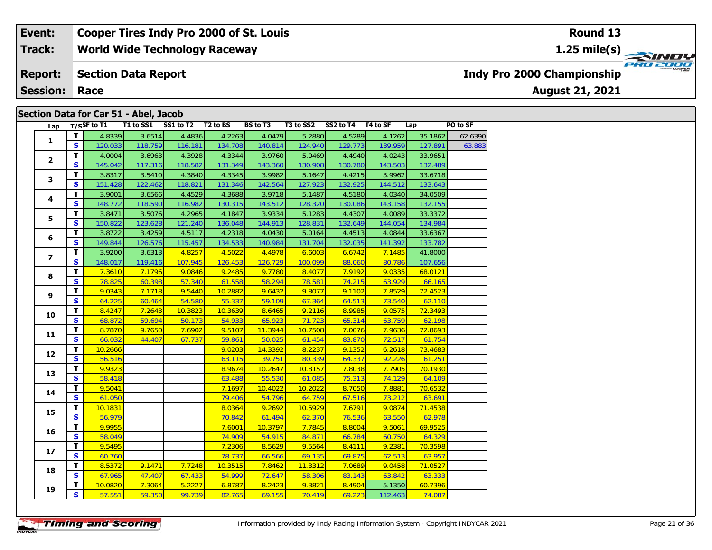**World Wide Technology Raceway Track:**

#### **Section Data Report Report:**

**Session: Race**

### **Section Data for Car 51 - Abel, Jacob**

| Lap            |                         | $T/S$ SF to T1 | T1 to SS1 | SS1 to T2 | T <sub>2</sub> to BS | <b>BS</b> to T3 | T3 to SS2 | SS2 to T4 | T4 to SF | Lap     | PO to SF |
|----------------|-------------------------|----------------|-----------|-----------|----------------------|-----------------|-----------|-----------|----------|---------|----------|
|                | $\mathbf{T}$            | 4.8339         | 3.6514    | 4.4836    | 4.2263               | 4.0479          | 5.2880    | 4.5289    | 4.1262   | 35.1862 | 62.6390  |
| $\mathbf{1}$   | $\overline{\mathbf{s}}$ | 120.033        | 118.759   | 116.181   | 134.708              | 140.814         | 124.940   | 129.773   | 139.959  | 127.891 | 63.883   |
|                | T.                      | 4.0004         | 3.6963    | 4.3928    | 4.3344               | 3.9760          | 5.0469    | 4.4940    | 4.0243   | 33.9651 |          |
| $\mathbf{2}$   | $\mathbf{s}$            | 145.042        | 117.316   | 118.582   | 131.349              | 143.360         | 130.908   | 130.780   | 143.503  | 132.489 |          |
|                | $\overline{\mathbf{T}}$ | 3.8317         | 3.5410    | 4.3840    | 4.3345               | 3.9982          | 5.1647    | 4.4215    | 3.9962   | 33.6718 |          |
| 3              | S                       | 151.428        | 122.462   | 118.821   | 131.346              | 142.564         | 127.923   | 132.925   | 144.512  | 133.643 |          |
|                | T                       | 3.9001         | 3.6566    | 4.4529    | 4.3688               | 3.9718          | 5.1487    | 4.5180    | 4.0340   | 34.0509 |          |
| 4              | $\mathbf{s}$            | 148.772        | 118.590   | 116.982   | 130.315              | 143.512         | 128.320   | 130.086   | 143.158  | 132.155 |          |
|                | T.                      | 3.8471         | 3.5076    | 4.2965    | 4.1847               | 3.9334          | 5.1283    | 4.4307    | 4.0089   | 33.3372 |          |
| 5              | $\mathbf{s}$            | 150.822        | 123.628   | 121.240   | 136.048              | 144.913         | 128.831   | 132.649   | 144.054  | 134.984 |          |
|                | T                       | 3.8722         | 3.4259    | 4.5117    | 4.2318               | 4.0430          | 5.0164    | 4.4513    | 4.0844   | 33.6367 |          |
| 6              | $\overline{\mathbf{s}}$ | 149.844        | 126.576   | 115.457   | 134.533              | 140.984         | 131.704   | 132.035   | 141.392  | 133.782 |          |
| $\overline{ }$ | T                       | 3.9200         | 3.6313    | 4.8257    | 4.5022               | 4.4978          | 6.6003    | 6.6742    | 7.1485   | 41.8000 |          |
|                | $\overline{\mathbf{s}}$ | 148.017        | 119.416   | 107.945   | 126.453              | 126.729         | 100.099   | 88.060    | 80.786   | 107.656 |          |
| 8              | T.                      | 7.3610         | 7.1796    | 9.0846    | 9.2485               | 9.7780          | 8.4077    | 7.9192    | 9.0335   | 68.0121 |          |
|                | $\mathbf{s}$            | 78.825         | 60.398    | 57.340    | 61.558               | 58.294          | 78.581    | 74.215    | 63.929   | 66.165  |          |
|                | $\overline{\mathsf{r}}$ | 9.0343         | 7.1718    | 9.5440    | 10.2882              | 9.6432          | 9.8077    | 9.1102    | 7.8529   | 72.4523 |          |
| 9              | S                       | 64.225         | 60.464    | 54.580    | 55.337               | 59.109          | 67.364    | 64.513    | 73.540   | 62.110  |          |
| 10             | $\mathbf{T}$            | 8.4247         | 7.2643    | 10.3823   | 10.3639              | 8.6465          | 9.2116    | 8.9985    | 9.0575   | 72.3493 |          |
|                | $\overline{\mathbf{s}}$ | 68.872         | 59.694    | 50.173    | 54.933               | 65.923          | 71.723    | 65.314    | 63.759   | 62.198  |          |
| 11             | $\overline{\mathsf{T}}$ | 8.7870         | 9.7650    | 7.6902    | 9.5107               | 11.3944         | 10.7508   | 7.0076    | 7.9636   | 72.8693 |          |
|                | $\mathbf{s}$            | 66.032         | 44.407    | 67.737    | 59.861               | 50.025          | 61.454    | 83.870    | 72.517   | 61.754  |          |
| 12             | T.                      | 10.2666        |           |           | 9.0203               | 14.3392         | 8.2237    | 9.1352    | 6.2618   | 73.4683 |          |
|                | <b>S</b>                | 56.516         |           |           | 63.115               | 39.751          | 80.339    | 64.337    | 92.226   | 61.251  |          |
| 13             | T.                      | 9.9323         |           |           | 8.9674               | 10.2647         | 10.8157   | 7.8038    | 7.7905   | 70.1930 |          |
|                | $\overline{\mathbf{s}}$ | 58.418         |           |           | 63.488               | 55.530          | 61.085    | 75.313    | 74.129   | 64.109  |          |
| 14             | $\mathbf{T}$            | 9.5041         |           |           | 7.1697               | 10.4022         | 10.2022   | 8.7050    | 7.8881   | 70.6532 |          |
|                | $\mathbf{s}$            | 61.050         |           |           | 79.406               | 54.796          | 64.759    | 67.516    | 73.212   | 63.691  |          |
| 15             | T                       | 10.1831        |           |           | 8.0364               | 9.2692          | 10.5929   | 7.6791    | 9.0874   | 71.4538 |          |
|                | $\mathbf{s}$            | 56.979         |           |           | 70.842               | 61.494          | 62.370    | 76.536    | 63.550   | 62.978  |          |
| 16             | T                       | 9.9955         |           |           | 7.6001               | 10.3797         | 7.7845    | 8.8004    | 9.5061   | 69.9525 |          |
|                | $\overline{\mathbf{s}}$ | 58.049         |           |           | 74.909               | 54.915          | 84.871    | 66.784    | 60.750   | 64.329  |          |
| 17             | $\mathbf{T}$            | 9.5495         |           |           | 7.2306               | 8.5629          | 9.5564    | 8.4111    | 9.2381   | 70.3598 |          |
|                | $\mathbf{s}$            | 60.760         |           |           | 78.737               | 66.566          | 69.135    | 69.875    | 62.513   | 63.957  |          |
| 18             | T                       | 8.5372         | 9.1471    | 7.7248    | 10.3515              | 7.8462          | 11.3312   | 7.0689    | 9.0458   | 71.0527 |          |
|                | $\mathbf{s}$            | 67.965         | 47.407    | 67.433    | 54.999               | 72.647          | 58.306    | 83.143    | 63.842   | 63.333  |          |
| 19             | $\overline{\mathsf{r}}$ | 10.0820        | 7.3064    | 5.2227    | 6.8787               | 8.2423          | 9.3821    | 8.4904    | 5.1350   | 60.7396 |          |
|                | $\overline{\mathbf{s}}$ | 57.551         | 59.350    | 99.739    | 82.765               | 69.155          | 70.419    | 69.223    | 112.463  | 74.087  |          |

**Timing and Scoring** 

# **Indy Pro 2000 Championship**

**August 21, 2021**

### **Round 13**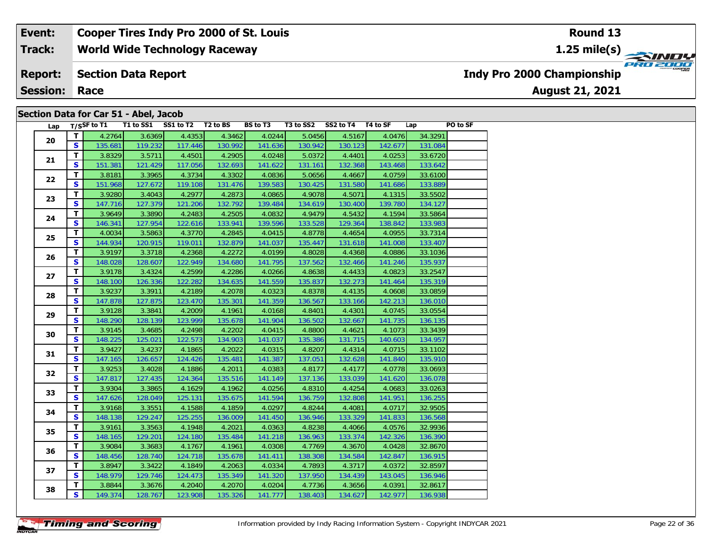#### **World Wide Technology Raceway Section Data Report August 21, 2021 Event: Cooper Tires Indy Pro 2000 of St. Louis Track: Report: Indy Pro 2000 Championship**

**Session: Race**

### **Section Data for Car 51 - Abel, Jacob**

| Lap |                         | T/SSF to T1 |         | T1 to SS1 SS1 to T2 T2 to BS |         | BS to T3 | T3 to SS2 | SS2 to T4 T4 to SF |         | Lap     | PO to SF |
|-----|-------------------------|-------------|---------|------------------------------|---------|----------|-----------|--------------------|---------|---------|----------|
| 20  | T                       | 4.2764      | 3.6369  | 4.4353                       | 4.3462  | 4.0244   | 5.0456    | 4.5167             | 4.0476  | 34.3291 |          |
|     | S.                      | 135.681     | 119.232 | 117.446                      | 130.992 | 141.636  | 130.942   | 130.123            | 142.677 | 131.084 |          |
| 21  | $\mathbf{T}$            | 3.8329      | 3.5711  | 4.4501                       | 4.2905  | 4.0248   | 5.0372    | 4.4401             | 4.0253  | 33.6720 |          |
|     | S                       | 151.381     | 121.429 | 117.056                      | 132.693 | 141.622  | 131.161   | 132.368            | 143.468 | 133.642 |          |
| 22  | $\overline{\mathbf{T}}$ | 3.8181      | 3.3965  | 4.3734                       | 4.3302  | 4.0836   | 5.0656    | 4.4667             | 4.0759  | 33.6100 |          |
|     | $\overline{\mathbf{s}}$ | 151.968     | 127.672 | 119.108                      | 131.476 | 139.583  | 130.425   | 131.580            | 141.686 | 133.889 |          |
| 23  | T.                      | 3.9280      | 3.4043  | 4.2977                       | 4.2873  | 4.0865   | 4.9078    | 4.5071             | 4.1315  | 33.5502 |          |
|     | $\overline{\mathbf{s}}$ | 147.716     | 127.379 | 121.206                      | 132.792 | 139.484  | 134.619   | 130.400            | 139.780 | 134.127 |          |
| 24  | T                       | 3.9649      | 3.3890  | 4.2483                       | 4.2505  | 4.0832   | 4.9479    | 4.5432             | 4.1594  | 33.5864 |          |
|     | $\overline{\mathbf{s}}$ | 146.341     | 127.954 | 122.616                      | 133.941 | 139.596  | 133.528   | 129.364            | 138.842 | 133.983 |          |
| 25  | T.                      | 4.0034      | 3.5863  | 4.3770                       | 4.2845  | 4.0415   | 4.8778    | 4.4654             | 4.0955  | 33.7314 |          |
|     | $\mathbf{s}$            | 144.934     | 120.915 | 119.011                      | 132.879 | 141.037  | 135.447   | 131.618            | 141.008 | 133.407 |          |
| 26  | $\overline{\mathsf{r}}$ | 3.9197      | 3.3718  | 4.2368                       | 4.2272  | 4.0199   | 4.8028    | 4.4368             | 4.0886  | 33.1036 |          |
|     | $\mathbf{s}$            | 148.028     | 128.607 | 122.949                      | 134.680 | 141.795  | 137.562   | 132.466            | 141.246 | 135.937 |          |
| 27  | $\mathbf T$             | 3.9178      | 3.4324  | 4.2599                       | 4.2286  | 4.0266   | 4.8638    | 4.4433             | 4.0823  | 33.2547 |          |
|     | $\mathbf{s}$            | 148.100     | 126.336 | 122.282                      | 134.635 | 141.559  | 135.837   | 132.273            | 141.464 | 135.319 |          |
| 28  | $\mathbf{T}$            | 3.9237      | 3.3911  | 4.2189                       | 4.2078  | 4.0323   | 4.8378    | 4.4135             | 4.0608  | 33.0859 |          |
|     | <b>S</b>                | 147.878     | 127.875 | 123.470                      | 135.301 | 141.359  | 136.567   | 133.166            | 142.213 | 136.010 |          |
| 29  | $\mathbf{T}$            | 3.9128      | 3.3841  | 4.2009                       | 4.1961  | 4.0168   | 4.8401    | 4.4301             | 4.0745  | 33.0554 |          |
|     | <b>S</b>                | 148.290     | 128.139 | 123.999                      | 135.678 | 141.904  | 136.502   | 132.667            | 141.735 | 136.135 |          |
| 30  | T.                      | 3.9145      | 3.4685  | 4.2498                       | 4.2202  | 4.0415   | 4.8800    | 4.4621             | 4.1073  | 33.3439 |          |
|     | S                       | 148.225     | 125.021 | 122.573                      | 134.903 | 141.037  | 135.386   | 131.715            | 140.603 | 134.957 |          |
| 31  | $\overline{\mathsf{r}}$ | 3.9427      | 3.4237  | 4.1865                       | 4.2022  | 4.0315   | 4.8207    | 4.4314             | 4.0715  | 33.1102 |          |
|     | $\overline{\mathbf{s}}$ | 147.165     | 126.657 | 124.426                      | 135.481 | 141.387  | 137.051   | 132.628            | 141.840 | 135.910 |          |
| 32  | T                       | 3.9253      | 3.4028  | 4.1886                       | 4.2011  | 4.0383   | 4.8177    | 4.4177             | 4.0778  | 33.0693 |          |
|     | $\mathbf{s}$            | 147.817     | 127.435 | 124.364                      | 135.516 | 141.149  | 137.136   | 133.039            | 141.620 | 136.078 |          |
| 33  | $\overline{\mathsf{r}}$ | 3.9304      | 3.3865  | 4.1629                       | 4.1962  | 4.0256   | 4.8310    | 4.4254             | 4.0683  | 33.0263 |          |
|     | $\mathbf{s}$            | 147.626     | 128.049 | 125.131                      | 135.675 | 141.594  | 136.759   | 132.808            | 141.951 | 136.255 |          |
| 34  | $\overline{\mathsf{r}}$ | 3.9168      | 3.3551  | 4.1588                       | 4.1859  | 4.0297   | 4.8244    | 4.4081             | 4.0717  | 32.9505 |          |
|     | $\overline{\mathbf{s}}$ | 148.138     | 129.247 | 125.255                      | 136.009 | 141.450  | 136.946   | 133.329            | 141.833 | 136.568 |          |
| 35  | T.                      | 3.9161      | 3.3563  | 4.1948                       | 4.2021  | 4.0363   | 4.8238    | 4.4066             | 4.0576  | 32.9936 |          |
|     | S                       | 148.165     | 129.201 | 124.180                      | 135.484 | 141.218  | 136.963   | 133.374            | 142.326 | 136.390 |          |
| 36  | $\mathbf{T}$            | 3.9084      | 3.3683  | 4.1767                       | 4.1961  | 4.0308   | 4.7769    | 4.3670             | 4.0428  | 32.8670 |          |
|     | $\mathbf{s}$            | 148.456     | 128.740 | 124.718                      | 135.678 | 141.411  | 138.308   | 134.584            | 142.847 | 136.915 |          |
|     | $\mathbf{T}$            | 3.8947      | 3.3422  | 4.1849                       | 4.2063  | 4.0334   | 4.7893    | 4.3717             | 4.0372  | 32.8597 |          |
| 37  | $\overline{\mathbf{s}}$ | 148.979     | 129.746 | 124.473                      | 135.349 | 141.320  | 137.950   | 134.439            | 143.045 | 136.946 |          |
|     | T.                      | 3.8844      | 3.3676  | 4.2040                       | 4.2070  | 4.0204   | 4.7736    | 4.3656             | 4.0391  | 32.8617 |          |
| 38  | s l                     | 149.374     | 128.767 | 123.908                      | 135.326 | 141.777  | 138.403   | 134.627            | 142.977 | 136.938 |          |

### **Round 13**

**1.25 mile(s)**

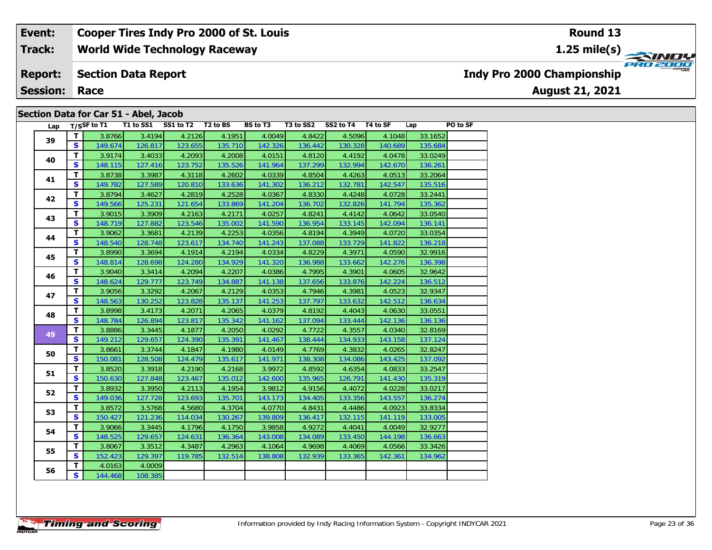### **World Wide Technology Raceway Event: Cooper Tires Indy Pro 2000 of St. Louis Track: Indy Pro 2000 Championship**

#### **Section Data Report Report:**

**Session: Race**

### **Section Data for Car 51 - Abel, Jacob**

| Lap |              | $T/S$ SF to T1 |         | T1 to SS1 SS1 to T2 T2 to BS |         | <b>BS to T3</b> | T3 to SS2 | SS2 to T4 T4 to SF |         | Lap     | PO to SF |
|-----|--------------|----------------|---------|------------------------------|---------|-----------------|-----------|--------------------|---------|---------|----------|
| 39  | T            | 3.8766         | 3.4194  | 4.2126                       | 4.1951  | 4.0049          | 4.8422    | 4.5096             | 4.1048  | 33.1652 |          |
|     | S            | 149.674        | 126.817 | 123.655                      | 135.710 | 142.326         | 136.442   | 130.328            | 140.689 | 135.684 |          |
| 40  | $\mathbf{T}$ | 3.9174         | 3.4033  | 4.2093                       | 4.2008  | 4.0151          | 4.8120    | 4.4192             | 4.0478  | 33.0249 |          |
|     | <b>S</b>     | 148.115        | 127.416 | 123.752                      | 135.526 | 141.964         | 137.299   | 132.994            | 142.670 | 136.261 |          |
| 41  | T.           | 3.8738         | 3.3987  | 4.3118                       | 4.2602  | 4.0339          | 4.8504    | 4.4263             | 4.0513  | 33.2064 |          |
|     | <b>S</b>     | 149.782        | 127.589 | 120.810                      | 133.636 | 141.302         | 136.212   | 132.781            | 142.547 | 135.516 |          |
| 42  | T            | 3.8794         | 3.4627  | 4.2819                       | 4.2528  | 4.0367          | 4.8330    | 4.4248             | 4.0728  | 33.2441 |          |
|     | <b>S</b>     | 149.566        | 125.231 | 121.654                      | 133.869 | 141.204         | 136.702   | 132.826            | 141.794 | 135.362 |          |
| 43  | T.           | 3.9015         | 3.3909  | 4.2163                       | 4.2171  | 4.0257          | 4.8241    | 4.4142             | 4.0642  | 33.0540 |          |
|     | S.           | 148.719        | 127.882 | 123.546                      | 135.002 | 141.590         | 136.954   | 133.145            | 142.094 | 136.141 |          |
| 44  | T.           | 3.9062         | 3.3681  | 4.2139                       | 4.2253  | 4.0356          | 4.8194    | 4.3949             | 4.0720  | 33.0354 |          |
|     | S            | 148.540        | 128.748 | 123.617                      | 134.740 | 141.243         | 137.088   | 133.729            | 141.822 | 136.218 |          |
| 45  | $\mathbf{T}$ | 3.8990         | 3.3694  | 4.1914                       | 4.2194  | 4.0334          | 4.8229    | 4.3971             | 4.0590  | 32.9916 |          |
|     | <b>S</b>     | 148.814        | 128.698 | 124.280                      | 134.929 | 141.320         | 136.988   | 133.662            | 142.276 | 136.398 |          |
| 46  | $\mathbf{T}$ | 3.9040         | 3.3414  | 4.2094                       | 4.2207  | 4.0386          | 4.7995    | 4.3901             | 4.0605  | 32.9642 |          |
|     | <b>S</b>     | 148.624        | 129.777 | 123.749                      | 134.887 | 141.138         | 137.656   | 133.876            | 142.224 | 136.512 |          |
| 47  | $\mathbf{T}$ | 3.9056         | 3.3292  | 4.2067                       | 4.2129  | 4.0353          | 4.7946    | 4.3981             | 4.0523  | 32.9347 |          |
|     | S            | 148.563        | 130.252 | 123.828                      | 135.137 | 141.253         | 137.797   | 133.632            | 142.512 | 136.634 |          |
| 48  | T.           | 3.8998         | 3.4173  | 4.2071                       | 4.2065  | 4.0379          | 4.8192    | 4.4043             | 4.0630  | 33.0551 |          |
|     | $\mathbf{s}$ | 148.784        | 126.894 | 123.817                      | 135.342 | 141.162         | 137.094   | 133.444            | 142.136 | 136.136 |          |
| 49  | T.           | 3.8886         | 3.3445  | 4.1877                       | 4.2050  | 4.0292          | 4.7722    | 4.3557             | 4.0340  | 32.8169 |          |
|     | $\mathbf{s}$ | 149.212        | 129.657 | 124.390                      | 135.391 | 141.467         | 138.444   | 134.933            | 143.158 | 137.124 |          |
| 50  | T.           | 3.8661         | 3.3744  | 4.1847                       | 4.1980  | 4.0149          | 4.7769    | 4.3832             | 4.0265  | 32.8247 |          |
|     | S.           | 150.081        | 128.508 | 124.479                      | 135.617 | 141.971         | 138.308   | 134.086            | 143.425 | 137.092 |          |
| 51  | T.           | 3.8520         | 3.3918  | 4.2190                       | 4.2168  | 3.9972          | 4.8592    | 4.6354             | 4.0833  | 33.2547 |          |
|     | S            | 150.630        | 127.848 | 123.467                      | 135.012 | 142.600         | 135.965   | 126.791            | 141.430 | 135.319 |          |
| 52  | T.           | 3.8932         | 3.3950  | 4.2113                       | 4.1954  | 3.9812          | 4.9156    | 4.4072             | 4.0228  | 33.0217 |          |
|     | S.           | 149.036        | 127.728 | 123.693                      | 135.701 | 143.173         | 134.405   | 133.356            | 143.557 | 136.274 |          |
| 53  | T.           | 3.8572         | 3.5768  | 4.5680                       | 4.3704  | 4.0770          | 4.8431    | 4.4486             | 4.0923  | 33.8334 |          |
|     | $\mathbf{s}$ | 150.427        | 121.236 | 114.034                      | 130.267 | 139.809         | 136.417   | 132.115            | 141.119 | 133.005 |          |
| 54  | $\mathbf{T}$ | 3.9066         | 3.3445  | 4.1796                       | 4.1750  | 3.9858          | 4.9272    | 4.4041             | 4.0049  | 32.9277 |          |
|     | S.           | 148.525        | 129.657 | 124.631                      | 136.364 | 143.008         | 134.089   | 133.450            | 144.198 | 136.663 |          |
| 55  | $\mathbf{T}$ | 3.8067         | 3.3512  | 4.3487                       | 4.2963  | 4.1064          | 4.9698    | 4.4069             | 4.0566  | 33.3426 |          |
|     | S.           | 152.423        | 129.397 | 119.785                      | 132.514 | 138.808         | 132.939   | 133.365            | 142.361 | 134.962 |          |
|     | T.           | 4.0163         | 4.0009  |                              |         |                 |           |                    |         |         |          |
| 56  | s l          | 144.468        | 108.385 |                              |         |                 |           |                    |         |         |          |



**1.25 mile(s)**

**August 21, 2021**



**Timing and Scoring**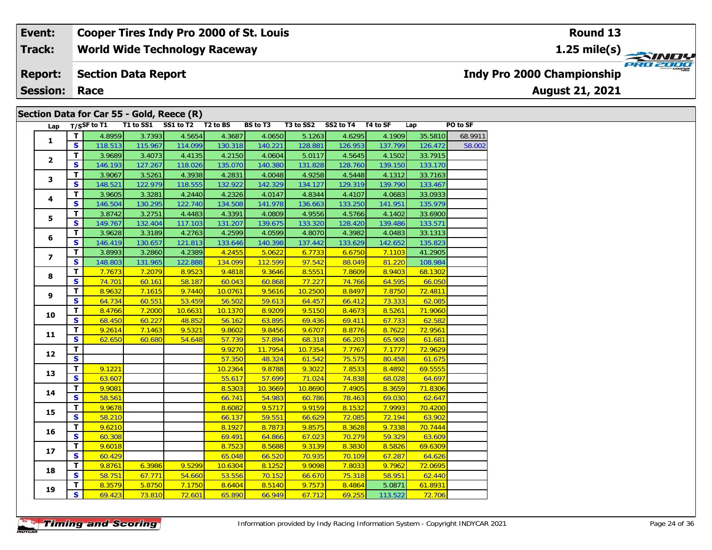**World Wide Technology Raceway Track:**

#### **Section Data Report Report:**

**Session: Race**

### **Section Data for Car 55 - Gold, Reece (R)**

|  | Lap                     |                         | $T/S$ SF to T1 | T1 to SS1 | SS1 to T2 | T <sub>2</sub> to BS | <b>BS</b> to T3 | T3 to SS2 | SS2 to T4 | T4 to SF | Lap     | PO to SF |
|--|-------------------------|-------------------------|----------------|-----------|-----------|----------------------|-----------------|-----------|-----------|----------|---------|----------|
|  | $\mathbf{1}$            | T                       | 4.8959         | 3.7393    | 4.5654    | 4.3687               | 4.0650          | 5.1263    | 4.6295    | 4.1909   | 35.5810 | 68.9911  |
|  |                         | <b>S</b>                | 118.513        | 115.967   | 114.099   | 130.318              | 140.221         | 128.881   | 126.953   | 137.799  | 126.472 | 58.002   |
|  | $\overline{2}$          | $\mathbf{T}$            | 3.9689         | 3.4073    | 4.4135    | 4.2150               | 4.0604          | 5.0117    | 4.5645    | 4.1502   | 33.7915 |          |
|  |                         | $\overline{\mathbf{s}}$ | 146.193        | 127.267   | 118.026   | 135.070              | 140.380         | 131.828   | 128.760   | 139.150  | 133.170 |          |
|  | 3                       | $\overline{\mathbf{T}}$ | 3.9067         | 3.5261    | 4.3938    | 4.2831               | 4.0048          | 4.9258    | 4.5448    | 4.1312   | 33.7163 |          |
|  |                         | $\mathbf{s}$            | 148.521        | 122.979   | 118.555   | 132.922              | 142.329         | 134.127   | 129.319   | 139.790  | 133.467 |          |
|  |                         | T                       | 3.9605         | 3.3281    | 4.2440    | 4.2326               | 4.0147          | 4.8344    | 4.4107    | 4.0683   | 33.0933 |          |
|  | 4                       | $\mathbf{s}$            | 146.504        | 130.295   | 122.740   | 134.508              | 141.978         | 136.663   | 133.250   | 141.951  | 135.979 |          |
|  |                         | T.                      | 3.8742         | 3.2751    | 4.4483    | 4.3391               | 4.0809          | 4.9556    | 4.5766    | 4.1402   | 33.6900 |          |
|  | 5                       | $\mathbf{s}$            | 149.767        | 132.404   | 117.103   | 131.207              | 139.675         | 133.320   | 128.420   | 139.486  | 133.571 |          |
|  |                         | T                       | 3.9628         | 3.3189    | 4.2763    | 4.2599               | 4.0599          | 4.8070    | 4.3982    | 4.0483   | 33.1313 |          |
|  | 6                       | S                       | 146.419        | 130.657   | 121.813   | 133.646              | 140.398         | 137.442   | 133.629   | 142.652  | 135.823 |          |
|  |                         | T.                      | 3.8993         | 3.2860    | 4.2389    | 4.2455               | 5.0622          | 6.7733    | 6.6750    | 7.1103   | 41.2905 |          |
|  | $\overline{\mathbf{z}}$ | $\mathbf{s}$            | 148.803        | 131.965   | 122.888   | 134.099              | 112.599         | 97.542    | 88.049    | 81.220   | 108.984 |          |
|  |                         | T                       | 7.7673         | 7.2079    | 8.9523    | 9.4818               | 9.3646          | 8.5551    | 7.8609    | 8.9403   | 68.1302 |          |
|  | 8                       | $\overline{\mathbf{s}}$ | 74.701         | 60.161    | 58.187    | 60.043               | 60.868          | 77.227    | 74.766    | 64.595   | 66.050  |          |
|  |                         | T                       | 8.9632         | 7.1615    | 9.7440    | 10.0761              | 9.5616          | 10.2500   | 8.8497    | 7.8750   | 72.4811 |          |
|  | 9                       | $\overline{\mathbf{s}}$ | 64.734         | 60.551    | 53.459    | 56.502               | 59.613          | 64.457    | 66.412    | 73.333   | 62.085  |          |
|  |                         | $\overline{\mathbf{T}}$ | 8.4766         | 7.2000    | 10.6631   | 10.1370              | 8.9209          | 9.5150    | 8.4673    | 8.5261   | 71.9060 |          |
|  | 10                      | $\mathbf{s}$            | 68.450         | 60.227    | 48.852    | 56.162               | 63.895          | 69.436    | 69.411    | 67.733   | 62.582  |          |
|  |                         | T                       | 9.2614         | 7.1463    | 9.5321    | 9.8602               | 9.8456          | 9.6707    | 8.8776    | 8.7622   | 72.9561 |          |
|  | 11                      | $\overline{\mathbf{s}}$ | 62.650         | 60.680    | 54.648    | 57.739               | 57.894          | 68.318    | 66.203    | 65.908   | 61.681  |          |
|  |                         | $\mathbf{T}$            |                |           |           | 9.9270               | 11.7954         | 10.7354   | 7.7767    | 7.1777   | 72.9629 |          |
|  | 12                      | $\overline{\mathbf{s}}$ |                |           |           | 57.350               | 48.324          | 61.542    | 75.575    | 80.458   | 61.675  |          |
|  |                         | $\overline{\mathbf{r}}$ | 9.1221         |           |           | 10.2364              | 9.8788          | 9.3022    | 7.8533    | 8.4892   | 69.5555 |          |
|  | 13                      | $\overline{\mathbf{s}}$ | 63.607         |           |           | 55.617               | 57.699          | 71.024    | 74.838    | 68.028   | 64.697  |          |
|  |                         | T                       | 9.9081         |           |           | 8.5303               | 10.3669         | 10.8690   | 7.4905    | 8.3659   | 71.8306 |          |
|  | 14                      | $\overline{\mathbf{s}}$ | 58.561         |           |           | 66.741               | 54.983          | 60.786    | 78.463    | 69.030   | 62.647  |          |
|  |                         | T.                      | 9.9678         |           |           | 8.6082               | 9.5717          | 9.9159    | 8.1532    | 7.9993   | 70.4200 |          |
|  | 15                      | $\mathbf{s}$            | 58.210         |           |           | 66.137               | 59.551          | 66.629    | 72.085    | 72.194   | 63.902  |          |
|  |                         | T                       | 9.6210         |           |           | 8.1927               | 8.7873          | 9.8575    | 8.3628    | 9.7338   | 70.7444 |          |
|  | 16                      | $\overline{\mathbf{s}}$ | 60.308         |           |           | 69.491               | 64.866          | 67.023    | 70.279    | 59.329   | 63.609  |          |
|  |                         | T                       | 9.6018         |           |           | 8.7523               | 8.5688          | 9.3139    | 8.3830    | 8.5826   | 69.6309 |          |
|  | 17                      | $\mathbf{s}$            | 60.429         |           |           | 65.048               | 66.520          | 70.935    | 70.109    | 67.287   | 64.626  |          |
|  |                         | $\overline{\mathsf{T}}$ | 9.8761         | 6.3986    | 9.5299    | 10.6304              | 8.1252          | 9.9098    | 7.8033    | 9.7962   | 72.0695 |          |
|  | 18                      | $\overline{\mathbf{s}}$ | 58.751         | 67.771    | 54.660    | 53.556               | 70.152          | 66.670    | 75.318    | 58.951   | 62.440  |          |
|  |                         | T                       | 8.3579         | 5.8750    | 7.1750    | 8.6404               | 8.5140          | 9.7573    | 8.4864    | 5.0871   | 61.8931 |          |
|  | 19                      | $\overline{\mathbf{s}}$ | 69.423         | 73.810    | 72.601    | 65.890               | 66.949          | 67.712    | 69.255    | 113.522  | 72.706  |          |

**1.25 mile(s)**



**Indy Pro 2000 Championship**

**August 21, 2021**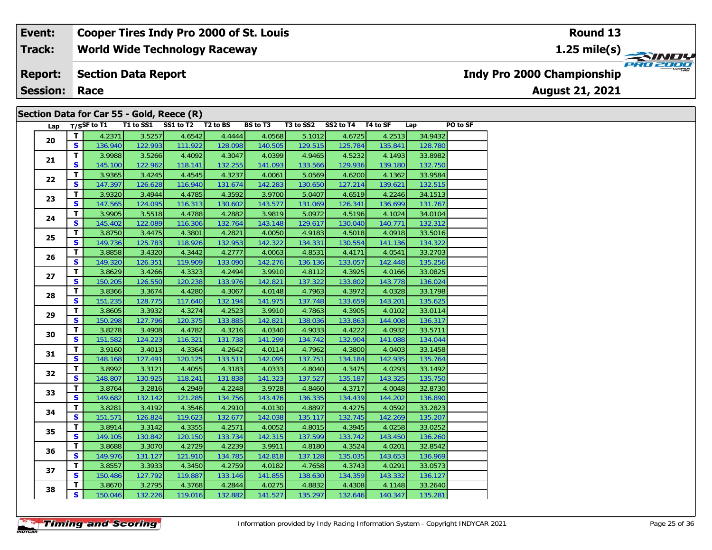**World Wide Technology Raceway Track:**

#### **Section Data Report Report:**

**Session: Race**

### **Section Data for Car 55 - Gold, Reece (R)**

| Lap |                         | T/SSF to T1 | T1 to SS1 | SS1 to T2 | T2 to BS | <b>BS</b> to T3 | T3 to SS2 | SS2 to T4 | T4 to SF | Lap     | PO to SF |
|-----|-------------------------|-------------|-----------|-----------|----------|-----------------|-----------|-----------|----------|---------|----------|
| 20  | T                       | 4.2371      | 3.5257    | 4.6542    | 4.4444   | 4.0568          | 5.1012    | 4.6725    | 4.2513   | 34.9432 |          |
|     | S.                      | 136.940     | 122.993   | 111.922   | 128.098  | 140.505         | 129.515   | 125.784   | 135.841  | 128.780 |          |
| 21  | T.                      | 3.9988      | 3.5266    | 4.4092    | 4.3047   | 4.0399          | 4.9465    | 4.5232    | 4.1493   | 33.8982 |          |
|     | S                       | 145.100     | 122.962   | 118.141   | 132.255  | 141.093         | 133.566   | 129.936   | 139.180  | 132.750 |          |
|     | T                       | 3.9365      | 3.4245    | 4.4545    | 4.3237   | 4.0061          | 5.0569    | 4.6200    | 4.1362   | 33.9584 |          |
| 22  | $\mathbf{s}$            | 147.397     | 126.628   | 116.940   | 131.674  | 142.283         | 130.650   | 127.214   | 139.621  | 132.515 |          |
|     | $\overline{\mathbf{T}}$ | 3.9320      | 3.4944    | 4.4785    | 4.3592   | 3.9700          | 5.0407    | 4.6519    | 4.2246   | 34.1513 |          |
| 23  | S.                      | 147.565     | 124.095   | 116.313   | 130.602  | 143.577         | 131.069   | 126.341   | 136.699  | 131.767 |          |
| 24  | T.                      | 3.9905      | 3.5518    | 4.4788    | 4.2882   | 3.9819          | 5.0972    | 4.5196    | 4.1024   | 34.0104 |          |
|     | S                       | 145.402     | 122.089   | 116.306   | 132.764  | 143.148         | 129.617   | 130.040   | 140.771  | 132.312 |          |
|     | T.                      | 3.8750      | 3.4475    | 4.3801    | 4.2821   | 4.0050          | 4.9183    | 4.5018    | 4.0918   | 33.5016 |          |
| 25  | S                       | 149.736     | 125.783   | 118.926   | 132.953  | 142.322         | 134.331   | 130.554   | 141.136  | 134.322 |          |
|     | $\mathbf{T}$            | 3.8858      | 3.4320    | 4.3442    | 4.2777   | 4.0063          | 4.8531    | 4.4171    | 4.0541   | 33.2703 |          |
| 26  | $\mathbf{s}$            | 149.320     | 126.351   | 119.909   | 133.090  | 142.276         | 136.136   | 133.057   | 142.448  | 135.256 |          |
|     | T.                      | 3.8629      | 3.4266    | 4.3323    | 4.2494   | 3.9910          | 4.8112    | 4.3925    | 4.0166   | 33.0825 |          |
| 27  | S                       | 150.205     | 126.550   | 120.238   | 133.976  | 142.821         | 137.322   | 133.802   | 143.778  | 136.024 |          |
|     | T                       | 3.8366      | 3.3674    | 4.4280    | 4.3067   | 4.0148          | 4.7963    | 4.3972    | 4.0328   | 33.1798 |          |
| 28  | $\mathbf{s}$            | 151.235     | 128.775   | 117.640   | 132.194  | 141.975         | 137.748   | 133.659   | 143.201  | 135.625 |          |
| 29  | T                       | 3.8605      | 3.3932    | 4.3274    | 4.2523   | 3.9910          | 4.7863    | 4.3905    | 4.0102   | 33.0114 |          |
|     | S                       | 150.298     | 127.796   | 120.375   | 133.885  | 142.821         | 138.036   | 133.863   | 144.008  | 136.317 |          |
| 30  | T.                      | 3.8278      | 3.4908    | 4.4782    | 4.3216   | 4.0340          | 4.9033    | 4.4222    | 4.0932   | 33.5711 |          |
|     | S                       | 151.582     | 124.223   | 116.321   | 131.738  | 141.299         | 134.742   | 132.904   | 141.088  | 134.044 |          |
|     | T.                      | 3.9160      | 3.4013    | 4.3364    | 4.2642   | 4.0114          | 4.7962    | 4.3800    | 4.0403   | 33.1458 |          |
| 31  | S                       | 148.168     | 127.491   | 120.125   | 133.511  | 142.095         | 137.751   | 134.184   | 142.935  | 135.764 |          |
|     | T                       | 3.8992      | 3.3121    | 4.4055    | 4.3183   | 4.0333          | 4.8040    | 4.3475    | 4.0293   | 33.1492 |          |
| 32  | $\mathbf{s}$            | 148.807     | 130.925   | 118.241   | 131.838  | 141.323         | 137.527   | 135.187   | 143.325  | 135.750 |          |
| 33  | T.                      | 3.8764      | 3.2816    | 4.2949    | 4.2248   | 3.9728          | 4.8460    | 4.3717    | 4.0048   | 32.8730 |          |
|     | $\mathbf{s}$            | 149.682     | 132.142   | 121.285   | 134.756  | 143.476         | 136.335   | 134.439   | 144.202  | 136.890 |          |
| 34  | T.                      | 3.8281      | 3.4192    | 4.3546    | 4.2910   | 4.0130          | 4.8897    | 4.4275    | 4.0592   | 33.2823 |          |
|     | S                       | 151.571     | 126.824   | 119.623   | 132.677  | 142.038         | 135.117   | 132.745   | 142.269  | 135.207 |          |
| 35  | T.                      | 3.8914      | 3.3142    | 4.3355    | 4.2571   | 4.0052          | 4.8015    | 4.3945    | 4.0258   | 33.0252 |          |
|     | $\mathbf{s}$            | 149.105     | 130.842   | 120.150   | 133.734  | 142.315         | 137.599   | 133.742   | 143.450  | 136.260 |          |
| 36  | T.                      | 3.8688      | 3.3070    | 4.2729    | 4.2239   | 3.9911          | 4.8180    | 4.3524    | 4.0201   | 32.8542 |          |
|     | $\mathbf{s}$            | 149.976     | 131.127   | 121.910   | 134.785  | 142.818         | 137.128   | 135.035   | 143.653  | 136.969 |          |
| 37  | T.                      | 3.8557      | 3.3933    | 4.3450    | 4.2759   | 4.0182          | 4.7658    | 4.3743    | 4.0291   | 33.0573 |          |
|     | S                       | 150.486     | 127.792   | 119.887   | 133.146  | 141.855         | 138.630   | 134.359   | 143.332  | 136.127 |          |
|     | T                       | 3.8670      | 3.2795    | 4.3768    | 4.2844   | 4.0275          | 4.8832    | 4.4308    | 4.1148   | 33.2640 |          |
| 38  | S.                      | 150.046     | 132.226   | 119.016   | 132.882  | 141.527         | 135.297   | 132.646   | 140.347  | 135.281 |          |

**Round 13**

**1.25 mile(s)**

**August 21, 2021**



**Indy Pro 2000 Championship**

**Timing and Scoring**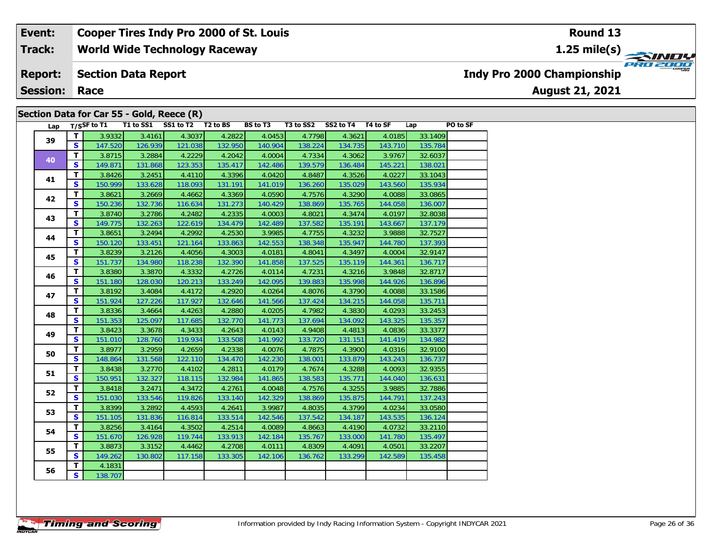**World Wide Technology Raceway Track:**

#### **Section Data Report Report:**

**Session: Race**

### **Section Data for Car 55 - Gold, Reece (R)**

| Lap |                         | $T/S$ SF to T1 | T1 to SS1 | SS1 to T2 T2 to BS |         | BS to T3 | T3 to SS2 | SS2 to T4 | T4 to SF | Lap     | PO to SF |
|-----|-------------------------|----------------|-----------|--------------------|---------|----------|-----------|-----------|----------|---------|----------|
| 39  | T                       | 3.9332         | 3.4161    | 4.3037             | 4.2822  | 4.0453   | 4.7798    | 4.3621    | 4.0185   | 33.1409 |          |
|     | S                       | 147.520        | 126.939   | 121.038            | 132.950 | 140.904  | 138.224   | 134.735   | 143.710  | 135.784 |          |
| 40  | $\mathbf{T}$            | 3.8715         | 3.2884    | 4.2229             | 4.2042  | 4.0004   | 4.7334    | 4.3062    | 3.9767   | 32.6037 |          |
|     | $\mathbf{s}$            | 149.871        | 131.868   | 123.353            | 135.417 | 142.486  | 139.579   | 136.484   | 145.221  | 138.021 |          |
| 41  | T.                      | 3.8426         | 3.2451    | 4.4110             | 4.3396  | 4.0420   | 4.8487    | 4.3526    | 4.0227   | 33.1043 |          |
|     | $\mathbf{s}$            | 150.999        | 133.628   | 118.093            | 131.191 | 141.019  | 136.260   | 135.029   | 143.560  | 135.934 |          |
| 42  | T.                      | 3.8621         | 3.2669    | 4.4662             | 4.3369  | 4.0590   | 4.7576    | 4.3290    | 4.0088   | 33.0865 |          |
|     | S                       | 150.236        | 132.736   | 116.634            | 131.273 | 140.429  | 138.869   | 135.765   | 144.058  | 136.007 |          |
| 43  | T.                      | 3.8740         | 3.2786    | 4.2482             | 4.2335  | 4.0003   | 4.8021    | 4.3474    | 4.0197   | 32.8038 |          |
|     | S                       | 149.775        | 132.263   | 122.619            | 134.479 | 142.489  | 137.582   | 135.191   | 143.667  | 137.179 |          |
| 44  | T.                      | 3.8651         | 3.2494    | 4.2992             | 4.2530  | 3.9985   | 4.7755    | 4.3232    | 3.9888   | 32.7527 |          |
|     | $\overline{\mathbf{s}}$ | 150.120        | 133.451   | 121.164            | 133.863 | 142.553  | 138.348   | 135.947   | 144.780  | 137.393 |          |
| 45  | T.                      | 3.8239         | 3.2126    | 4.4056             | 4.3003  | 4.0181   | 4.8041    | 4.3497    | 4.0004   | 32.9147 |          |
|     | $\overline{\mathbf{s}}$ | 151.737        | 134.980   | 118.238            | 132.390 | 141.858  | 137.525   | 135.119   | 144.361  | 136.717 |          |
| 46  | T                       | 3.8380         | 3.3870    | 4.3332             | 4.2726  | 4.0114   | 4.7231    | 4.3216    | 3.9848   | 32.8717 |          |
|     | <b>S</b>                | 151.180        | 128.030   | 120.213            | 133.249 | 142.095  | 139.883   | 135.998   | 144.926  | 136.896 |          |
| 47  | T                       | 3.8192         | 3.4084    | 4.4172             | 4.2920  | 4.0264   | 4.8076    | 4.3790    | 4.0088   | 33.1586 |          |
|     | S                       | 151.924        | 127.226   | 117.927            | 132.646 | 141.566  | 137.424   | 134.215   | 144.058  | 135.711 |          |
| 48  | $\mathbf{T}$            | 3.8336         | 3.4664    | 4.4263             | 4.2880  | 4.0205   | 4.7982    | 4.3830    | 4.0293   | 33.2453 |          |
|     | <b>S</b>                | 151.353        | 125.097   | 117.685            | 132.770 | 141.773  | 137.694   | 134.092   | 143.325  | 135.357 |          |
| 49  | T                       | 3.8423         | 3.3678    | 4.3433             | 4.2643  | 4.0143   | 4.9408    | 4.4813    | 4.0836   | 33.3377 |          |
|     | $\mathbf{s}$            | 151.010        | 128.760   | 119.934            | 133.508 | 141.992  | 133.720   | 131.151   | 141.419  | 134.982 |          |
| 50  | $\mathbf{T}$            | 3.8977         | 3.2959    | 4.2659             | 4.2338  | 4.0076   | 4.7875    | 4.3900    | 4.0316   | 32.9100 |          |
|     | $\mathbf{s}$            | 148.864        | 131.568   | 122.110            | 134.470 | 142.230  | 138.001   | 133.879   | 143.243  | 136.737 |          |
| 51  | $\mathbf{T}$            | 3.8438         | 3.2770    | 4.4102             | 4.2811  | 4.0179   | 4.7674    | 4.3288    | 4.0093   | 32.9355 |          |
|     | $\mathbf{s}$            | 150.951        | 132.327   | 118.115            | 132.984 | 141.865  | 138.583   | 135.771   | 144.040  | 136.631 |          |
| 52  | $\mathbf T$             | 3.8418         | 3.2471    | 4.3472             | 4.2761  | 4.0048   | 4.7576    | 4.3255    | 3.9885   | 32.7886 |          |
|     | $\overline{\mathbf{s}}$ | 151.030        | 133.546   | 119.826            | 133.140 | 142.329  | 138.869   | 135.875   | 144.791  | 137.243 |          |
| 53  | T.                      | 3.8399         | 3.2892    | 4.4593             | 4.2641  | 3.9987   | 4.8035    | 4.3799    | 4.0234   | 33.0580 |          |
|     | $\mathbf{s}$            | 151.105        | 131.836   | 116.814            | 133.514 | 142.546  | 137.542   | 134.187   | 143.535  | 136.124 |          |
| 54  | $\mathbf{T}$            | 3.8256         | 3.4164    | 4.3502             | 4.2514  | 4.0089   | 4.8663    | 4.4190    | 4.0732   | 33.2110 |          |
|     | $\overline{\mathbf{s}}$ | 151.670        | 126.928   | 119.744            | 133.913 | 142.184  | 135.767   | 133.000   | 141.780  | 135.497 |          |
| 55  | $\overline{\mathsf{r}}$ | 3.8873         | 3.3152    | 4.4462             | 4.2708  | 4.0111   | 4.8309    | 4.4091    | 4.0501   | 33.2207 |          |
|     | S                       | 149.262        | 130.802   | 117.158            | 133.305 | 142.106  | 136.762   | 133.299   | 142.589  | 135.458 |          |
| 56  | T                       | 4.1831         |           |                    |         |          |           |           |          |         |          |
|     | $\mathbf{s}$            | 138.707        |           |                    |         |          |           |           |          |         |          |

**1.25 mile(s)**

**Round 13**



**Indy Pro 2000 Championship**

**August 21, 2021**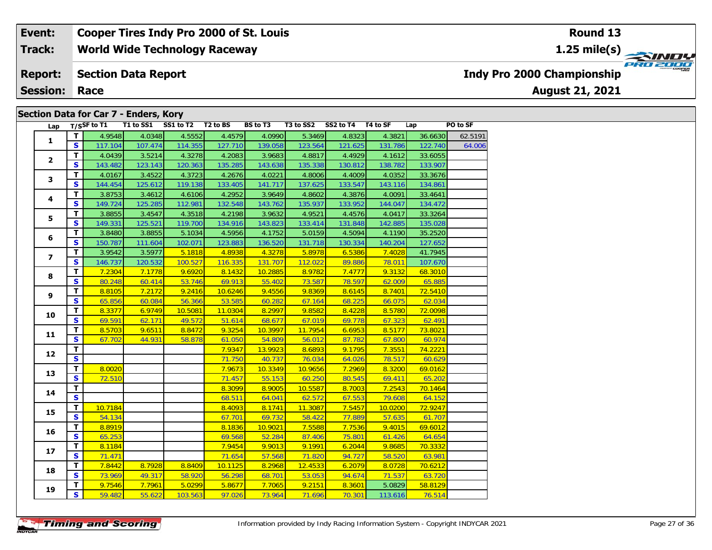#### **World Wide Technology Raceway Event: Cooper Tires Indy Pro 2000 of St. Louis Track:**

#### **Section Data Report Report:**

**Session: Race**

### **Section Data for Car 7 - Enders, Kory**

| Lap            |                         | T/SSF to T1 | T1 to SS1 | SS1 to T2 | T <sub>2</sub> to BS | <b>BS</b> to T3 | T3 to SS2 | SS2 to T4 | T4 to SF | Lap     | PO to SF |
|----------------|-------------------------|-------------|-----------|-----------|----------------------|-----------------|-----------|-----------|----------|---------|----------|
|                | T.                      | 4.9548      | 4.0348    | 4.5552    | 4.4579               | 4.0990          | 5.3469    | 4.8323    | 4.3821   | 36.6630 | 62.5191  |
| $\mathbf{1}$   | S.                      | 117.104     | 107.474   | 114.355   | 127.710              | 139.058         | 123.564   | 121.625   | 131.786  | 122.740 | 64.006   |
|                | T.                      | 4.0439      | 3.5214    | 4.3278    | 4.2083               | 3.9683          | 4.8817    | 4.4929    | 4.1612   | 33.6055 |          |
| $\mathbf{2}$   | S                       | 143.482     | 123.143   | 120.363   | 135.285              | 143.638         | 135.338   | 130.812   | 138.782  | 133.907 |          |
|                | T                       | 4.0167      | 3.4522    | 4.3723    | 4.2676               | 4.0221          | 4.8006    | 4.4009    | 4.0352   | 33.3676 |          |
| 3              | S                       | 144.454     | 125.612   | 119.138   | 133.405              | 141.717         | 137.625   | 133.547   | 143.116  | 134.861 |          |
|                | T                       | 3.8753      | 3.4612    | 4.6106    | 4.2952               | 3.9649          | 4.8602    | 4.3876    | 4.0091   | 33.4641 |          |
| 4              | S                       | 149.724     | 125.285   | 112.981   | 132.548              | 143.762         | 135.937   | 133.952   | 144.047  | 134.472 |          |
|                | T.                      | 3.8855      | 3.4547    | 4.3518    | 4.2198               | 3.9632          | 4.9521    | 4.4576    | 4.0417   | 33.3264 |          |
| 5              | S.                      | 149.331     | 125.521   | 119.700   | 134.916              | 143.823         | 133.414   | 131.848   | 142.885  | 135.028 |          |
| 6              | T.                      | 3.8480      | 3.8855    | 5.1034    | 4.5956               | 4.1752          | 5.0159    | 4.5094    | 4.1190   | 35.2520 |          |
|                | S.                      | 150.787     | 111.604   | 102.071   | 123.883              | 136.520         | 131.718   | 130.334   | 140.204  | 127.652 |          |
| $\overline{ }$ | T.                      | 3.9542      | 3.5977    | 5.1818    | 4.8938               | 4.3278          | 5.8978    | 6.5386    | 7.4028   | 41.7945 |          |
|                | S                       | 146.737     | 120.532   | 100.527   | 116.335              | 131.707         | 112.022   | 89.886    | 78.011   | 107.670 |          |
|                | T.                      | 7.2304      | 7.1778    | 9.6920    | 8.1432               | 10.2885         | 8.9782    | 7.4777    | 9.3132   | 68.3010 |          |
| 8              | $\overline{\mathbf{s}}$ | 80.248      | 60.414    | 53.746    | 69.913               | 55.402          | 73.587    | 78.597    | 62.009   | 65.885  |          |
| 9              | T                       | 8.8105      | 7.2172    | 9.2416    | 10.6246              | 9.4556          | 9.8369    | 8.6145    | 8.7401   | 72.5410 |          |
|                | S.                      | 65.856      | 60.084    | 56.366    | 53.585               | 60.282          | 67.164    | 68.225    | 66.075   | 62.034  |          |
|                | T                       | 8.3377      | 6.9749    | 10.5081   | 11.0304              | 8.2997          | 9.8582    | 8.4228    | 8.5780   | 72.0098 |          |
| 10             | $\overline{\mathbf{s}}$ | 69.591      | 62.171    | 49.572    | 51.614               | 68.677          | 67.019    | 69.778    | 67.323   | 62.491  |          |
| 11             | T.                      | 8.5703      | 9.6511    | 8.8472    | 9.3254               | 10.3997         | 11.7954   | 6.6953    | 8.5177   | 73.8021 |          |
|                | S.                      | 67.702      | 44.931    | 58.878    | 61.050               | 54.809          | 56.012    | 87.782    | 67.800   | 60.974  |          |
| 12             | $\overline{\mathsf{r}}$ |             |           |           | 7.9347               | 13.9923         | 8.6893    | 9.1795    | 7.3551   | 74.2221 |          |
|                | $\overline{\mathbf{s}}$ |             |           |           | 71.750               | 40.737          | 76.034    | 64.026    | 78.517   | 60.629  |          |
| 13             | $\overline{\mathsf{r}}$ | 8.0020      |           |           | 7.9673               | 10.3349         | 10.9656   | 7.2969    | 8.3200   | 69.0162 |          |
|                | S.                      | 72.510      |           |           | 71.457               | 55.153          | 60.250    | 80.545    | 69.411   | 65.202  |          |
| 14             | $\mathbf{T}$            |             |           |           | 8.3099               | 8.9005          | 10.5587   | 8.7003    | 7.2543   | 70.1464 |          |
|                | <b>S</b>                |             |           |           | 68.511               | 64.041          | 62.572    | 67.553    | 79.608   | 64.152  |          |
| 15             | T.                      | 10.7184     |           |           | 8.4093               | 8.1741          | 11.3087   | 7.5457    | 10.0200  | 72.9247 |          |
|                | S                       | 54.134      |           |           | 67.701               | 69.732          | 58.422    | 77.889    | 57.635   | 61.707  |          |
| 16             | T.                      | 8.8919      |           |           | 8.1836               | 10.9021         | 7.5588    | 7.7536    | 9.4015   | 69.6012 |          |
|                | S                       | 65.253      |           |           | 69.568               | 52.284          | 87.406    | 75.801    | 61.426   | 64.654  |          |
| 17             | T                       | 8.1184      |           |           | 7.9454               | 9.9013          | 9.1991    | 6.2044    | 9.8685   | 70.3332 |          |
|                | S                       | 71.471      |           |           | 71.654               | 57.568          | 71.820    | 94.727    | 58.520   | 63.981  |          |
| 18             | T.                      | 7.8442      | 8.7928    | 8.8409    | 10.1125              | 8.2968          | 12.4533   | 6.2079    | 8.0728   | 70.6212 |          |
|                | $\mathbf{s}$            | 73.969      | 49.317    | 58.920    | 56.298               | 68.701          | 53.053    | 94.674    | 71.537   | 63.720  |          |
| 19             | T.                      | 9.7546      | 7.7961    | 5.0299    | 5.8677               | 7.7065          | 9.2151    | 8.3601    | 5.0829   | 58.8129 |          |
|                | $\overline{\mathbf{s}}$ | 59.482      | 55.622    | 103.563   | 97.026               | 73.964          | 71.696    | 70.301    | 113.616  | 76.514  |          |

# **Indy Pro 2000 Championship**

**August 21, 2021**

### **Round 13**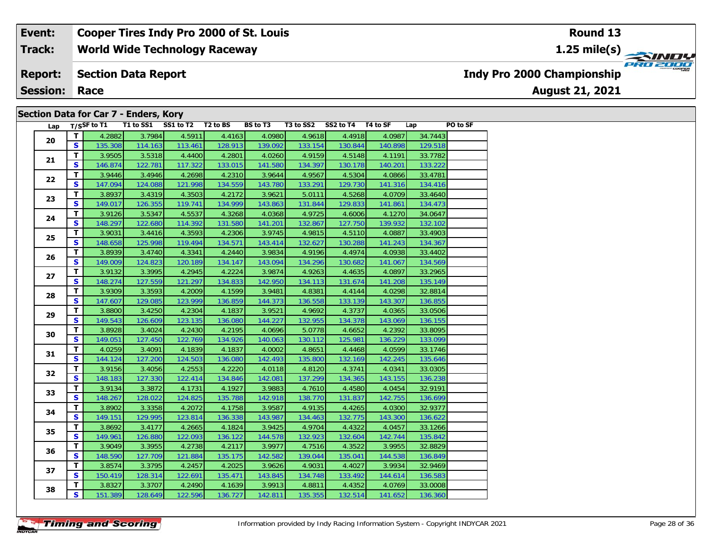#### **World Wide Technology Raceway Section Data Report Event: Cooper Tires Indy Pro 2000 of St. Louis Track: Report: Indy Pro 2000 Championship**

**Session: Race**

## **Section Data for Car 7 - Enders, Kory**

| Lap |                         | $T/S$ SF to T1 |         | T1 to SS1 SS1 to T2 T2 to BS |         | <b>BS to T3</b> |         | T3 to SS2 SS2 to T4 T4 to SF |         | Lap     | PO to SF |
|-----|-------------------------|----------------|---------|------------------------------|---------|-----------------|---------|------------------------------|---------|---------|----------|
|     | $\mathbf{T}$            | 4.2882         | 3.7984  | 4.5911                       | 4.4163  | 4.0980          | 4.9618  | 4.4918                       | 4.0987  | 34.7443 |          |
| 20  | <b>S</b>                | 135.308        | 114.163 | 113.461                      | 128.913 | 139.092         | 133.154 | 130.844                      | 140.898 | 129.518 |          |
|     | $\overline{\mathsf{r}}$ | 3.9505         | 3.5318  | 4.4400                       | 4.2801  | 4.0260          | 4.9159  | 4.5148                       | 4.1191  | 33.7782 |          |
| 21  | S                       | 146.874        | 122.781 | 117.322                      | 133.015 | 141.580         | 134.397 | 130.178                      | 140.201 | 133.222 |          |
| 22  | $\overline{\mathbf{T}}$ | 3.9446         | 3.4946  | 4.2698                       | 4.2310  | 3.9644          | 4.9567  | 4.5304                       | 4.0866  | 33.4781 |          |
|     | S                       | 147.094        | 124.088 | 121.998                      | 134.559 | 143.780         | 133.291 | 129.730                      | 141.316 | 134.416 |          |
| 23  | T                       | 3.8937         | 3.4319  | 4.3503                       | 4.2172  | 3.9621          | 5.0111  | 4.5268                       | 4.0709  | 33.4640 |          |
|     | $\mathbf{s}$            | 149.017        | 126.355 | 119.741                      | 134.999 | 143.863         | 131.844 | 129.833                      | 141.861 | 134.473 |          |
| 24  | $\overline{\mathsf{r}}$ | 3.9126         | 3.5347  | 4.5537                       | 4.3268  | 4.0368          | 4.9725  | 4.6006                       | 4.1270  | 34.0647 |          |
|     | $\mathbf{s}$            | 148.297        | 122.680 | 114.392                      | 131.580 | 141.201         | 132.867 | 127.750                      | 139.932 | 132.102 |          |
| 25  | T.                      | 3.9031         | 3.4416  | 4.3593                       | 4.2306  | 3.9745          | 4.9815  | 4.5110                       | 4.0887  | 33.4903 |          |
|     | S                       | 148.658        | 125.998 | 119.494                      | 134.571 | 143.414         | 132.627 | 130.288                      | 141.243 | 134.367 |          |
| 26  | $\mathbf T$             | 3.8939         | 3.4740  | 4.3341                       | 4.2440  | 3.9834          | 4.9196  | 4.4974                       | 4.0938  | 33.4402 |          |
|     | $\mathbf{s}$            | 149.009        | 124.823 | 120.189                      | 134.147 | 143.094         | 134.296 | 130.682                      | 141.067 | 134.569 |          |
| 27  | $\mathbf T$             | 3.9132         | 3.3995  | 4.2945                       | 4.2224  | 3.9874          | 4.9263  | 4.4635                       | 4.0897  | 33.2965 |          |
|     | S                       | 148.274        | 127.559 | 121.297                      | 134.833 | 142.950         | 134.113 | 131.674                      | 141.208 | 135.149 |          |
| 28  | T                       | 3.9309         | 3.3593  | 4.2009                       | 4.1599  | 3.9481          | 4.8381  | 4.4144                       | 4.0298  | 32.8814 |          |
|     | $\mathbf{s}$            | 147.607        | 129.085 | 123.999                      | 136.859 | 144.373         | 136.558 | 133.139                      | 143.307 | 136.855 |          |
| 29  | $\mathbf T$             | 3.8800         | 3.4250  | 4.2304                       | 4.1837  | 3.9521          | 4.9692  | 4.3737                       | 4.0365  | 33.0506 |          |
|     | $\mathbf{s}$            | 149.543        | 126.609 | 123.135                      | 136.080 | 144.227         | 132.955 | 134.378                      | 143.069 | 136.155 |          |
| 30  | $\mathbf{T}$            | 3.8928         | 3.4024  | 4.2430                       | 4.2195  | 4.0696          | 5.0778  | 4.6652                       | 4.2392  | 33.8095 |          |
|     | $\mathbf{s}$            | 149.051        | 127.450 | 122.769                      | 134.926 | 140.063         | 130.112 | 125.981                      | 136.229 | 133.099 |          |
| 31  | $\overline{\mathsf{r}}$ | 4.0259         | 3.4091  | 4.1839                       | 4.1837  | 4.0002          | 4.8651  | 4.4468                       | 4.0599  | 33.1746 |          |
|     | S                       | 144.124        | 127.200 | 124.503                      | 136.080 | 142.493         | 135.800 | 132.169                      | 142.245 | 135.646 |          |
| 32  | $\mathbf T$             | 3.9156         | 3.4056  | 4.2553                       | 4.2220  | 4.0118          | 4.8120  | 4.3741                       | 4.0341  | 33.0305 |          |
|     | $\mathbf{s}$            | 148.183        | 127.330 | 122.414                      | 134.846 | 142.081         | 137.299 | 134.365                      | 143.155 | 136.238 |          |
| 33  | T                       | 3.9134         | 3.3872  | 4.1731                       | 4.1927  | 3.9883          | 4.7610  | 4.4580                       | 4.0454  | 32.9191 |          |
|     | $\mathbf{s}$            | 148.267        | 128.022 | 124.825                      | 135.788 | 142.918         | 138.770 | 131.837                      | 142.755 | 136.699 |          |
| 34  | T                       | 3.8902         | 3.3358  | 4.2072                       | 4.1758  | 3.9587          | 4.9135  | 4.4265                       | 4.0300  | 32.9377 |          |
|     | $\mathbf{s}$            | 149.151        | 129.995 | 123.814                      | 136.338 | 143.987         | 134.463 | 132.775                      | 143.300 | 136.622 |          |
| 35  | T                       | 3.8692         | 3.4177  | 4.2665                       | 4.1824  | 3.9425          | 4.9704  | 4.4322                       | 4.0457  | 33.1266 |          |
|     | $\mathbf{s}$            | 149.961        | 126.880 | 122.093                      | 136.122 | 144.578         | 132.923 | 132.604                      | 142.744 | 135.842 |          |
| 36  | $\mathbf{T}$            | 3.9049         | 3.3955  | 4.2738                       | 4.2117  | 3.9977          | 4.7516  | 4.3522                       | 3.9955  | 32.8829 |          |
|     | S                       | 148.590        | 127.709 | 121.884                      | 135.175 | 142.582         | 139.044 | 135.041                      | 144.538 | 136.849 |          |
| 37  | $\mathbf T$             | 3.8574         | 3.3795  | 4.2457                       | 4.2025  | 3.9626          | 4.9031  | 4.4027                       | 3.9934  | 32.9469 |          |
|     | $\mathbf{s}$            | 150.419        | 128.314 | 122.691                      | 135.471 | 143.845         | 134.748 | 133.492                      | 144.614 | 136.583 |          |
| 38  | T.                      | 3.8327         | 3.3707  | 4.2490                       | 4.1639  | 3.9913          | 4.8811  | 4.4352                       | 4.0769  | 33.0008 |          |
|     | S                       | 151.389        | 128.649 | 122.596                      | 136.727 | 142.811         | 135.355 | 132.514                      | 141.652 | 136.360 |          |

### **Round 13**

**1.25 mile(s)**

**August 21, 2021**

**PRO 2000**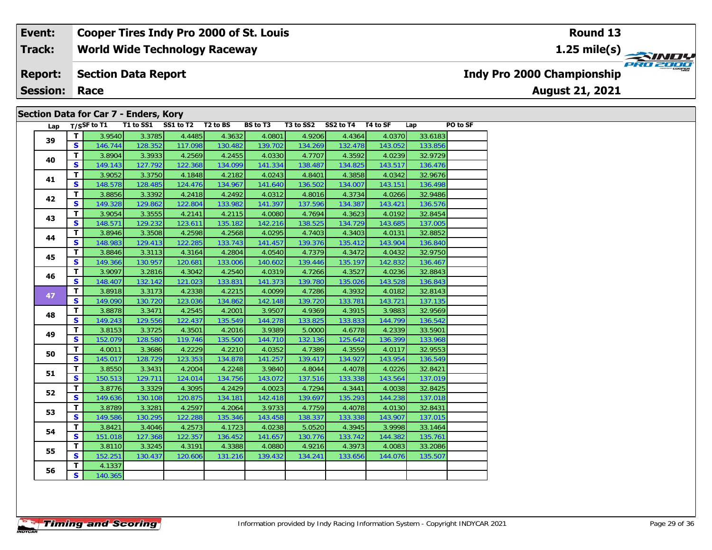#### **World Wide Technology Raceway Section Data Report Event: Cooper Tires Indy Pro 2000 of St. Louis Track: Report: Session: Race Indy Pro 2000 Championship 1.25 mile(s) Round 13**

| Section Data for Car 7 - Enders, Kory |  |  |
|---------------------------------------|--|--|
|---------------------------------------|--|--|

| Lap |    | $T/S$ SF to T1 |         | T1 to SS1 SS1 to T2 T2 to BS |         | BS to T3 | T3 to SS2 | SS2 to T4 T4 to SF |         | Lap     | PO to SF |
|-----|----|----------------|---------|------------------------------|---------|----------|-----------|--------------------|---------|---------|----------|
| 39  | T  | 3.9540         | 3.3785  | 4.4485                       | 4.3632  | 4.0801   | 4.9206    | 4.4364             | 4.0370  | 33.6183 |          |
|     | S. | 146.744        | 128.352 | 117.098                      | 130.482 | 139.702  | 134.269   | 132.478            | 143.052 | 133.856 |          |
| 40  | T. | 3.8904         | 3.3933  | 4.2569                       | 4.2455  | 4.0330   | 4.7707    | 4.3592             | 4.0239  | 32.9729 |          |
|     | S. | 149.143        | 127.792 | 122.368                      | 134.099 | 141.334  | 138.487   | 134.825            | 143.517 | 136.476 |          |
| 41  | T. | 3.9052         | 3.3750  | 4.1848                       | 4.2182  | 4.0243   | 4.8401    | 4.3858             | 4.0342  | 32.9676 |          |
|     | S  | 148.578        | 128.485 | 124.476                      | 134.967 | 141.640  | 136.502   | 134.007            | 143.151 | 136.498 |          |
| 42  | T. | 3.8856         | 3.3392  | 4.2418                       | 4.2492  | 4.0312   | 4.8016    | 4.3734             | 4.0266  | 32.9486 |          |
|     | S  | 149.328        | 129.862 | 122.804                      | 133.982 | 141.397  | 137.596   | 134.387            | 143.421 | 136.576 |          |
| 43  | T. | 3.9054         | 3.3555  | 4.2141                       | 4.2115  | 4.0080   | 4.7694    | 4.3623             | 4.0192  | 32.8454 |          |
|     | S. | 148.571        | 129.232 | 123.611                      | 135.182 | 142.216  | 138.525   | 134.729            | 143.685 | 137.005 |          |
| 44  | T. | 3.8946         | 3.3508  | 4.2598                       | 4.2568  | 4.0295   | 4.7403    | 4.3403             | 4.0131  | 32.8852 |          |
|     | S  | 148.983        | 129.413 | 122.285                      | 133.743 | 141.457  | 139.376   | 135.412            | 143.904 | 136.840 |          |
| 45  | T. | 3.8846         | 3.3113  | 4.3164                       | 4.2804  | 4.0540   | 4.7379    | 4.3472             | 4.0432  | 32.9750 |          |
|     | S  | 149.366        | 130.957 | 120.681                      | 133.006 | 140.602  | 139.446   | 135.197            | 142.832 | 136.467 |          |
| 46  | T. | 3.9097         | 3.2816  | 4.3042                       | 4.2540  | 4.0319   | 4.7266    | 4.3527             | 4.0236  | 32.8843 |          |
|     | S  | 148.407        | 132.142 | 121.023                      | 133.831 | 141.373  | 139.780   | 135.026            | 143.528 | 136.843 |          |
| 47  | T. | 3.8918         | 3.3173  | 4.2338                       | 4.2215  | 4.0099   | 4.7286    | 4.3932             | 4.0182  | 32.8143 |          |
|     | S  | 149.090        | 130.720 | 123.036                      | 134.862 | 142.148  | 139.720   | 133.781            | 143.721 | 137.135 |          |
| 48  | T. | 3.8878         | 3.3471  | 4.2545                       | 4.2001  | 3.9507   | 4.9369    | 4.3915             | 3.9883  | 32.9569 |          |
|     | S. | 149.243        | 129.556 | 122.437                      | 135.549 | 144.278  | 133.825   | 133.833            | 144.799 | 136.542 |          |
| 49  | T. | 3.8153         | 3.3725  | 4.3501                       | 4.2016  | 3.9389   | 5.0000    | 4.6778             | 4.2339  | 33.5901 |          |
|     | S  | 152.079        | 128.580 | 119.746                      | 135.500 | 144.710  | 132.136   | 125.642            | 136.399 | 133.968 |          |
| 50  | T. | 4.0011         | 3.3686  | 4.2229                       | 4.2210  | 4.0352   | 4.7389    | 4.3559             | 4.0117  | 32.9553 |          |
|     | S. | 145.017        | 128.729 | 123.353                      | 134.878 | 141.257  | 139.417   | 134.927            | 143.954 | 136.549 |          |
| 51  | T. | 3.8550         | 3.3431  | 4.2004                       | 4.2248  | 3.9840   | 4.8044    | 4.4078             | 4.0226  | 32.8421 |          |
|     | S  | 150.513        | 129.711 | 124.014                      | 134.756 | 143.072  | 137.516   | 133.338            | 143.564 | 137.019 |          |
| 52  | T. | 3.8776         | 3.3329  | 4.3095                       | 4.2429  | 4.0023   | 4.7294    | 4.3441             | 4.0038  | 32.8425 |          |
|     | S  | 149.636        | 130.108 | 120.875                      | 134.181 | 142.418  | 139.697   | 135.293            | 144.238 | 137.018 |          |
| 53  | T. | 3.8789         | 3.3281  | 4.2597                       | 4.2064  | 3.9733   | 4.7759    | 4.4078             | 4.0130  | 32.8431 |          |
|     | S  | 149.586        | 130.295 | 122.288                      | 135.346 | 143.458  | 138.337   | 133.338            | 143.907 | 137.015 |          |
| 54  | T. | 3.8421         | 3.4046  | 4.2573                       | 4.1723  | 4.0238   | 5.0520    | 4.3945             | 3.9998  | 33.1464 |          |
|     | S. | 151.018        | 127.368 | 122.357                      | 136.452 | 141.657  | 130.776   | 133.742            | 144.382 | 135.761 |          |
| 55  | T. | 3.8110         | 3.3245  | 4.3191                       | 4.3388  | 4.0880   | 4.9216    | 4.3973             | 4.0083  | 33.2086 |          |
|     | S  | 152.251        | 130.437 | 120.606                      | 131.216 | 139.432  | 134.241   | 133.656            | 144.076 | 135.507 |          |
| 56  | T. | 4.1337         |         |                              |         |          |           |                    |         |         |          |
|     | S. | 140.365        |         |                              |         |          |           |                    |         |         |          |



**August 21, 2021**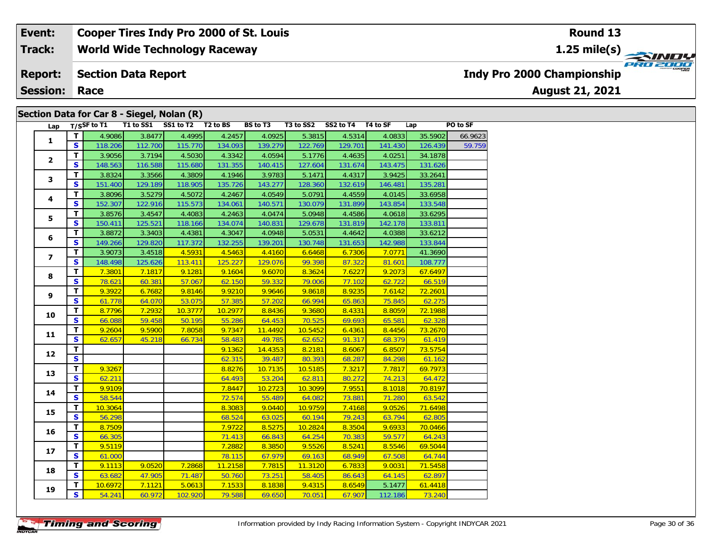**World Wide Technology Raceway Track:**

#### **Section Data Report Report:**

**Session: Race**

### **Section Data for Car 8 - Siegel, Nolan (R)**

| Lap                     |                         | T/SSF to T1 T1 to SS1 |         | SS1 to T2 | T <sub>2</sub> to BS | <b>BS</b> to T3 | T3 to SS2 | SS2 to T4 T4 to SF |         | Lap     | PO to SF |
|-------------------------|-------------------------|-----------------------|---------|-----------|----------------------|-----------------|-----------|--------------------|---------|---------|----------|
|                         | T                       | 4.9086                | 3.8477  | 4.4995    | 4.2457               | 4.0925          | 5.3815    | 4.5314             | 4.0833  | 35.5902 | 66.9623  |
| $\mathbf{1}$            | S.                      | 118.206               | 112.700 | 115.770   | 134.093              | 139.279         | 122.769   | 129.701            | 141.430 | 126.439 | 59.759   |
|                         | T                       | 3.9056                | 3.7194  | 4.5030    | 4.3342               | 4.0594          | 5.1776    | 4.4635             | 4.0251  | 34.1878 |          |
| $\overline{2}$          | $\mathbf{s}$            | 148.563               | 116.588 | 115.680   | 131.355              | 140.415         | 127.604   | 131.674            | 143.475 | 131.626 |          |
|                         | T                       | 3.8324                | 3.3566  | 4.3809    | 4.1946               | 3.9783          | 5.1471    | 4.4317             | 3.9425  | 33.2641 |          |
| 3                       | $\mathbf{s}$            | 151.400               | 129.189 | 118.905   | 135.726              | 143.277         | 128.360   | 132.619            | 146.481 | 135.281 |          |
|                         | $\overline{\mathsf{T}}$ | 3.8096                | 3.5279  | 4.5072    | 4.2467               | 4.0549          | 5.0791    | 4.4559             | 4.0145  | 33.6958 |          |
| 4                       | S.                      | 152.307               | 122.916 | 115.573   | 134.061              | 140.571         | 130.079   | 131.899            | 143.854 | 133.548 |          |
|                         | т                       | 3.8576                | 3.4547  | 4.4083    | 4.2463               | 4.0474          | 5.0948    | 4.4586             | 4.0618  | 33.6295 |          |
| 5                       | S                       | 150.411               | 125.521 | 118.166   | 134.074              | 140.831         | 129.678   | 131.819            | 142.178 | 133.811 |          |
|                         | T                       | 3.8872                | 3.3403  | 4.4381    | 4.3047               | 4.0948          | 5.0531    | 4.4642             | 4.0388  | 33.6212 |          |
| 6                       | S                       | 149.266               | 129.820 | 117.372   | 132.255              | 139.201         | 130.748   | 131.653            | 142.988 | 133.844 |          |
|                         | T                       | 3.9073                | 3.4518  | 4.5931    | 4.5463               | 4.4160          | 6.6468    | 6.7306             | 7.0771  | 41.3690 |          |
| $\overline{\mathbf{z}}$ | $\mathbf{s}$            | 148.498               | 125.626 | 113.411   | 125.227              | 129.076         | 99.398    | 87.322             | 81.601  | 108.777 |          |
|                         | T                       | 7.3801                | 7.1817  | 9.1281    | 9.1604               | 9.6070          | 8.3624    | 7.6227             | 9.2073  | 67.6497 |          |
| 8                       | $\mathbf{s}$            | 78.621                | 60.381  | 57.067    | 62.150               | 59.332          | 79.006    | 77.102             | 62.722  | 66.519  |          |
|                         | $\mathbf{T}$            | 9.3922                | 6.7682  | 9.8146    | 9.9210               | 9.9646          | 9.8618    | 8.9235             | 7.6142  | 72.2601 |          |
| 9                       | $\overline{\mathbf{s}}$ | 61.778                | 64.070  | 53.075    | 57.385               | 57.202          | 66.994    | 65.863             | 75.845  | 62.275  |          |
|                         | $\overline{\mathsf{r}}$ | 8.7796                | 7.2932  | 10.3777   | 10.2977              | 8.8436          | 9.3680    | 8.4331             | 8.8059  | 72.1988 |          |
| 10                      | S                       | 66.088                | 59.458  | 50.195    | 55.286               | 64.453          | 70.525    | 69.693             | 65.581  | 62.328  |          |
|                         | T                       | 9.2604                | 9.5900  | 7.8058    | 9.7347               | 11.4492         | 10.5452   | 6.4361             | 8.4456  | 73.2670 |          |
| 11                      | $\mathbf{s}$            | 62.657                | 45.218  | 66.734    | 58.483               | 49.785          | 62.652    | 91.317             | 68.379  | 61.419  |          |
|                         | T                       |                       |         |           | 9.1362               | 14.4353         | 8.2181    | 8.6067             | 6.8507  | 73.5754 |          |
| 12                      | $\overline{\mathbf{s}}$ |                       |         |           | 62.315               | 39.487          | 80.393    | 68.287             | 84.298  | 61.162  |          |
| 13                      | $\overline{\mathsf{r}}$ | 9.3267                |         |           | 8.8276               | 10.7135         | 10.5185   | 7.3217             | 7.7817  | 69.7973 |          |
|                         | $\mathbf{s}$            | 62.211                |         |           | 64.493               | 53.204          | 62.811    | 80.272             | 74.213  | 64.472  |          |
| 14                      | T                       | 9.9109                |         |           | 7.8447               | 10.2723         | 10.3099   | 7.9551             | 8.1018  | 70.8197 |          |
|                         | $\mathbf{s}$            | 58.544                |         |           | 72.574               | 55.489          | 64.082    | 73.881             | 71.280  | 63.542  |          |
| 15                      | $\mathbf{T}$            | 10.3064               |         |           | 8.3083               | 9.0440          | 10.9759   | 7.4168             | 9.0526  | 71.6498 |          |
|                         | $\overline{\mathbf{s}}$ | 56.298                |         |           | 68.524               | 63.025          | 60.194    | 79.243             | 63.794  | 62.805  |          |
| 16                      | $\mathbf T$             | 8.7509                |         |           | 7.9722               | 8.5275          | 10.2824   | 8.3504             | 9.6933  | 70.0466 |          |
|                         | $\overline{\mathbf{s}}$ | 66.305                |         |           | 71.413               | 66.843          | 64.254    | 70.383             | 59.577  | 64.243  |          |
|                         | $\overline{\mathsf{r}}$ | 9.5119                |         |           | 7.2882               | 8.3850          | 9.5526    | 8.5241             | 8.5546  | 69.5044 |          |
| 17                      | $\mathbf{s}$            | 61.000                |         |           | 78.115               | 67.979          | 69.163    | 68.949             | 67.508  | 64.744  |          |
| 18                      | T                       | 9.1113                | 9.0520  | 7.2868    | 11.2158              | 7.7815          | 11.3120   | 6.7833             | 9.0031  | 71.5458 |          |
|                         | $\mathbf{s}$            | 63.682                | 47.905  | 71.487    | 50.760               | 73.251          | 58.405    | 86.643             | 64.145  | 62.897  |          |
|                         | T                       | 10.6972               | 7.1121  | 5.0613    | 7.1533               | 8.1838          | 9.4315    | 8.6549             | 5.1477  | 61.4418 |          |
| 19                      | $\overline{\mathbf{s}}$ | 54.241                | 60.972  | 102.920   | 79.588               | 69.650          | 70.051    | 67.907             | 112.186 | 73.240  |          |

**Indy Pro 2000 Championship**

**August 21, 2021**

### **Round 13**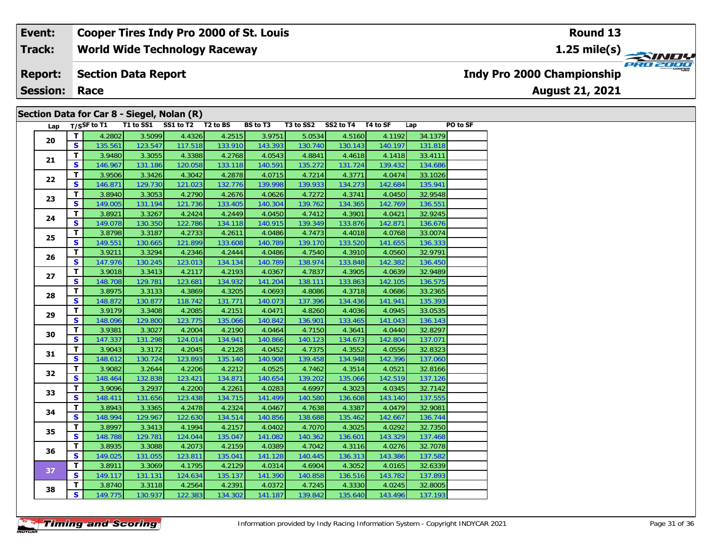**World Wide Technology Raceway Track:**

#### **Section Data Report Report:**

**Session: Race**

### **Section Data for Car 8 - Siegel, Nolan (R)**

| Lap |                         |         |         | T/SSF to T1 T1 to SS1 SS1 to T2 T2 to BS |         | BS to T3 | T3 to SS2 SS2 to T4 T4 to SF |         |         | Lap     | PO to SF |
|-----|-------------------------|---------|---------|------------------------------------------|---------|----------|------------------------------|---------|---------|---------|----------|
| 20  | $\mathbf{T}$            | 4.2802  | 3.5099  | 4.4326                                   | 4.2515  | 3.9751   | 5.0534                       | 4.5160  | 4.1192  | 34.1379 |          |
|     | S.                      | 135.561 | 123.547 | 117.518                                  | 133.910 | 143.393  | 130.740                      | 130.143 | 140.197 | 131.818 |          |
| 21  | T.                      | 3.9480  | 3.3055  | 4.3388                                   | 4.2768  | 4.0543   | 4.8841                       | 4.4618  | 4.1418  | 33.4111 |          |
|     | $\mathbf{s}$            | 146.967 | 131.186 | 120.058                                  | 133.118 | 140.591  | 135.272                      | 131.724 | 139.432 | 134.686 |          |
| 22  | T.                      | 3.9506  | 3.3426  | 4.3042                                   | 4.2878  | 4.0715   | 4.7214                       | 4.3771  | 4.0474  | 33.1026 |          |
|     | $\mathbf{s}$            | 146.871 | 129.730 | 121.023                                  | 132.776 | 139.998  | 139.933                      | 134.273 | 142.684 | 135.941 |          |
| 23  | T                       | 3.8940  | 3.3053  | 4.2790                                   | 4.2676  | 4.0626   | 4.7272                       | 4.3741  | 4.0450  | 32.9548 |          |
|     | $\mathbf{s}$            | 149.005 | 131.194 | 121.736                                  | 133.405 | 140.304  | 139.762                      | 134.365 | 142.769 | 136.551 |          |
| 24  | T                       | 3.8921  | 3.3267  | 4.2424                                   | 4.2449  | 4.0450   | 4.7412                       | 4.3901  | 4.0421  | 32.9245 |          |
|     | S                       | 149.078 | 130.350 | 122.786                                  | 134.118 | 140.915  | 139.349                      | 133.876 | 142.871 | 136.676 |          |
| 25  | T.                      | 3.8798  | 3.3187  | 4.2733                                   | 4.2611  | 4.0486   | 4.7473                       | 4.4018  | 4.0768  | 33.0074 |          |
|     | $\mathbf{s}$            | 149.551 | 130.665 | 121.899                                  | 133.608 | 140.789  | 139.170                      | 133.520 | 141.655 | 136.333 |          |
| 26  | T.                      | 3.9211  | 3.3294  | 4.2346                                   | 4.2444  | 4.0486   | 4.7540                       | 4.3910  | 4.0560  | 32.9791 |          |
|     | $\mathbf{s}$            | 147.976 | 130.245 | 123.013                                  | 134.134 | 140.789  | 138.974                      | 133.848 | 142.382 | 136.450 |          |
| 27  | T.                      | 3.9018  | 3.3413  | 4.2117                                   | 4.2193  | 4.0367   | 4.7837                       | 4.3905  | 4.0639  | 32.9489 |          |
|     | S                       | 148.708 | 129.781 | 123.681                                  | 134.932 | 141.204  | 138.111                      | 133.863 | 142.105 | 136.575 |          |
| 28  | $\mathbf{T}$            | 3.8975  | 3.3133  | 4.3869                                   | 4.3205  | 4.0693   | 4.8086                       | 4.3718  | 4.0686  | 33.2365 |          |
|     | S.                      | 148.872 | 130.877 | 118.742                                  | 131.771 | 140.073  | 137.396                      | 134.436 | 141.941 | 135.393 |          |
| 29  | T                       | 3.9179  | 3.3408  | 4.2085                                   | 4.2151  | 4.0471   | 4.8260                       | 4.4036  | 4.0945  | 33.0535 |          |
|     | S.                      | 148.096 | 129.800 | 123.775                                  | 135.066 | 140.842  | 136.901                      | 133.465 | 141.043 | 136.143 |          |
| 30  | T.                      | 3.9381  | 3.3027  | 4.2004                                   | 4.2190  | 4.0464   | 4.7150                       | 4.3641  | 4.0440  | 32.8297 |          |
|     | S                       | 147.337 | 131.298 | 124.014                                  | 134.941 | 140.866  | 140.123                      | 134.673 | 142.804 | 137.071 |          |
| 31  | T.                      | 3.9043  | 3.3172  | 4.2045                                   | 4.2128  | 4.0452   | 4.7375                       | 4.3552  | 4.0556  | 32.8323 |          |
|     | S                       | 148.612 | 130.724 | 123.893                                  | 135.140 | 140.908  | 139.458                      | 134.948 | 142.396 | 137.060 |          |
| 32  | T                       | 3.9082  | 3.2644  | 4.2206                                   | 4.2212  | 4.0525   | 4.7462                       | 4.3514  | 4.0521  | 32.8166 |          |
|     | $\mathbf{s}$            | 148.464 | 132.838 | 123.421                                  | 134.871 | 140.654  | 139.202                      | 135.066 | 142.519 | 137.126 |          |
| 33  | $\mathbf{T}$            | 3.9096  | 3.2937  | 4.2200                                   | 4.2261  | 4.0283   | 4.6997                       | 4.3023  | 4.0345  | 32.7142 |          |
|     | $\overline{\mathbf{s}}$ | 148.411 | 131.656 | 123.438                                  | 134.715 | 141.499  | 140.580                      | 136.608 | 143.140 | 137.555 |          |
| 34  | T.                      | 3.8943  | 3.3365  | 4.2478                                   | 4.2324  | 4.0467   | 4.7638                       | 4.3387  | 4.0479  | 32.9081 |          |
|     | S.                      | 148.994 | 129.967 | 122.630                                  | 134.514 | 140.856  | 138.688                      | 135.462 | 142.667 | 136.744 |          |
| 35  | T                       | 3.8997  | 3.3413  | 4.1994                                   | 4.2157  | 4.0402   | 4.7070                       | 4.3025  | 4.0292  | 32.7350 |          |
|     | S                       | 148.788 | 129.781 | 124.044                                  | 135.047 | 141.082  | 140.362                      | 136.601 | 143.329 | 137.468 |          |
|     | T.                      | 3.8935  | 3.3088  | 4.2073                                   | 4.2159  | 4.0389   | 4.7042                       | 4.3116  | 4.0276  | 32.7078 |          |
| 36  | $\mathbf{s}$            | 149.025 | 131.055 | 123.811                                  | 135.041 | 141.128  | 140.445                      | 136.313 | 143.386 | 137.582 |          |
|     | T.                      | 3.8911  | 3.3069  | 4.1795                                   | 4.2129  | 4.0314   | 4.6904                       | 4.3052  | 4.0165  | 32.6339 |          |
| 37  | $\mathbf{s}$            | 149.117 | 131.131 | 124.634                                  | 135.137 | 141.390  | 140.858                      | 136.516 | 143.782 | 137.893 |          |
|     | T.                      | 3.8740  | 3.3118  | 4.2564                                   | 4.2391  | 4.0372   | 4.7245                       | 4.3330  | 4.0245  | 32.8005 |          |
| 38  | S                       | 149.775 | 130.937 | 122.383                                  | 134.302 | 141.187  | 139.842                      | 135.640 | 143.496 | 137.193 |          |

**Round 13**

**1.25 mile(s)**

**August 21, 2021**

**Indy Pro 2000 Championship**

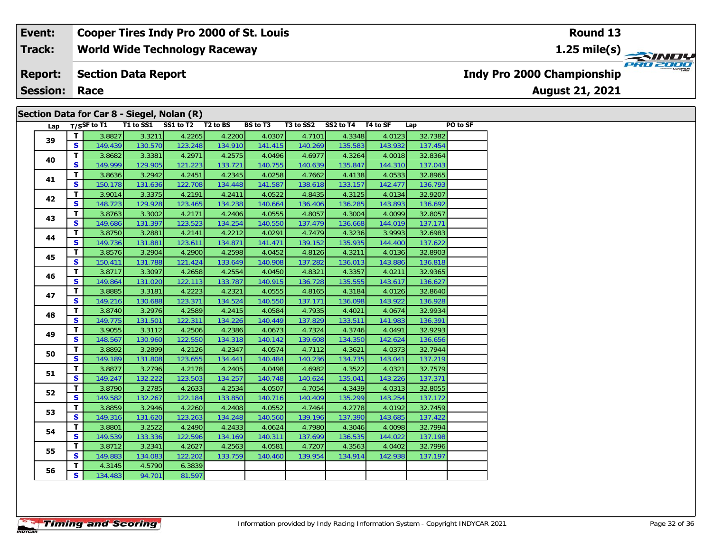**World Wide Technology Raceway Track:**

#### **Section Data Report Report:**

**Session: Race**

### **Section Data for Car 8 - Siegel, Nolan (R)**

| Lap |                      | $T/S$ SF to T1 |         | T1 to SS1 SS1 to T2 T2 to BS |         | BS to T3 | T3 to SS2 | SS2 to T4 T4 to SF |         | Lap     | PO to SF |
|-----|----------------------|----------------|---------|------------------------------|---------|----------|-----------|--------------------|---------|---------|----------|
| 39  | T                    | 3.8827         | 3.3211  | 4.2265                       | 4.2200  | 4.0307   | 4.7101    | 4.3348             | 4.0123  | 32.7382 |          |
|     | S.                   | 149.439        | 130.570 | 123.248                      | 134.910 | 141.415  | 140.269   | 135.583            | 143.932 | 137.454 |          |
| 40  | T                    | 3.8682         | 3.3381  | 4.2971                       | 4.2575  | 4.0496   | 4.6977    | 4.3264             | 4.0018  | 32.8364 |          |
|     | S.                   | 149.999        | 129.905 | 121.223                      | 133.721 | 140.755  | 140.639   | 135.847            | 144.310 | 137.043 |          |
| 41  | T.                   | 3.8636         | 3.2942  | 4.2451                       | 4.2345  | 4.0258   | 4.7662    | 4.4138             | 4.0533  | 32.8965 |          |
|     | S.                   | 150.178        | 131.636 | 122.708                      | 134.448 | 141.587  | 138.618   | 133.157            | 142.477 | 136.793 |          |
| 42  | T.                   | 3.9014         | 3.3375  | 4.2191                       | 4.2411  | 4.0522   | 4.8435    | 4.3125             | 4.0134  | 32.9207 |          |
|     | S.                   | 148.723        | 129.928 | 123.465                      | 134.238 | 140.664  | 136.406   | 136.285            | 143.893 | 136.692 |          |
| 43  | T.                   | 3.8763         | 3.3002  | 4.2171                       | 4.2406  | 4.0555   | 4.8057    | 4.3004             | 4.0099  | 32.8057 |          |
|     | S.                   | 149.686        | 131.397 | 123.523                      | 134.254 | 140.550  | 137.479   | 136.668            | 144.019 | 137.171 |          |
| 44  | T.                   | 3.8750         | 3.2881  | 4.2141                       | 4.2212  | 4.0291   | 4.7479    | 4.3236             | 3.9993  | 32.6983 |          |
|     | S.                   | 149.736        | 131.881 | 123.611                      | 134.871 | 141.471  | 139.152   | 135.935            | 144.400 | 137.622 |          |
| 45  | $\tilde{\mathbf{T}}$ | 3.8576         | 3.2904  | 4.2900                       | 4.2598  | 4.0452   | 4.8126    | 4.3211             | 4.0136  | 32.8903 |          |
|     | S.                   | 150.411        | 131.788 | 121.424                      | 133.649 | 140.908  | 137.282   | 136.013            | 143.886 | 136.818 |          |
| 46  | T                    | 3.8717         | 3.3097  | 4.2658                       | 4.2554  | 4.0450   | 4.8321    | 4.3357             | 4.0211  | 32.9365 |          |
|     | S.                   | 149.864        | 131.020 | 122.113                      | 133.787 | 140.915  | 136.728   | 135.555            | 143.617 | 136.627 |          |
| 47  | $\mathbf{T}$         | 3.8885         | 3.3181  | 4.2223                       | 4.2321  | 4.0555   | 4.8165    | 4.3184             | 4.0126  | 32.8640 |          |
|     | S.                   | 149.216        | 130.688 | 123.371                      | 134.524 | 140.550  | 137.171   | 136.098            | 143.922 | 136.928 |          |
| 48  | $\mathbf{T}$         | 3.8740         | 3.2976  | 4.2589                       | 4.2415  | 4.0584   | 4.7935    | 4.4021             | 4.0674  | 32.9934 |          |
|     | S.                   | 149.775        | 131.501 | 122.311                      | 134.226 | 140.449  | 137.829   | 133.511            | 141.983 | 136.391 |          |
| 49  | $\mathbf{T}$         | 3.9055         | 3.3112  | 4.2506                       | 4.2386  | 4.0673   | 4.7324    | 4.3746             | 4.0491  | 32.9293 |          |
|     | S                    | 148.567        | 130.960 | 122.550                      | 134.318 | 140.142  | 139.608   | 134.350            | 142.624 | 136.656 |          |
| 50  | $\mathbf{T}$         | 3.8892         | 3.2899  | 4.2126                       | 4.2347  | 4.0574   | 4.7112    | 4.3621             | 4.0373  | 32.7944 |          |
|     | S                    | 149.189        | 131.808 | 123.655                      | 134.441 | 140.484  | 140.236   | 134.735            | 143.041 | 137.219 |          |
| 51  | $\mathbf{T}$         | 3.8877         | 3.2796  | 4.2178                       | 4.2405  | 4.0498   | 4.6982    | 4.3522             | 4.0321  | 32.7579 |          |
|     | $\mathbf{s}$         | 149.247        | 132.222 | 123.503                      | 134.257 | 140.748  | 140.624   | 135.041            | 143.226 | 137.371 |          |
| 52  | $\mathbf{T}$         | 3.8790         | 3.2785  | 4.2633                       | 4.2534  | 4.0507   | 4.7054    | 4.3439             | 4.0313  | 32.8055 |          |
|     | $\mathbf{s}$         | 149.582        | 132.267 | 122.184                      | 133.850 | 140.716  | 140.409   | 135.299            | 143.254 | 137.172 |          |
| 53  | $\mathbf{T}$         | 3.8859         | 3.2946  | 4.2260                       | 4.2408  | 4.0552   | 4.7464    | 4.2778             | 4.0192  | 32.7459 |          |
|     | S.                   | 149.316        | 131.620 | 123.263                      | 134.248 | 140.560  | 139.196   | 137.390            | 143.685 | 137.422 |          |
| 54  | T.                   | 3.8801         | 3.2522  | 4.2490                       | 4.2433  | 4.0624   | 4.7980    | 4.3046             | 4.0098  | 32.7994 |          |
|     | $\mathbf{s}$         | 149.539        | 133.336 | 122.596                      | 134.169 | 140.311  | 137.699   | 136.535            | 144.022 | 137.198 |          |
| 55  | T.                   | 3.8712         | 3.2341  | 4.2627                       | 4.2563  | 4.0581   | 4.7207    | 4.3563             | 4.0402  | 32.7996 |          |
|     | S                    | 149.883        | 134.083 | 122.202                      | 133.759 | 140.460  | 139.954   | 134.914            | 142.938 | 137.197 |          |
| 56  | T.                   | 4.3145         | 4.5790  | 6.3839                       |         |          |           |                    |         |         |          |
|     | $\mathbf{s}$         | 134.483        | 94.701  | 81.597                       |         |          |           |                    |         |         |          |

**1.25 mile(s)**



**Indy Pro 2000 Championship**

**August 21, 2021**

**Round 13**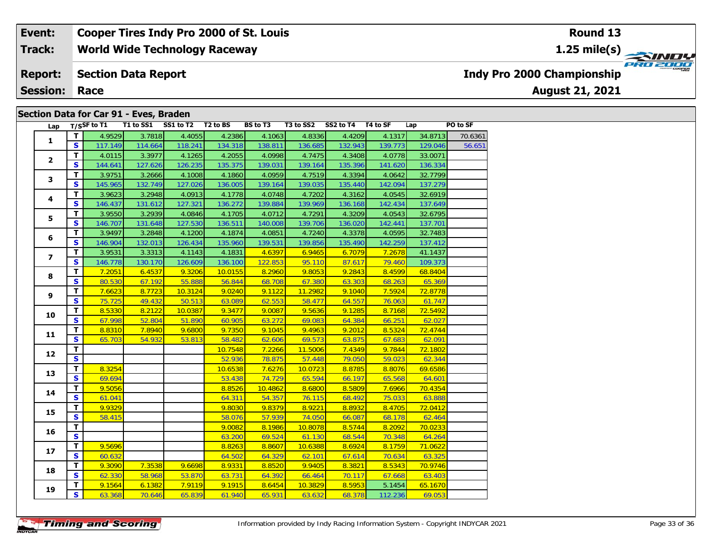#### **World Wide Technology Raceway Section Data Report August 21, 2021 Event: Cooper Tires Indy Pro 2000 of St. Louis Track: Report: Session: Race Indy Pro 2000 Championship 1.25 mile(s) Round 13**

### **Section Data for Car 91 - Eves, Braden**

| Lap            |                         | T/SSF to T1 | T1 to SS1 | SS1 to T2 | T <sub>2</sub> to BS | <b>BS</b> to T3 | T3 to SS2 | SS2 to T4 T4 to SF |         | Lap     | PO to SF |
|----------------|-------------------------|-------------|-----------|-----------|----------------------|-----------------|-----------|--------------------|---------|---------|----------|
|                | $\mathbf T$             | 4.9529      | 3.7818    | 4.4055    | 4.2386               | 4.1063          | 4.8336    | 4.4209             | 4.1317  | 34.8713 | 70.6361  |
| $\mathbf{1}$   | S.                      | 117.149     | 114.664   | 118.241   | 134.318              | 138.811         | 136.685   | 132.943            | 139.773 | 129.046 | 56.651   |
| $\mathbf{2}$   | T.                      | 4.0115      | 3.3977    | 4.1265    | 4.2055               | 4.0998          | 4.7475    | 4.3408             | 4.0778  | 33.0071 |          |
|                | $\mathbf{s}$            | 144.641     | 127.626   | 126.235   | 135.375              | 139.031         | 139.164   | 135.396            | 141.620 | 136.334 |          |
| 3              | T                       | 3.9751      | 3.2666    | 4.1008    | 4.1860               | 4.0959          | 4.7519    | 4.3394             | 4.0642  | 32.7799 |          |
|                | $\mathbf{s}$            | 145.965     | 132.749   | 127.026   | 136.005              | 139.164         | 139.035   | 135.440            | 142.094 | 137.279 |          |
| 4              | T                       | 3.9623      | 3.2948    | 4.0913    | 4.1778               | 4.0748          | 4.7202    | 4.3162             | 4.0545  | 32.6919 |          |
|                | S                       | 146.437     | 131.612   | 127.321   | 136.272              | 139.884         | 139.969   | 136.168            | 142.434 | 137.649 |          |
| 5              | T                       | 3.9550      | 3.2939    | 4.0846    | 4.1705               | 4.0712          | 4.7291    | 4.3209             | 4.0543  | 32.6795 |          |
|                | S                       | 146.707     | 131.648   | 127.530   | 136.511              | 140.008         | 139.706   | 136.020            | 142.441 | 137.701 |          |
| 6              | T                       | 3.9497      | 3.2848    | 4.1200    | 4.1874               | 4.0851          | 4.7240    | 4.3378             | 4.0595  | 32.7483 |          |
|                | S                       | 146.904     | 132.013   | 126.434   | 135.960              | 139.531         | 139.856   | 135.490            | 142.259 | 137.412 |          |
| $\overline{ }$ | T                       | 3.9531      | 3.3313    | 4.1143    | 4.1831               | 4.6397          | 6.9465    | 6.7079             | 7.2678  | 41.1437 |          |
|                | S                       | 146.778     | 130.170   | 126.609   | 136.100              | 122.853         | 95.110    | 87.617             | 79.460  | 109.373 |          |
| 8              | T.                      | 7.2051      | 6.4537    | 9.3206    | 10.0155              | 8.2960          | 9.8053    | 9.2843             | 8.4599  | 68.8404 |          |
|                | $\overline{\mathbf{s}}$ | 80.530      | 67.192    | 55.888    | 56.844               | 68.708          | 67.380    | 63.303             | 68.263  | 65.369  |          |
| 9              | $\mathbf{T}$            | 7.6623      | 8.7723    | 10.3124   | 9.0240               | 9.1122          | 11.2982   | 9.1040             | 7.5924  | 72.8778 |          |
|                | $\mathbf{s}$            | 75.725      | 49.432    | 50.513    | 63.089               | 62.553          | 58.477    | 64.557             | 76.063  | 61.747  |          |
| 10             | $\mathbf T$             | 8.5330      | 8.2122    | 10.0387   | 9.3477               | 9.0087          | 9.5636    | 9.1285             | 8.7168  | 72.5492 |          |
|                | S.                      | 67.998      | 52.804    | 51.890    | 60.905               | 63.272          | 69.083    | 64.384             | 66.251  | 62.027  |          |
| 11             | $\mathbf{T}$            | 8.8310      | 7.8940    | 9.6800    | 9.7350               | 9.1045          | 9.4963    | 9.2012             | 8.5324  | 72.4744 |          |
|                | S.                      | 65.703      | 54.932    | 53.813    | 58.482               | 62.606          | 69.573    | 63.875             | 67.683  | 62.091  |          |
| 12             | T                       |             |           |           | 10.7548              | 7.2266          | 11.5006   | 7.4349             | 9.7844  | 72.1802 |          |
|                | $\overline{\mathbf{s}}$ |             |           |           | 52.936               | 78.875          | 57.448    | 79.050             | 59.023  | 62.344  |          |
| 13             | $\mathbf{T}$            | 8.3254      |           |           | 10.6538              | 7.6276          | 10.0723   | 8.8785             | 8.8076  | 69.6586 |          |
|                | $\mathbf{s}$            | 69.694      |           |           | 53.438               | 74.729          | 65.594    | 66.197             | 65.568  | 64.601  |          |
| 14             | $\mathbf{T}$            | 9.5056      |           |           | 8.8526               | 10.4862         | 8.6800    | 8.5809             | 7.6966  | 70.4354 |          |
|                | $\overline{\mathbf{s}}$ | 61.041      |           |           | 64.311               | 54.357          | 76.115    | 68.492             | 75.033  | 63.888  |          |
| 15             | $\mathbf T$             | 9.9329      |           |           | 9.8030               | 9.8379          | 8.9221    | 8.8932             | 8.4705  | 72.0412 |          |
|                | $\mathbf{s}$            | 58.415      |           |           | 58.076               | 57.939          | 74.050    | 66.087             | 68.178  | 62.464  |          |
| 16             | T                       |             |           |           | 9.0082               | 8.1986          | 10.8078   | 8.5744             | 8.2092  | 70.0233 |          |
|                | $\overline{\mathbf{s}}$ |             |           |           | 63.200               | 69.524          | 61.130    | 68.544             | 70.348  | 64.264  |          |
| 17             | $\mathbf{T}$            | 9.5696      |           |           | 8.8263               | 8.8607          | 10.6388   | 8.6924             | 8.1759  | 71.0622 |          |
|                | $\overline{\mathbf{s}}$ | 60.632      |           |           | 64.502               | 64.329          | 62.101    | 67.614             | 70.634  | 63.325  |          |
| 18             | T                       | 9.3090      | 7.3538    | 9.6698    | 8.9331               | 8.8520          | 9.9405    | 8.3821             | 8.5343  | 70.9746 |          |
|                | S.                      | 62.330      | 58.968    | 53.870    | 63.731               | 64.392          | 66.464    | 70.117             | 67.668  | 63.403  |          |
| 19             | T.                      | 9.1564      | 6.1382    | 7.9119    | 9.1915               | 8.6454          | 10.3829   | 8.5953             | 5.1454  | 65.1670 |          |
|                | $\overline{\mathbf{s}}$ | 63.368      | 70.646    | 65.839    | 61.940               | 65.931          | 63.632    | 68.378             | 112.236 | 69.053  |          |

PRO 2000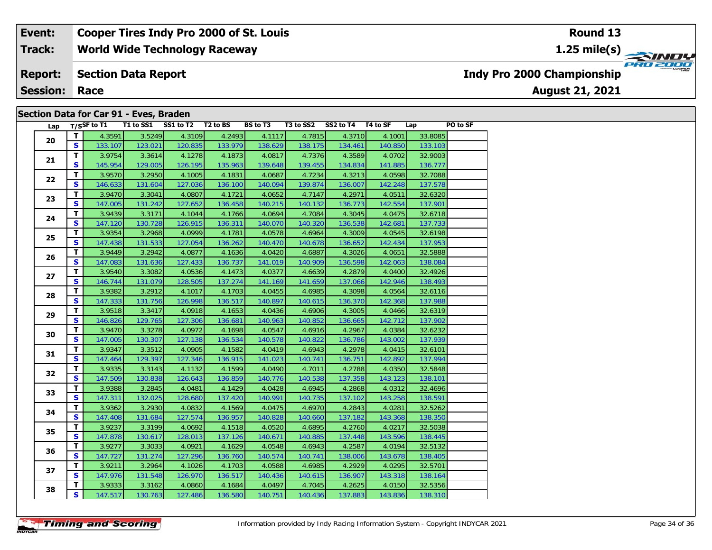#### **World Wide Technology Raceway Section Data Report August 21, 2021 Event: Cooper Tires Indy Pro 2000 of St. Louis Track: Report: Session: Race Indy Pro 2000 Championship 1.25 mile(s)**

### **Section Data for Car 91 - Eves, Braden**

| Lap |                         | T/SSF to T1 |         | T1 to SS1 SS1 to T2 T2 to BS |         | <b>BS</b> to T3 | T3 to SS2 | SS2 to T4 T4 to SF |         | Lap     | PO to SF |
|-----|-------------------------|-------------|---------|------------------------------|---------|-----------------|-----------|--------------------|---------|---------|----------|
| 20  | T.                      | 4.3591      | 3.5249  | 4.3109                       | 4.2493  | 4.1117          | 4.7815    | 4.3710             | 4.1001  | 33.8085 |          |
|     | S                       | 133.107     | 123.021 | 120.835                      | 133.979 | 138.629         | 138.175   | 134.461            | 140.850 | 133.103 |          |
| 21  | T.                      | 3.9754      | 3.3614  | 4.1278                       | 4.1873  | 4.0817          | 4.7376    | 4.3589             | 4.0702  | 32.9003 |          |
|     | $\overline{\mathbf{s}}$ | 145.954     | 129.005 | 126.195                      | 135.963 | 139.648         | 139.455   | 134.834            | 141.885 | 136.777 |          |
| 22  | T                       | 3.9570      | 3.2950  | 4.1005                       | 4.1831  | 4.0687          | 4.7234    | 4.3213             | 4.0598  | 32.7088 |          |
|     | $\mathbf{s}$            | 146.633     | 131.604 | 127.036                      | 136.100 | 140.094         | 139.874   | 136.007            | 142.248 | 137.578 |          |
| 23  | T                       | 3.9470      | 3.3041  | 4.0807                       | 4.1721  | 4.0652          | 4.7147    | 4.2971             | 4.0511  | 32.6320 |          |
|     | S.                      | 147.005     | 131.242 | 127.652                      | 136.458 | 140.215         | 140.132   | 136.773            | 142.554 | 137.901 |          |
| 24  | T                       | 3.9439      | 3.3171  | 4.1044                       | 4.1766  | 4.0694          | 4.7084    | 4.3045             | 4.0475  | 32.6718 |          |
|     | S                       | 147.120     | 130.728 | 126.915                      | 136.311 | 140.070         | 140.320   | 136.538            | 142.681 | 137.733 |          |
| 25  | T                       | 3.9354      | 3.2968  | 4.0999                       | 4.1781  | 4.0578          | 4.6964    | 4.3009             | 4.0545  | 32.6198 |          |
|     | $\mathbf{s}$            | 147.438     | 131.533 | 127.054                      | 136.262 | 140.470         | 140.678   | 136.652            | 142.434 | 137.953 |          |
| 26  | T.                      | 3.9449      | 3.2942  | 4.0877                       | 4.1636  | 4.0420          | 4.6887    | 4.3026             | 4.0651  | 32.5888 |          |
|     | $\mathbf{s}$            | 147.083     | 131.636 | 127.433                      | 136.737 | 141.019         | 140.909   | 136.598            | 142.063 | 138.084 |          |
| 27  | T                       | 3.9540      | 3.3082  | 4.0536                       | 4.1473  | 4.0377          | 4.6639    | 4.2879             | 4.0400  | 32.4926 |          |
|     | $\mathbf{s}$            | 146.744     | 131.079 | 128.505                      | 137.274 | 141.169         | 141.659   | 137.066            | 142.946 | 138.493 |          |
| 28  | $\mathbf{T}$            | 3.9382      | 3.2912  | 4.1017                       | 4.1703  | 4.0455          | 4.6985    | 4.3098             | 4.0564  | 32.6116 |          |
|     | S                       | 147.333     | 131.756 | 126.998                      | 136.517 | 140.897         | 140.615   | 136.370            | 142.368 | 137.988 |          |
| 29  | T                       | 3.9518      | 3.3417  | 4.0918                       | 4.1653  | 4.0436          | 4.6906    | 4.3005             | 4.0466  | 32.6319 |          |
|     | S                       | 146.826     | 129.765 | 127.306                      | 136.681 | 140.963         | 140.852   | 136.665            | 142.712 | 137.902 |          |
| 30  | T.                      | 3.9470      | 3.3278  | 4.0972                       | 4.1698  | 4.0547          | 4.6916    | 4.2967             | 4.0384  | 32.6232 |          |
|     | S                       | 147.005     | 130.307 | 127.138                      | 136.534 | 140.578         | 140.822   | 136.786            | 143.002 | 137.939 |          |
| 31  | T.                      | 3.9347      | 3.3512  | 4.0905                       | 4.1582  | 4.0419          | 4.6943    | 4.2978             | 4.0415  | 32.6101 |          |
|     | S                       | 147.464     | 129.397 | 127.346                      | 136.915 | 141.023         | 140.741   | 136.751            | 142.892 | 137.994 |          |
| 32  | T                       | 3.9335      | 3.3143  | 4.1132                       | 4.1599  | 4.0490          | 4.7011    | 4.2788             | 4.0350  | 32.5848 |          |
|     | S                       | 147.509     | 130.838 | 126.643                      | 136.859 | 140.776         | 140.538   | 137.358            | 143.123 | 138.101 |          |
| 33  | T                       | 3.9388      | 3.2845  | 4.0481                       | 4.1429  | 4.0428          | 4.6945    | 4.2868             | 4.0312  | 32.4696 |          |
|     | $\mathbf{s}$            | 147.311     | 132.025 | 128.680                      | 137.420 | 140.991         | 140.735   | 137.102            | 143.258 | 138.591 |          |
| 34  | $\overline{\mathsf{T}}$ | 3.9362      | 3.2930  | 4.0832                       | 4.1569  | 4.0475          | 4.6970    | 4.2843             | 4.0281  | 32.5262 |          |
|     | S                       | 147.408     | 131.684 | 127.574                      | 136.957 | 140.828         | 140.660   | 137.182            | 143.368 | 138.350 |          |
| 35  | T.                      | 3.9237      | 3.3199  | 4.0692                       | 4.1518  | 4.0520          | 4.6895    | 4.2760             | 4.0217  | 32.5038 |          |
|     | $\mathbf{s}$            | 147.878     | 130.617 | 128.013                      | 137.126 | 140.671         | 140.885   | 137.448            | 143.596 | 138.445 |          |
| 36  | T                       | 3.9277      | 3.3033  | 4.0921                       | 4.1629  | 4.0548          | 4.6943    | 4.2587             | 4.0194  | 32.5132 |          |
|     | $\mathbf{s}$            | 147.727     | 131.274 | 127.296                      | 136.760 | 140.574         | 140.741   | 138.006            | 143.678 | 138.405 |          |
| 37  | $\overline{\mathbf{T}}$ | 3.9211      | 3.2964  | 4.1026                       | 4.1703  | 4.0588          | 4.6985    | 4.2929             | 4.0295  | 32.5701 |          |
|     | $\mathbf{s}$            | 147.976     | 131.548 | 126.970                      | 136.517 | 140.436         | 140.615   | 136.907            | 143.318 | 138.164 |          |
| 38  | T                       | 3.9333      | 3.3162  | 4.0860                       | 4.1684  | 4.0497          | 4.7045    | 4.2625             | 4.0150  | 32.5356 |          |
|     | <b>S</b>                | 147.517     | 130.763 | 127.486                      | 136.580 | 140.751         | 140.436   | 137.883            | 143.836 | 138.310 |          |

### **Round 13**

PRO 2000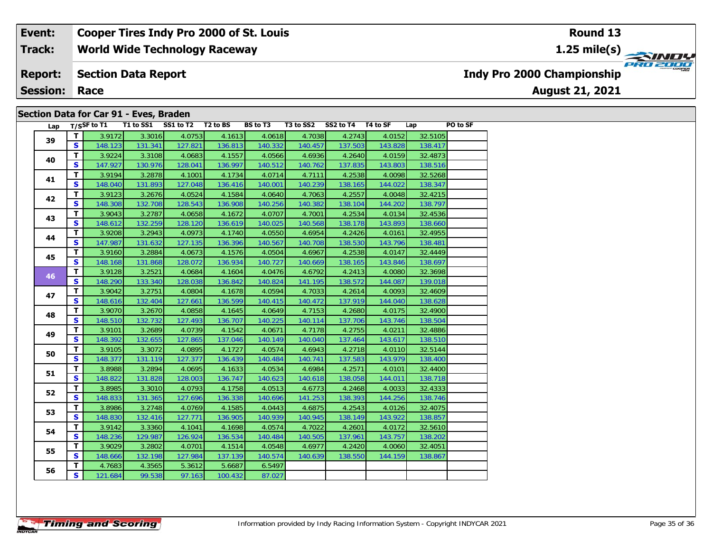#### **World Wide Technology Raceway Section Data Report August 21, 2021 Event: Cooper Tires Indy Pro 2000 of St. Louis Track: Report: Session: Race Indy Pro 2000 Championship 1.25 mile(s)**

### **Section Data for Car 91 - Eves, Braden**

| Lap |              | $T/S$ SF to T1 |         | T1 to SS1 SS1 to T2 T2 to BS |         | <b>BS to T3</b> | T3 to SS2 SS2 to T4 T4 to SF |         |         | Lap     | PO to SF |
|-----|--------------|----------------|---------|------------------------------|---------|-----------------|------------------------------|---------|---------|---------|----------|
|     | T            | 3.9172         | 3.3016  | 4.0753                       | 4.1613  | 4.0618          | 4.7038                       | 4.2743  | 4.0152  | 32.5105 |          |
| 39  | S.           | 148.123        | 131.341 | 127.821                      | 136.813 | 140.332         | 140.457                      | 137.503 | 143.828 | 138.417 |          |
|     | $\mathbf{T}$ | 3.9224         | 3.3108  | 4.0683                       | 4.1557  | 4.0566          | 4.6936                       | 4.2640  | 4.0159  | 32.4873 |          |
| 40  | S.           | 147.927        | 130.976 | 128.041                      | 136.997 | 140.512         | 140.762                      | 137.835 | 143.803 | 138.516 |          |
|     | T            | 3.9194         | 3.2878  | 4.1001                       | 4.1734  | 4.0714          | 4.7111                       | 4.2538  | 4.0098  | 32.5268 |          |
| 41  | <b>S</b>     | 148.040        | 131.893 | 127.048                      | 136.416 | 140.001         | 140.239                      | 138.165 | 144.022 | 138.347 |          |
|     | T            | 3.9123         | 3.2676  | 4.0524                       | 4.1584  | 4.0640          | 4.7063                       | 4.2557  | 4.0048  | 32.4215 |          |
| 42  | S.           | 148.308        | 132.708 | 128.543                      | 136.908 | 140.256         | 140.382                      | 138.104 | 144.202 | 138.797 |          |
| 43  | T.           | 3.9043         | 3.2787  | 4.0658                       | 4.1672  | 4.0707          | 4.7001                       | 4.2534  | 4.0134  | 32.4536 |          |
|     | S            | 148.612        | 132.259 | 128.120                      | 136.619 | 140.025         | 140.568                      | 138.178 | 143.893 | 138.660 |          |
|     | T            | 3.9208         | 3.2943  | 4.0973                       | 4.1740  | 4.0550          | 4.6954                       | 4.2426  | 4.0161  | 32.4955 |          |
| 44  | S.           | 147.987        | 131.632 | 127.135                      | 136.396 | 140.567         | 140.708                      | 138.530 | 143.796 | 138.481 |          |
|     | T.           | 3.9160         | 3.2884  | 4.0673                       | 4.1576  | 4.0504          | 4.6967                       | 4.2538  | 4.0147  | 32.4449 |          |
| 45  | S.           | 148.168        | 131.868 | 128.072                      | 136.934 | 140.727         | 140.669                      | 138.165 | 143.846 | 138.697 |          |
| 46  | T            | 3.9128         | 3.2521  | 4.0684                       | 4.1604  | 4.0476          | 4.6792                       | 4.2413  | 4.0080  | 32.3698 |          |
|     | S.           | 148.290        | 133.340 | 128.038                      | 136.842 | 140.824         | 141.195                      | 138.572 | 144.087 | 139.018 |          |
|     | T            | 3.9042         | 3.2751  | 4.0804                       | 4.1678  | 4.0594          | 4.7033                       | 4.2614  | 4.0093  | 32.4609 |          |
| 47  | S.           | 148.616        | 132.404 | 127.661                      | 136.599 | 140.415         | 140.472                      | 137.919 | 144.040 | 138.628 |          |
| 48  | T            | 3.9070         | 3.2670  | 4.0858                       | 4.1645  | 4.0649          | 4.7153                       | 4.2680  | 4.0175  | 32.4900 |          |
|     | <b>S</b>     | 148.510        | 132.732 | 127.493                      | 136.707 | 140.225         | 140.114                      | 137.706 | 143.746 | 138.504 |          |
| 49  | T            | 3.9101         | 3.2689  | 4.0739                       | 4.1542  | 4.0671          | 4.7178                       | 4.2755  | 4.0211  | 32.4886 |          |
|     | <b>S</b>     | 148.392        | 132.655 | 127.865                      | 137.046 | 140.149         | 140.040                      | 137.464 | 143.617 | 138.510 |          |
| 50  | T            | 3.9105         | 3.3072  | 4.0895                       | 4.1727  | 4.0574          | 4.6943                       | 4.2718  | 4.0110  | 32.5144 |          |
|     | <b>S</b>     | 148.377        | 131.119 | 127.377                      | 136.439 | 140.484         | 140.741                      | 137.583 | 143.979 | 138.400 |          |
| 51  | T            | 3.8988         | 3.2894  | 4.0695                       | 4.1633  | 4.0534          | 4.6984                       | 4.2571  | 4.0101  | 32.4400 |          |
|     | S.           | 148.822        | 131.828 | 128.003                      | 136.747 | 140.623         | 140.618                      | 138.058 | 144.011 | 138.718 |          |
| 52  | T.           | 3.8985         | 3.3010  | 4.0793                       | 4.1758  | 4.0513          | 4.6773                       | 4.2468  | 4.0033  | 32.4333 |          |
|     | <b>S</b>     | 148.833        | 131.365 | 127.696                      | 136.338 | 140.696         | 141.253                      | 138.393 | 144.256 | 138.746 |          |
| 53  | T.           | 3.8986         | 3.2748  | 4.0769                       | 4.1585  | 4.0443          | 4.6875                       | 4.2543  | 4.0126  | 32.4075 |          |
|     | S.           | 148.830        | 132.416 | 127.771                      | 136.905 | 140.939         | 140.945                      | 138.149 | 143.922 | 138.857 |          |
| 54  | T.           | 3.9142         | 3.3360  | 4.1041                       | 4.1698  | 4.0574          | 4.7022                       | 4.2601  | 4.0172  | 32.5610 |          |
|     | S            | 148.236        | 129.987 | 126.924                      | 136.534 | 140.484         | 140.505                      | 137.961 | 143.757 | 138.202 |          |
| 55  | T            | 3.9029         | 3.2802  | 4.0701                       | 4.1514  | 4.0548          | 4.6977                       | 4.2420  | 4.0060  | 32.4051 |          |
|     | S.           | 148.666        | 132.198 | 127.984                      | 137.139 | 140.574         | 140.639                      | 138.550 | 144.159 | 138.867 |          |
| 56  | T.           | 4.7683         | 4.3565  | 5.3612                       | 5.6687  | 6.5497          |                              |         |         |         |          |
|     | S.           | 121.684        | 99.538  | 97.163                       | 100.432 | 87.027          |                              |         |         |         |          |

**Round 13**